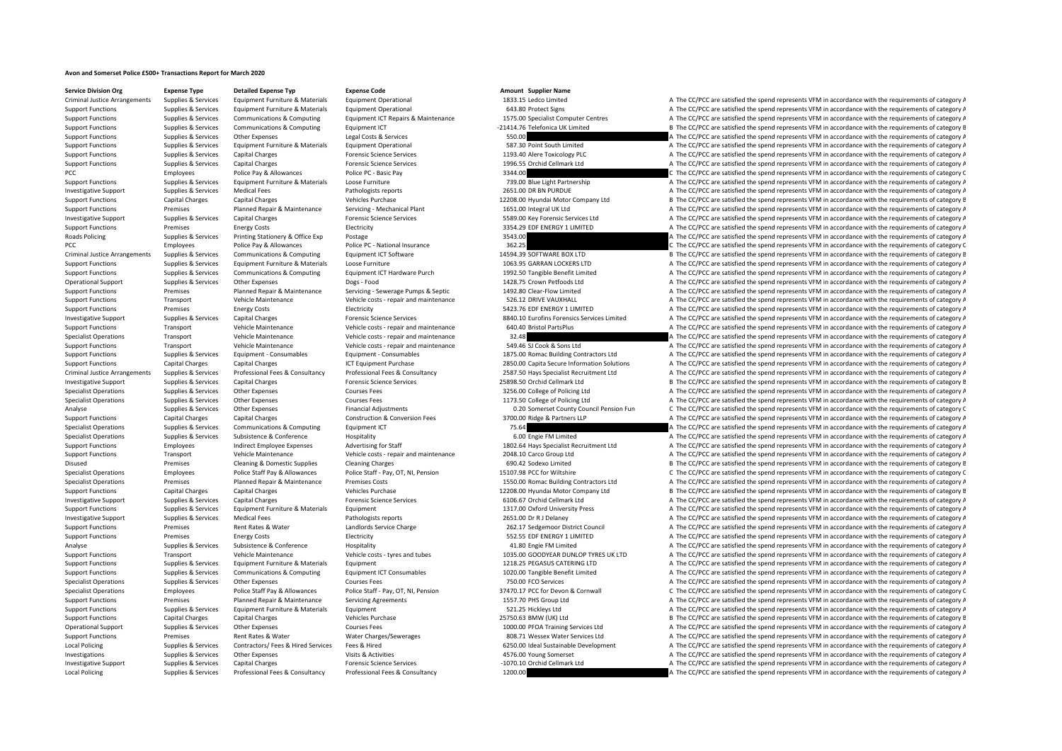## **Avon and Somerset Police £500+ Transactions Report for March 2020**

**Service Division Org Expense Type Detailed Expense Typ Expense Code Amount Supplier Name**

A The CC/PCC are satisfied the spend represents VFM in accordance with the requirements of category A Support Functions Supplies & Services Equipment Furniture & Materials Equipment Operational 643.80 Protect Signs A The CC/PCC are satisfied the spend represents VFM in accordance with the requirements of category A Supplies & Services Communications & Computing Equipment ICT Repairs & Maintenance 1575.00 Specialist Computer Centres A The CC/PCC are satisfied the spend represents VFM in accordance with the requirements of category A Support Functions Supplies & Services Communications & Computing Equipment ICT examples and the support Equipment ICT examples and the spend represents VFM in accordance with the requirements of category B The CC/PCC are s Support Functions Supplies & Services Other Expenses Legal Costs & Services Services Supplies A The CC/PCC are satisfied the spend represents VFM in accordance with the requirements of category A The CC/PCC are satisfied t Support Functions Supplies & Services Equipment Furniture & Materials Equipment Operational 587.30 Point South Limited A The CC/PCC are satisfied the spend represents VFM in accordance with the requirements of category A Support Functions Supplies & Services Capital Charges Forensic Science Services Forensic Science Services 1193.40 Alere Toxicology PLC A The CC/PCC are satisfied the spend represents VFM in accordance with the requirements Support Functions Supplies & Services Capital Charges Forensic Science Services Forensic Science Services 1996.55 Orchid Cellmark Ltd A The CC/PCC are satisfied the spend represents VFM in accordance with the requirements PCC Employees Police Pay & Allowances Police PC - Basic Pay 3344.00 C The CC/PCC are satisfied the spend represents VFM in accordance with the requirements of category C Support Functions Supplies & Services Equipment Furniture & Materials Loose Furniture and Equipment Supplies and Equipment Equipments of category A The CC/PCC are satisfied the spend represents VFM in accordance with the r A The CC/PCC are satisfied the spend represents VFM in accordance with the requirements of category A Support Functions Capital Charges Capital Charges Vehicles Purchase Vehicles Purchase 12208.00 Hyundai Motor Company Ltd B The CC/PCC are satisfied the spend represents VFM in accordance with the requirements of category B Support Functions Premises Planned Repair & Maintenance Servicing - Mechanical Plant 1651.00 Integral UK Ltd A The CC/PCC are satisfied the spend represents VFM in accordance with the requirements of category A The Crites A The CC/PCC are satisfied the spend represents VFM in accordance with the requirements of category A Support Functions Premises Energy Costs Electricity Electricity and the COSTS Electricity and the COSTS Electricity and the COSTS and the CC/PCC are satisfied the spend represents VFM in accordance with the requirements of Roads Policing Supplies & Services Printing Stationery & Office Exp Postage 3543.00 A The CC/PCC are satisfied the spend represents VFM in accordance with the requirements of category A PCC Employees Police Pay & Allowances Police PC - National Insurance 362.25 362.25 C The CC/PCC are satisfied the spend represents VFM in accordance with the requirements of category C Criminal Justice Arrangements Supplies & Services Communications & Computing Equipment ICT Software example to the material of the CONTID B The CC/PCC are satisfied the spend represents VFM in accordance with the requireme Support Functions Supplies & Services Equipment Furniture Materials Loose Furniture 1063.95 GARRAN LOCKERS LTD A The CC/PCC are satisfied the spend represents VFM in accordance with the requirements of category A Supplies & Services Communications & Computing Equipment ICT Hardware Purch 1992.50 Tangible Benefit Limited A The CC/PCC are satisfied the spend represents VFM in accordance with the requirements of category A Operational Support Supplies & Services Other Expenses Dogs - Food Dogs - Food 1428.75 Crown Petfoods Ltd A The CC/PCC are satisfied the spend represents VFM in accordance with the requirements of category A Support Functions Premises Planned Repair & Maintenance Servicing ‐ Servicing ‐ Servicing ‐ Servicing ‐ Servicing Septic 1492.80 Clear‐Flow Limited A The CC/PCC are satisfied the spend represents VFM in accordance with the Support Functions Transport Vehicle Maintenance Vehicle costs - repair and maintenance 526.12 DRIVE VAUXHALL A The CC/PCC are satisfied the spend represents VFM in accordance with the requirements of category A The Criteri Support Functions Premises Energy Costs Electricity Electricity 5423.76 EDF ENERGY 1 LIMITED A The CC/PCC are satisfied the spend represents VFM in accordance with the requirements of category A Investigative Supproof Supplies & Services Capital Charges Capital Charges Forensic Science Services And Satu.1.0 Eurofins Forensics Services Limited A The CC/PCC are satisfied the spend represents VFM in accordance with t Support Functions Transport Vehicle Maintenance Vehicle costs - repair and maintenance 640.40 Bristol PartsPlus A The CC/PCC are satisfied the spend represents VFM in accordance with the requirements of category A Specialist Operations Transport Vehicle Maintenance Vehicle costs - repair and maintenance 32.48 A The CC/PCC are satisfied the spend represents VFM in accordance with the requirements of category A Support Functions Transport Vehicle Maintenance Vehicle costs - repair and maintenance 549.46 SJ Cook & Sons Ltd A The CC/PCC are satisfied the spend represents VFM in accordance with the requirements of category A The Cri Support Functions Supplies & Services Fouturements of category A Fouturements Consumables Fouturements Consumables Fouturements Consumables and the State of the CC/PCC are satisfied the spend represents VFM in accordance w Support Functions Capital Charges Capital Charges ICT Equipment Purchase 2850.00 Capita Secure Information Solutions A The CC/PCC are satisfied the spend represents VFM in accordance with the requirements of category A Criminal Justice Arrangements Supplies & Services Professional Fees & Consultancy Professional Fees & Consultancy Professional Fees & Consultancy Professional Fees & Consultancy Professional Fees & Consultancy 2587.50 Hays Investigative Support Supplies & Services Capital Charges Forensic Science Services 25898.50 Orchid Cellmark Ltd B The CC/PCC are satisfied the spend represents VFM in accordance with the requirements of category B Specialist Operations Supplies & Services Other Expenses Courses Fees Courses Fees 3256.00 College of Policing Ltd A The CC/PCC are satisfied the spend represents VFM in accordance with the requirements of category A Specialist Operations Supplies & Services Other Expenses Courses Fees Courses Fees 1173.50 College of Policing Ltd A The CC/PCC are satisfied the spend represents VFM in accordance with the requirements of category A Analyse Supplies & Services Other Expenses Financial Adjustments Financial Adjustments County Council Pension Fun C The CC/PCC are satisfied the spend represents VFM in accordance with the requirements of category C Support Functions Capital Charges Capital Charges Capital Charges Construction & Construction & Conversion Fees 3700.00 Ridge & Partners LLP A The CC/PCC are satisfied the spend represents VFM in accordance with the requir Specialist Operations Supplies & Services Communications & Computing Equipment ICT 75.64 75.64 A The CC/PCC are satisfied the spend represents VFM in accordance with the requirements of category A Specialist Operations Supplies & Services Subsistence & Conference Hospitality Hospitality and the Services A The CC/PCC are satisfied the spend represents VFM in accordance with the requirements of category A Support Functions Employees Indirect Employee Expenses Advertising for Staff 1802.64 Hays Specialist Recruitment Ltd A The CC/PCC are satisfied the spend represents VFM in accordance with the requirements of category A Support Functions Transport Vehicle Maintenance Vehicle costs - repair and maintenance 2048.10 Carco Group Ltd A The CC/PCC are satisfied the spend represents VFM in accordance with the requirements of category A Disused Premises Cleaning & Domestic Supplies Cleaning Charges Cleaning Charges and the Supplies Cleaning Charges Cleaning Charges Cleaning Charges and the Supplies and the spend represents VFM in accordance with the requi Specialist Operations Employees Police Staff Pay & Allowances Police Staff - Pay, OT, NI, Pension 15107.98 PCC for Wiltshire C The CC/PCC are satisfied the spend represents VFM in accordance with the requirements of catego Specialist Operations Premises Planned Repair & Maintenance Premises Costs 1550.00 Romac Building Contractors Ltd A The CC/PCC are satisfied the spend represents VFM in accordance with the requirements of category A Support Functions Capital Charges Capital Charges Vehicles Purchase Vehicles Purchase 12208.00 Hyundai Motor Company Ltd B The CC/PCC are satisfied the spend represents VFM in accordance with the requirements of category B Investigative Support Supplies & Services Capital Charges Forensic Science Services Forensic Science Services 6106.67 Orchid Cellmark Ltd A The CC/PCC are satisfied the spend represents VFM in accordance with the requireme Support Functions Supplies & Services Equipment Furniture & Materials Equipment Equipment Equipment Equipment<br>
1999 Pathologists A The CELON Delaney A The CC/PCC are satisfied the spend represents VFM in accordance with th A The CC/PCC are satisfied the spend represents VFM in accordance with the requirements of category A Support Functions Premises Rent Rates & Water Landlords Service Charge 262.17 Sedgemoor District Council A The CC/PCC are satisfied the spend represents VFM in accordance with the requirements of category A Support Functions Premises Energy Costs Electricity Electricity Support Electricity 552.55 EDF ENERGY 1 LIMITED A The CC/PCC are satisfied the spend represents VFM in accordance with the requirements of category A Analyse Supplies & Services Subsistence & Conference Hospitality Hospitality Hospitality + 41.80 Engie FM Limited A The CC/PCC are satisfied the spend represents VFM in accordance with the requirements of category A Support Functions Transport Vehicle Maintenance Vehicle costs – tyres and tubes 1035.00 GOODYEAR DUNLOP TYRES UK LTD A The CC/PCC are satisfied the spend represents VFM in accordance with the requirements of category A The Support Functions Supplies & Services Equipment Furniture & Materials Equipment 1218.25 PEGASUS CATERING LTD A The CC/PCC are satisfied the spend represents VFM in accordance with the requirements of category A Support Functions Supplies & Services Communications & Computing Equipment ICT Consumables 1020.00 Tangible Benefit Limited A The CC/PCC are satisfied the spend represents VFM in accordance with the requirements of categor Specialist Operations Supplies & Services Other Expenses Courses Fees Courses Fees 750.00 FCO Services 750.00 FCO Services A The CC/PCC are satisfied the spend represents VFM in accordance with the requirements of category Specialist Operations Fundovers Police Staff Pay & Allowances Police Staff - Pay OT NL Pension 37470.17 PCC for Devon & Cornwall C. The CC/PCC are satisfied the spend represents VFM in accordance with the requirements of c Support Functions Premises Planned Repair & Maintenance Servicing Agreements 1557.70 PHS Group Ltd A The CC/PCC are satisfied the spend represents VFM in accordance with the requirements of category A The Critical Support A The CC/PCC are satisfied the spend represents VFM in accordance with the requirements of category A Support Functions Capital Charges Capital Charges Vehicles Purchase Vehicles Purchase 25750.63 BMW (UK) Ltd B The CC/PCC are satisfied the spend represents VFM in accordance with the requirements of category B Operational Support Supplies & Services Other Expenses Courses Fees Courses Fees Courses Fees 1000.00 PFOA Training Services Ltd A The CC/PCC are satisfied the spend represents VFM in accordance with the requirements of ca A The CC/PCC are satisfied the spend represents VFM in accordance with the requirements of category A Local Policing Supplies & Services Contractors/ Fees & Hired Services Fees & Hired 6250.00 Ideal Sustainable Development A The CC/PCC are satisfied the spend represents VFM in accordance with the requirements of category A Investigations Supplies & Services Other Expenses Visits & Activities Visits Activities 4576.00 Young Somerset A The CC/PCC are satisfied the spend represents VFM in accordance with the requirements of category A Investigative Support Supplies & Services Capital Charges Forensic Science Services Forensic Science Services Forensic Science Services A The CC/PCC are satisfied the spend represents VFM in accordance with the requirement Local Policing Supplies & Services Professional Fees & Consultancy Professional Fees & Consultancy Professional Fees & Consultancy 1200.00 1200.00 A The CC/PCC are satisfied the spend represents VFM in accordance with the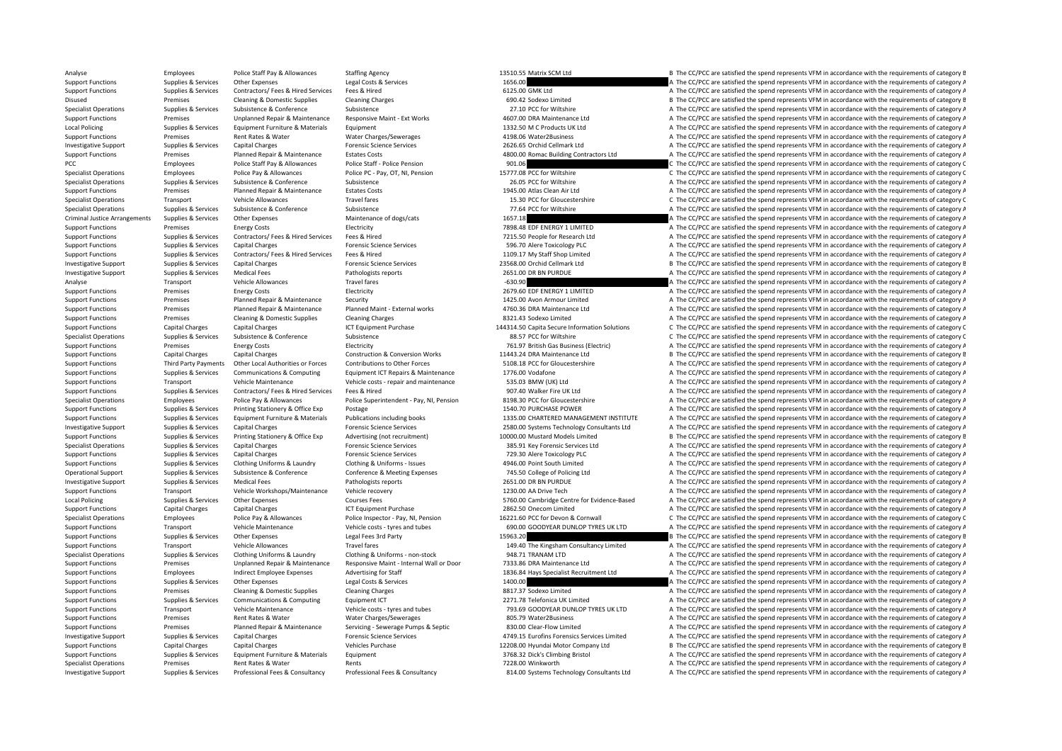Analyse Employees Police Staff Pay & Allowances Staffing Agency 13510.55 Matrix SCM Ltd B The CC/PCC are satisfied the spend represents VFM in accordance with the requirements of category B Support Functions Supplies & Services Other Expenses Legal Costs & Services Legal Costs & Services Legal Costs & Services 1656.00 A The CC/PCC are satisfied the spend represents VFM in accordance with the requirements of c Support Functions Supplies & Services Contractors/ Fees & Hired Services Fees & Hired Services Fees & Hired 6125.00 GMK Ltd A The CC/PCC are satisfied the spend represents VFM in accordance with the requirements of categor Disused Premises Cleaning & Domestic Supplies Cleaning Charges Cleaning Charges Cleaning Charges Cleaning Charges 690.42 Sodexo Limited B The CC/PCC are satisfied the spend represents VFM in accordance with the requirement Specialist Operations Supplies & Services Subsistence Subsistence Subsistence Subsistence Subsistence Subsistence 2011 PCC for Wiltshire A The CC/PCC are satisfied the spend represents VFM in accordance with the requiremen Support Functions Premises Unplanned Repair & Maintenance Responsive Maint - Ext Works 4607.00 DRA Maintenance Ltd A The CC/PCC are satisfied the spend represents VFM in accordance with the requirements of category A Local Policing Supplies & Services Equipment Furniture & Materials Equipment 1332.50 M C Products UK Ltd A The CC/PCC are satisfied the spend represents VFM in accordance with the requirements of category A Support Functions Premises Rent Rates & Water Water Charges/Sewerages 4198.06 Water2Business A The CC/PCC are satisfied the spend represents VFM in accordance with the requirements of category A Investigative Support Suppo Investigative Support Supplies & Services Capital Charges Forensic Science Services Provides and the Services 2626.65 Orchid Cellmark Ltd A The CC/PCC are satisfied the spend represents VFM in accordance with the requireme Support Functions Premises Planned Repair & Maintenance Estates Costs and A The CC/PCC are satisfied the spend represents VFM in accordance with the requirements of category A PCC POLICE Employees Police Staff Pay & Allowances Police Staff - Police Pension 901.06 POLICE 201.06 POLICE 201.06 C The CC/PCC are satisfied the spend represents VFM in accordance with the requirements of category C<br>Spe Employees Police Pay & Allowances Police PC - Pay, OT, NI, Pension 15777.08 PCC for Wiltshire C The CC/PCC are satisfied the spend represents VFM in accordance with the requirements of category C Specialist Operations Supplies & Services Subsistence Subsistence Subsistence Subsistence Subsistence Subsistence 26.05 PCC for Wiltshire A The CC/PCC are satisfied the spend represents VFM in accordance with the requireme Support Functions Premises Planned Repair & Maintenance Estates Costs 1945.00 Atlas Clean Air Ltd A The CC/PCC are satisfied the spend represents VFM in accordance with the requirements of category A Specialist Operations Transport Vehicle Allowances Travel fares Travel fares 15.30 PCC for Gloucestershire C The CC/PCC are satisfied the spend represents VFM in accordance with the requirements of category C Specialist Operations Supplies & Services Subsistence Subsistence Subsistence Subsistence Subsistence Subsistence Subsistence a Subsistence of dogs/cats and the CCC of Wiltshire A The CC/PCC are satisfied the spend represe A The CC/PCC are satisfied the spend represents VFM in accordance with the requirements of category A Support Functions Premises Energy Costs Electricity Electricity **Electricity** 7898.48 EDF ENERGY 1 LIMITED A The CC/PCC are satisfied the spend represents VFM in accordance with the requirements of category A Support Functions Supplies & Services Contractors/ Fees & Hired Services Fees & Hired The Microsoft Research Ltd A The CC/PCC are satisfied the spend represents VFM in accordance with the requirements of category A Support Functions Supplies & Services Capital Charges Forensic Science Services Forensic Science Services 596.70 Alere Toxicology PLC A The CC/PCC are satisfied the spend represents VFM in accordance with the requirements Support Functions Supplies & Services Contractors/ Fees & Hired Services Fees & Hired Fees A Hired 1109.17 My Staff Shop Limited A The CC/PCC are satisfied the spend represents VFM in accordance with the requirements of ca Investigative Support Supplies & Services Capital Charges Forensic Science Services 23568.00 Orchid Cellmark Ltd B The CC/PCC are satisfied the spend represents VFM in accordance with the requirements of category B Investigative Support Supplies & Services Medical Fees Pathologists reports Pathologists reports 2651.00 DR BN PURDUE A The CC/PCC are satisfied the spend represents VFM in accordance with the requirements of category A Analyse Transport Vehicle Allowances Travel fares Frame Travel fares – 630.90 A The CC/PCC are satisfied the spend represents VFM in accordance with the requirements of category A Support Functions Premises Energy Costs Functions Electricity Electricity 2679.60 EDF ENERGY 1 LIMITED A The CC/PCC are satisfied the spend represents VFM in accordance with the requirements of category A Support Functions Premises Planned Repair & Maintenance Security Support 1425.00 Avon Armour Limited A The CC/PCC are satisfied the spend represents VFM in accordance with the requirements of category A The Criteria Limite Support Functions Premises Planned Repair & Maintenance Planned Maint - External works 4760.36 DRA Maintenance Ltd A The CC/PCC are satisfied the spend represents VFM in accordance with the requirements of category A Support Functions Premises Cleaning & Domestic Supplies Cleaning Charges Cleaning Charges and A The CC/PCC are satisfied the spend represents VFM in accordance with the requirements of category A Support Functions Capital Charges Capital Charges ICT Equipment Purchase 144314.50 Capita Secure Information Solutions C The CC/PCC are satisfied the spend represents VFM in accordance with the requirements of category C Specialist Operations Supplies & Services Subsistence Subsistence Subsistence Subsistence Subsistence Subsistence Subsistence C The CC/PCC are satisfied the spend represents VFM in accordance with the requirements of categ Support Functions Premises Energy Costs Electricity Electricity 761.97 British Gas Business (Electricity A The CC/PCC are satisfied the spend represents VFM in accordance with the requirements of category A The Criticity C Support Functions Capital Charges Capital Charges Construction & Conversion Works 11443.24 DRA Maintenance Ltd B The CC/PCC are satisfied the spend represents VFM in accordance with the requirements of category B Support Functions Third Party Payments Other Local Authorities or Forces Contributions to Other Forces S108.18 PCC for Gloucestershire A The CC/PCC are satisfied the spend represents VFM in accordance with the requirements Support Functions Supplies & Services Communications & Computing Equipment ICT Repairs & Maintenance 1776.00 Vodafone A The CC/PCC are satisfied the spend represents VFM in accordance with the requirements of category A Support Functions Transport Vehicle Maintenance Vehicle costs ‐ repair and maintenance 535.03 BMW (UK) Ltd A The CC/PCC are satisfied the spend represents VFM in accordance with the requirements of category A Support Functions Supplies & Services Contractors/ Fees & Hired Services Fees & Hired Services Fees & Hired Services Fees & Hired Services Fees & Hired Services Fees & Hired Services Fees & Hired Services Fees & Hired Serv Specialist Operations Employees Police Pay & Allowances Police Superintendent - Pay, NI, Pension 8198.30 PCC for Gloucestershire A The CC/PCC are satisfied the spend represents VFM in accordance with the requirements of ca Support Functions Supplies & Services Printing Stationery & Office Exp Postage Printing Stationery & Office Exp Postage 1540.70 PURCHASE POWER A The CC/PCC are satisfied the spend represents VFM in accordance with the requ Supplies & Services Equipment Furniture & Materials Publications including books 1335.00 CHARTERED MANAGEMENT INSTITUTE A The CC/PCC are satisfied the spend represents VFM in accordance with the requirements of category A Investigative Suppress Algorithments of category A Capital Charges Forensic Science Services And Supplies & Services Capital Charges Forensic Science Services A Supplies & Services Capital Charges Forensic Science Services Supplies & Services Printing Stationery & Office Exp Advertising (not recruitment) 10000.00 Mustard Models Limited B The CC/PCC are satisfied the spend represents VFM in accordance with the requirements of category E Specialist Operations Supplies & Services Capital Charges Forensic Science Services 385.91 Key Forensic Services Ltd A The CC/PCC are satisfied the spend represents VFM in accordance with the requirements of category A Support Functions Supplies & Services Capital Charges Forensic Science Services Forensic Science Services 729.30 Alere Toxicology PLC A The CC/PCC are satisfied the spend represents VFM in accordance with the requirements Support Functions Supplies & Services Clothing Uniforms & Laundry Clothing & Uniforms - Issues 4946.00 Point South Limited A The CC/PCC are satisfied the spend represents VFM in accordance with the requirements of category Operational Support Supplies & Services Subsistence & Conference Conference Conference Conference Conference Conference Conference Conference Conference Conference Conference Conference Conference Conference Conference A M Investigative Support Supplies & Services Medical Fees Pathologists reports Pathologists reports 2651.00 DR BN PURDUE A The CC/PCC are satisfied the spend represents VFM in accordance with the requirements of category A Support Functions Transport Vehicle Workshops/Maintenance Vehicle recovery 1230.00 AA Drive Tech A The CC/PCC are satisfied the spend represents VFM in accordance with the requirements of category A Local Policing Supplies & Services Other Expenses Courses Fees Courses Fees 5760.00 Cambridge Centre for Evidence‐Based A The CC/PCC are satisfied the spend represents VFM in accordance with the requirements of category A Support Functions Capital Charges Capital Charges Capital Charges Capital Charges ICT Equipment Purchase 2862.50 Onecom Limited A The CC/PCC are satisfied the spend represents VFM in accordance with the requirements of cat Employees Police Pay & Allowances Police Inspector - Pay, NI, Pension 16221.60 PCC for Devon & Cornwall C The CC/PCC are satisfied the spend represents VFM in accordance with the requirements of category C Support Functions Transport Vehicle Maintenance Vehicle costs - tyres and tubes 690.00 GOODYEAR DUNLOP TYRES UK LTD A The CC/PCC are satisfied the spend represents VFM in accordance with the requirements of category A Support Functions Supplies & Services Other Expenses Legal Fees 3rd Party 15963.20 15963.20 B The CC/PCC are satisfied the spend represents VFM in accordance with the requirements of category B Support Functions Transport Vehicle Allowances Travel fares Travel fares 149.40 The Kingsham Consultancy Limited A The CC/PCC are satisfied the spend represents VFM in accordance with the requirements of category A Specialist Operations Supplies & Services Clothing Uniforms & Laundry Clothing & Uniforms - non‐stock 948.71 TRANAM LTD A The CC/PCC are satisfied the spend represents VFM in accordance with the requirements of category A Support Functions Premises Unplanned Repair & Maintenance Responsive Maint - Internal Wall or Door 7333.86 DRA Maintenance Ltd A The CC/PCC are satisfied the spend represents VFM in accordance with the requirements of cate Support Functions Employees Indirect Employee Expenses Advertising for Staff 1836.84 Hays Specialist Recruitment Ltd A The CC/PCC are satisfied the spend represents VFM in accordance with the requirements of category A Support Functions Supplies & Services Other Expenses Legal Costs & Services Legal Costs & Services A The COD Costs A Services A The CC/PCC are satisfied the spend represents VFM in accordance with the requirements of categ Support Functions Premises Cleaning & Domestic Supplies Cleaning Charges and a The CONSTRATION CONSTRATION CONSTRATION CONSTRATION A The CC/PCC are satisfied the spend represents VFM in accordance with the requirements of Support Functions Supplies & Services Communications & Computing Equipment ICT Equipment ICT 2271.78 Telefonica UK Limited A The CC/PCC are satisfied the spend represents VFM in accordance with the requirements of category A The CC/PCC are satisfied the spend represents VFM in accordance with the requirements of category A Support Functions Premises Rent Rates & Water Water Charges/Sewerages 805.79 Water2Business A The CC/PCC are satisfied the spend represents VFM in accordance with the requirements of category A Support Functions Premises Planned Repair & Maintenance Servicing - Servicing – Servicing A The COD Clear-Flow Limited A The CC/PCC are satisfied the spend represents VFM in accordance with the requirements of category A T A The CC/PCC are satisfied the spend represents VFM in accordance with the requirements of category A Support Functions Capital Charges Capital Charges Capital Charges Vehicles Purchase 12208.00 Hyundai Motor Company Ltd B The CC/PCC are satisfied the spend represents VFM in accordance with the requirements of category B S Support Functions Supplies & Services Equipment Furniture & Materials Equipment Support Equipment 3768.32 Dick's Climbing Bristol A The CC/PCC are satisfied the spend represents VFM in accordance with the requirements of c Specialist Operations Premises Rent Rates & Water Rents Rents Rents Rents 7228.00 Winkworth A The CC/PCC are satisfied the spend represents VFM in accordance with the requirements of category A Investigative Support Supplies & Services Professional Fees & Consultancy Professional Fees & Consultancy Professional Fees & Consultancy Professional Fees & Consultancy Professional Fees & Consultancy 814.00 Systems Techn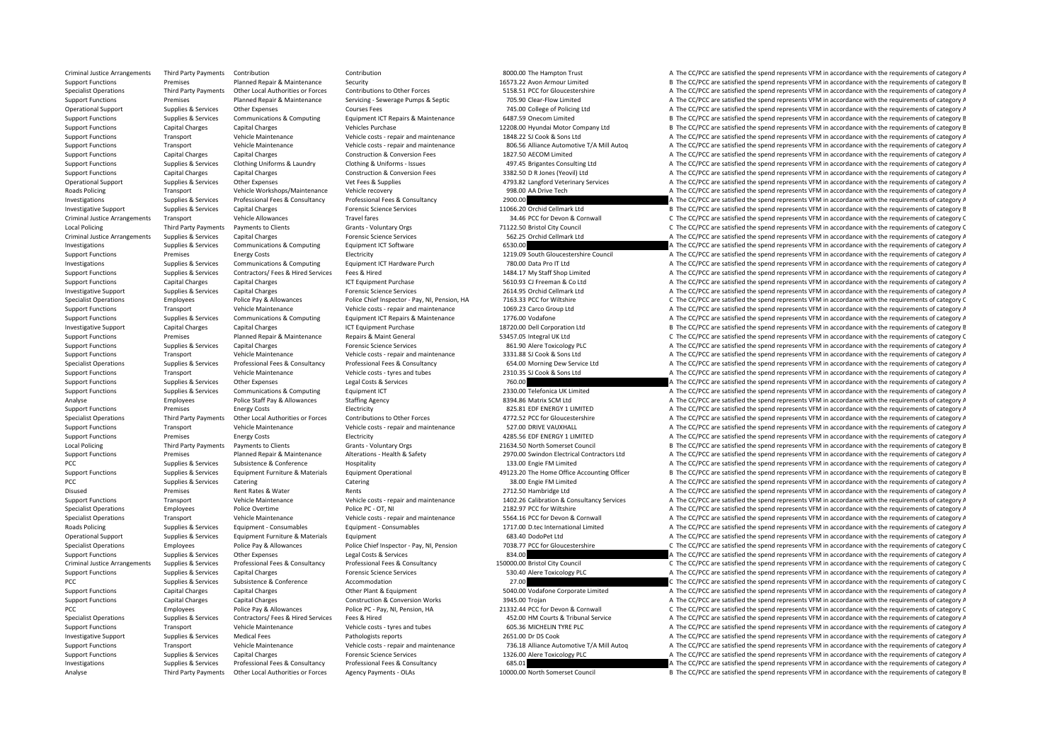Criminal Justice Arrangements Third Party Payments Contribution Contribution Contribution Contribution Contribution Contribution Contribution and a contribution and the spend represents VFM in accordance with the requireme Support Functions The CC/PCC are satisfied the spend represents VFM in accordance with the requirements of category B The COMENT DRESS ARE CONTINUES ON THE STRESS PRESS ARE CONTINUES ON THE CONTINUES ON THE CONTINUES OF TH Specialist Operations Third Party Payments Other Local Authorities or Forces Contributions to Other Forces Substantions of the COMEN DESCALLED SERVIS DESCALLED A The CC/PCC are satisfied the spend represents VFM in accorda Premises Planned Repair & Maintenance Servicing - Servicing – Servicing – Servicing – Servicing – Servicing – Servicing – Servicing – Servicing & Septic 705.90 Clear–Flow Limited A The CC/PCC are satisfied the spend repres Operational Support Supplies & Services Other Expenses Courses Fees Courses Fees 745.00 College of Policing Ltd A The CC/PCC are satisfied the spend represents VFM in accordance with the requirements of category A Supplies & Services Communications & Computing Equipment ICT Repairs & Maintenance 6487.59 Onecom Limited B The CC/PCC are satisfied the spend represents VFM in accordance with the requirements of category B Support Functions Capital Charges Capital Charges Vehicles Purchase Vehicles Purchase 12208.00 Hyundai Motor Company Ltd B The CC/PCC are satisfied the spend represents VFM in accordance with the requirements of category B Support Functions Transport Vehicle Maintenance Vehicle costs ‐ repair and maintenance 1848.22 SJ Cook & Sons Ltd A The CC/PCC are satisfied the spend represents VFM in accordance with the requirements of category A The Cr on the second term of the C/PCC are satisfied the spend represents VFM in accordance with the requirements of category A vehicle Maintenance Vehicle costs - repair and maintenance S06.56 Alliance Automotive T/A Mill Autog Support Functions Capital Charges Capital Charges Capital Charges Capital Charges Construction & Conversion Fees 1827.50 AECOM Limited A The CC/PCC are satisfied the spend represents VFM in accordance with the requirements Support Functions Supplies & Services Clothing Uniforms & Laundry Clothing & Uniforms - Issues 497.45 Brigantes Consulting Ltd and A The CC/PCC are satisfied the spend represents VFM in accordance with the requirements of Support Functions Capital Charges Capital Charges Construction & Conversion Fees 3382.50 D R Jones (Yeovil) Ltd A The CC/PCC are satisfied the spend represents VFM in accordance with the requirements of category A Operational Support Supplies & Services Other Expenses Vet Fees & Supplies Vet Fees & Supplies 4793.82 Langford Veterinary Services A The CC/PCC are satisfied the spend represents VFM in accordance with the requirements of Roads Policing Transport Vehicle Workshops/Maintenance Vehicle recovery 998.00 AA Drive Tech A The CC/PCC are satisfied the spend represents VFM in accordance with the requirements of category A Investigations Supplies & Services Professional Fees & Consultancy Professional Fees & Consultancy Professional Fees & Consultancy 2900.00 200.00 A The CC/PCC are satisfied the spend represents VFM in accordance with the r Investigative Support Supplies & Services Capital Charges Forensic Science Services Forensic Science Services Forensic Science Services 11066.20 Orchid Cellmark Ltd B The CC/PCC are satisfied the spend represents VFM in ac C The CC/PCC are satisfied the spend represents VFM in accordance with the requirements of category C Local Policing Third Party Payments Payments to Clients Grants - Voluntary Orgs 71122.50 Bristol City Council C The CC/PCC are satisfied the spend represents VFM in accordance with the requirements of category C Criminal Justice Arrangements Supplies & Services Capital Charges Forensic Science Services Forensic Science Services 562.25 Orchid Cellmark Ltd A The CC/PCC are satisfied the spend represents VFM in accordance with the re Investigations Supplies & Services Communications & Computing Equipment ICT Software 6530.00 6530.00 A The CC/PCC are satisfied the spend represents VFM in accordance with the requirements of category A Support Functions Premises Premises Energy Costs Electricity Electricity Electricity 1219.09 South Gloucestershire Council A The CC/PCC are satisfied the spend represents VFM in accordance with the requirements of category Investigations Supplies & Services Communications & Computing Foujonent ICT Hardware Purch 780.00 Data Pro IT Itd A The CC/PCC are satisfied the spend represents VFM in accordance with the requirements of category A Support Functions Supplies & Services Contractors/ Fees & Hired Services Fees & Hired 1484.17 My Staff Shop Limited A The CC/PCC are satisfied the spend represents VFM in accordance with the requirements of category A Support Functions Capital Charges Capital Charges ICT Equipment Purchase ICT Equipment Purchase 5610.93 CJ Freeman & Co Ltd A The CC/PCC are satisfied the spend represents VFM in accordance with the requirements of categor Investigative Support Supplies & Services Capital Charges Forensic Science Services 2614.95 Orchid Cellmark Ltd A The CC/PCC are satisfied the spend represents VFM in accordance with the requirements of category A Specialist Operations Employees Police Pay & Allowances Police Chief Inspector - Pay, NJ, Pension, HA 7163.33 PCC for Wiltshire C The CC/PCC are satisfied the spend represents VFM in accordance with the requirements of cat Support Functions Transport Vehicle Maintenance Vehicle costs capair and maintenance 1069.23 Carco Group Ltd A The CC/PCC are satisfied the spend represents VFM in accordance with the requirements of category A The CC/PCC Support Functions Supplies & Services Communications & Computing Equipment ICT Repairs & Maintenance 1776.00 Vodafone A The CC/PCC are satisfied the spend represents VFM in accordance with the requirements of category A Investigative Support Capital Charges Capital Charges ICT Equipment Purchase 18720.00 Dell Corporation Ltd B The CC/PCC are satisfied the spend represents VFM in accordance with the requirements of category B Support Functions Premises Planned Repair & Maintenance Repairs & Maint General 53457.05 Integral UK Ltd C The CC/PCC are satisfied the spend represents VFM in accordance with the requirements of category C Support Functions Supplies & Services Capital Charges Support Capital Charges Forensic Science Services 861.90 Alere Toxicology PLC A The CC/PCC are satisfied the spend represents VFM in accordance with the requirements of Support Functions Transport Vehicle Maintenance Vehicle costs ‐ repair and maintenance 3331.88 SJ Cook & Sons Ltd A The CC/PCC are satisfied the spend represents VFM in accordance with the requirements of category A Specialist Operations Supplies & Services Professional Fees & Consultancy Professional Fees & Consultancy Professional Fees & Consultancy Professional Fees & Consultancy Professional Fees & Consultancy Professional Fees & Support Functions Transport Vehicle Maintenance Vehicle costs - tyres and tubes 2310.35 SJ Cook & Sons Ltd A The CC/PCC are satisfied the spend represents VFM in accordance with the requirements of category A Support Functions Supplies & Services Other Expenses Legal Costs & Services Legal Costs & Services Legal Costs & Services Pupper Costs A The CC/PCC are satisfied the spend represents VFM in accordance with the requirements Support Functions Supplies & Services Communications & Computing Equipment ICT 2330.00 Telefonica UK Limited A The CC/PCC are satisfied the spend represents VFM in accordance with the requirements of category A Analyse Employees Police Staff Pay & Allowances Staffing Agency Starting Agency 8394.86 Matrix SCM Ltd A The CC/PCC are satisfied the spend represents VFM in accordance with the requirements of category A Support Functions Premises Energy Costs Electricity Electricity and Electricity and a The CC/PCC are satisfied the spend represents VFM in accordance with the requirements of category A Specialist Operations Third Party Payments Other Local Authorities or Forces Contributions to Other Forces Contributions to Other Forces 4772.52 PCC for Gloucestershire A The CC/PCC are satisfied the spend represents VFM i Support Functions Transport Vehicle Maintenance Vehicle costs - repair and maintenance 527.00 DRIVE VAUXHALL A The CC/PCC are satisfied the spend represents VFM in accordance with the requirements of category A Support Functions Premises Energy Costs Electricity Electricity and the Support of the Support Electricity and the Support of the CC/PCC are satisfied the spend represents VFM in accordance with the requirements of categor Local Policing Third Party Payments Payments to Clients Grants - Voluntary Orgs 21634.50 North Somerset Council B The CC/PCC are satisfied the spend represents VFM in accordance with the requirements of category B Support Functions Premises Planned Repair & Maintenance Alterations - Health & Safety 2970.00 Swindon Electrical Contractors Ltd A The CC/PCC are satisfied the spend represents VFM in accordance with the requirements of ca PCC Supplies & Services Subsistence & Conference Hospitality Hospitality 133.00 Engie FM Limited A The CC/PCC are satisfied the spend represents VFM in accordance with the requirements of category A Supplies & Services Equipment Furniture & Materials Equipment Operational and a 49123.20 The Home Office Accounting Officer B The CC/PCC are satisfied the spend represents VFM in accordance with the requirements of categor PCC Supplies & Services Catering Catering Catering Catering Catering Catering Catering Catering Catering Category A The CC/PCC are satisfied the spend represents VFM in accordance with the requirements of category A Disused Premises Rent Rates & Water Rents Rents Rents 2712.50 Hambridge Ltd A The CC/PCC are satisfied the spend represents VFM in accordance with the requirements of category A Support Functions Transport Vehicle Maintenance Vehicle Costs - repair and maintenance 2002.26 Calibration & Consultancy Services A The CC/PCC are satisfied the spend represents VFM in accordance with the requirements of c Specialist Operations Specialist Operations Employees Police Overtime Police PC – OT, NI 2182.97 PCC for Wiltshire Police Over A The CC/PCC are satisfied the spend represents VFM in accordance with the requirements of cate A The CC/PCC are satisfied the spend represents VFM in accordance with the requirements of category A Roads Policing Supplies & Services Equipment - Consumables Equipment - Consumables Equipment - Consumables Equipment - Consumables A The CC/PCC are satisfied the spend represents VFM in accordance with the requirements of Operational Support Supplies & Services Equipment Furniture & Materials Equipment Equipment 683.40 DodoPet Ltd A The CC/PCC are satisfied the spend represents VFM in accordance with the requirements of category A Specialist Operations Employees Police Pay & Allowances Police Chief Inspector - Pay, NI, Pension 7038.77 PCC for Gloucestershire C The CC/PCC are satisfied the spend represents VFM in accordance with the requirements of c Support Functions Supplies & Services Other Expenses Legal Costs & Services Regal Costs & Services Legal Costs & Services 834.00 a The CC/PCC are satisfied the spend represents VFM in accordance with the requirements of ca Criminal Justice Arrangements Supplies & Services Professional Fees & Consultancy Professional Fees & Consultancy Professional Fees & Consultancy Professional Fees & Consultancy Professional Fees & Consultancy 150000.00 Br Support Functions Supplies & Services Capital Charges Forensic Science Services Forensic Science Services Forensic Science Services 530.40 Alere Toxicology PLC A The CC/PCC are satisfied the spend represents VFM in accorda PCC The CC/PCC are satisfied the spend represents VFM in accordance with the requirements of category C The CC/PCC are satisfied the spend represents VFM in accordance with the requirements of category C Support Functions Capital Charges Capital Charges Other Plant & Foundment 5040.00 Vodafone Corporate Limited A The CC/PCC are satisfied the spend represents VFM in accordance with the requirements of category A Support Functions Capital Charges Capital Charges Capital Charges Capital Charges Capital Charges Capital Charges Construction & Conversion Works 3945.00 Trojan A The CC/PCC are satisfied the spend represents VFM in accord C The CC/PCC are satisfied the spend represents VFM in accordance with the requirements of category C Specialist Operations Supplies & Services Contractors/ Fees & Hired Services Fees & Hired Services Fees & Hired Services Fees & Hired Service 452.00 HM Courts & Tribunal Service A The CC/PCC are satisfied the spend represe Support Functions Transport Vehicle Maintenance Vehicle costs – tyres and tubes 605.36 MICHELIN TYRE PLC A The CC/PCC are satisfied the spend represents VFM in accordance with the requirements of category A The Creatisfied A The CC/PCC are satisfied the spend represents VFM in accordance with the requirements of category A Support Functions Transport Vehicle Maintenance Vehicle Costs-repair and maintenance 736.18 Alliance Automotive T/A Mill Autoq A The CC/PCC are satisfied the spend represents VFM in accordance with the requirements of cate Support Functions Supplies & Services Capital Charges Forensic Science Services Forensic Science Services 1326.00 Alere Toxicology PLC A The CC/PCC are satisfied the spend represents VFM in accordance with the requirements Investigations Supplies & Services Professional Fees & Consultancy Professional Fees & Consultancy Professional Fees & Consultancy 685.01 685.01 A The CC/PCC are satisfied the spend represents VFM in accordance with the re Analyse Third Party Payments Other Local Authorities or Forces Agency Payments - OLAs 10000.00 North Somerset Council B The CC/PCC are satisfied the spend represents VFM in accordance with the requirements of category B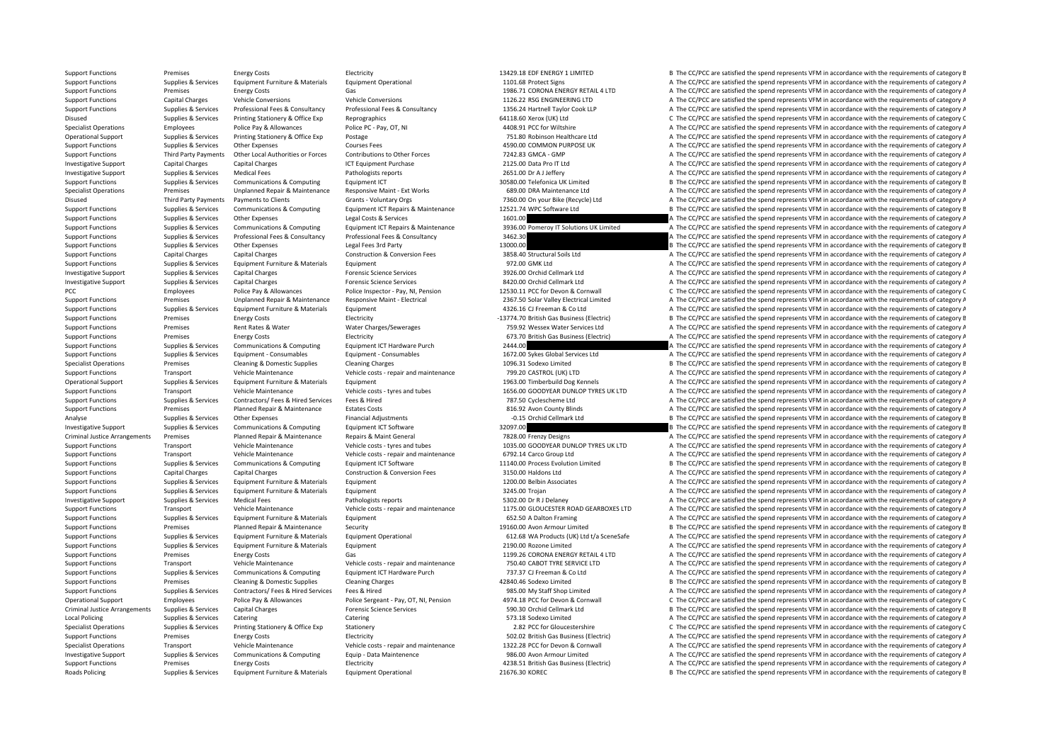Support Functions Premises Energy Costs Electricity Electricity and the Electricity 13429.18 EDF ENERGY 1 LIMITED B The CC/PCC are satisfied the spend represents VFM in accordance with the requirements of category B Support Functions Supplies & Services Equipment Furniture & Materials Equipment Operational Equipment Operational 1101.68 Protect Signs A The CC/PCC are satisfied the spend represents VFM in accordance with the requirement Support Functions Premises Premises Energy Costs Gas Gas Gas Conversions Gas 1986.71 CORONA ENERGY RETAIL 4 LTD A The CC/PCC are satisfied the spend represents VFM in accordance with the requirements of category A The Coro Support Functions Capital Charges Vehicle Conversions Vehicle Conversions 1126.22 RSG ENGINEERING LTD A The CC/PCC are satisfied the spend represents VFM in accordance with the requirements of category A Support Functions Supplies & Services Professional Fees & Consultancy Professional Fees & Consultancy Professional Fees & Consultancy Professional Fees & Consultancy 1356.24 Hartnell Taylor Cook LLP A The CC/PCC are satisf Disused Supplies & Services Printing Stationery & Office Exp Reprographics express and the spend and the spend reprographics of category C The CC/PCC are satisfied the spend represents VFM in accordance with the requiremen Specialist Operations Employees Police Pay & Allowances Police PC - Pay, OT, NI 4408.91 PCC for Wiltshire A The CC/PCC are satisfied the spend represents VFM in accordance with the requirements of category A Operational Support Supplies & Services Printing Stationery & Office Exp Postage 751.80 Robinson Healthcare Ltd A The CC/PCC are satisfied the spend represents VFM in accordance with the requirements of category A Thurchca Support Functions Supplies & Services Other Expenses Courses Fees Courses Fees 4590.00 COMMON PURPOSE UK A The CC/PCC are satisfied the spend represents VFM in accordance with the requirements of category A Support Functions Third Party Payments Other Local Authorities or Forces Contributions to Other Forces 7242.83 GMCA - GMP A The CC/PCC are satisfied the spend represents VFM in accordance with the requirements of category Investigative Support Capital Charges Capital Charges Capital Charges ICT Equipment Purchase 2125.00 Data Pro IT Ltd A The CC/PCC are satisfied the spend represents VFM in accordance with the requirements of category A The Investigative Support Supplies & Services Medical Fees Pathologists reports Pathologists reports 2651.00 Dr A J Jeffery A The CC/PCC are satisfied the spend represents VFM in accordance with the requirements of category A Support Functions Supplies & Services Communications & Computing Equipment ICT and Equipment ICT and a Support Equipment ICT and a Support Equipment ICT and the Services of category B and the Services of Computing a Suppor Specialist Operations Premises Unplanned Repair A The CC/PCC are satisfied the spend represents VFM in accordance with the requirements of category A Disused Third Party Payments Payments to Clients Grants - Voluntary Orgs 7360.00 On your Bike (Recycle) Ltd A The CC/PCC are satisfied the spend represents VFM in accordance with the requirements of category A Support Functions Supplies & Services Communications & Computing Equipment ICT Repairs & Maintenance 12521.74 WPC Software Ltd B The CC/PCC are satisfied the spend represents VFM in accordance with the requirements of category B Support Functions Supplies A Supplies Concrete Other Constants Concreted A The Services Costs 2012.<br>A The CC/PCC are satisfied the spend represents VFM in accordance with the requirements of category A Supplies & Services Communications & Computing Equipment ICT Repairs & Maintenance 3936.00 Pomeroy IT Solutions UK Limited A The CC/PCC are satisfied the spend represents VFM in accordance with the requirements of category Support Functions Supplies & Services Professional Fees & Consultancy Professional Fees & Consultancy Professional Fees & Consultancy 3462.30 A The CC/PCC are satisfied the spend represents VFM in accordance with the requi Support Functions Supplies & Services Other Expenses Legal Fees 3rd Party 13000.00 13000.00 B The CC/PCC are satisfied the spend represents VFM in accordance with the requirements of category B Support Functions Capital Charges Capital Charges Capital Charges Construction & Construction & Conversion Fees 3858.40 Structural Soils Ltd A The CC/PCC are satisfied the spend represents VFM in accordance with the requir Support Functions Supplies & Services Faulyment Furniture & Materials Faulyment 972.00 GMK Ltd A The CC/PCC are satisfied the spend represents VFM in accordance with the requirements of category A Investigative Support Supplies & Services Capital Charges Forensic Science Services Forensic Science Services 3926.00 Orchid Cellmark Ltd A The CC/PCC are satisfied the spend represents VFM in accordance with the requireme Investigative Support Supplies & Services Capital Charges Forensic Science Services Forensic Science Services 8420.00 Orchid Cellmark Ltd A The CC/PCC are satisfied the spend represents VFM in accordance with the requireme examples Police Pay & Allowances Police Inspector - Pay, NI, Pension 12530.11 PCC for Devon & Cornwall C The CC/PCC are satisfied the spend represents VFM in accordance with the requirements of category C Support Functions Premises Premises Unplanned Repair & Maintenance Responsive Maint - Electrical examples 2367.50 Solar Valley Electrical Limited A The CC/PCC are satisfied the spend represents VFM in accordance with the r Support Functions Supplies & Services Equipment Furniture & Materials Equipment A The COLL A The CC/PCC are satisfied the spend represents VFM in accordance with the requirements of category A Support Functions Premises Energy Costs Electricity Electricity **Electricity Electricity 13774.70** British Gas Business (Electric) B The CC/PCC are satisfied the spend represents VFM in accordance with the requirements Support Functions Premises Rent Rates & Water Water Charges/Sewerages 759.92 Wessex Water Services Ltd A The CC/PCC are satisfied the spend represents VFM in accordance with the requirements of category A Support Functions Premises Fuerzy Costs Functions Electricity Electricity 673.70 British Gas Business (Flectric) A The CC/PCC are satisfied the spend represents VFM in accordance with the requirements of category A Support Functions Supplies & Services Communications & Computing Equipment ICT Hardware Purch 2444.00 2444.00 A The CC/PCC are satisfied the spend represents VFM in accordance with the requirements of category A The Cripme Support Functions Supplies & Services Foulyment • Consumables Equipment • Consumables Equipment • Consumables Consumables 1672.00 Sykes Global Services Ltd A The CC/PCC are satisfied the spend represents VFM in accordance Specialist Operations Premises Cleaning & Domestic Supplies Cleaning Charges Cleaning Charges 1096.31 Sodexo Limited B The CC/PCC are satisfied the spend represents VFM in accordance with the requirements of category B Support Functions Transport Vehicle Maintenance Vehicle costs - repair and maintenance 799.20 CASTROL (UK) LTD A The CC/PCC are satisfied the spend represents VFM in accordance with the requirements of category A Operational Support Supplies & Services Equipment Furniture & Materials Equipment 1963.00 Timberbuild Dog Kennels A The CC/PCC are satisfied the spend represents VFM in accordance with the requirements of category A Support Functions Transport Vehicle Maintenance Vehicle costs – tyres and tubes 1656.00 GOODYEAR DUNLOP TYRES UK LTD A The CC/PCC are satisfied the spend represents VFM in accordance with the requirements of category A Support Functions Supplies & Services Contractors/ Fees & Hired Services Fees & Hired The Microsoft Restance 1 Contractors/ Fees & Hired Services Fees & Hired The CO/PCC area attended the spend represents VFM in accordance Support Functions Premises Planned Repair & Maintenance Estates Costs 816.92 Avon County Blinds A The CC/PCC are satisfied the spend represents VFM in accordance with the requirements of category A Analyse Supplies A Services Other Expenses Financial Adjustments Financial Adjustments **Financial Adjustments Financial Adjustments** and the COLLIS Orchid Cellmark Ltd B The CC/PCC are satisfied the spend represents VFM Investigative Support Supplies & Services Communications & Computing Equipment ICT Software 32097.00 32097.00 B The CC/PCC are satisfied the spend represents VFM in accordance with the requirements of category B Criminal Justice Arrangements Premises Planned Repair & Maintenance Repairs & Maint General 7828.00 Frenzy Designs A The CC/PCC are satisfied the spend represents VFM in accordance with the requirements of category A Support Functions Transport Vehicle Maintenance Vehicle costs – tyres and tubes 1035.00 GOODYEAR DUNLOP TYRES UK LTD A The CC/PCC are satisfied the spend represents VFM in accordance with the requirements of category A Support Functions Transport Vehicle Maintenance Vehicle costs - repair and maintenance 6792.14 Carco Group Ltd A The CC/PCC are satisfied the spend represents VFM in accordance with the requirements of category B<br>A The CC/ Support Functions Supplies & Services Communications & Computing Equipment ICT Software 11140.00 Process Evolution Limited B The CC/PCC are satisfied the spend represents VFM in accordance with the requirements of category Support Functions Capital Charges Capital Charges Construction & Conversion Fees 3150.00 Haldons Ltd A The CC/PCC are satisfied the spend represents VFM in accordance with the requirements of category A Support Functions Supplies & Services Equipment Furniture & Materials Equipment 1200.00 Belbin Associates A The CC/PCC are satisfied the spend represents VFM in accordance with the requirements of category A Support Functions Supplies & Services Equipment Furniture & Materials Equipment and the service Equipment and the CO/PC are satisfied the spend represents VFM in accordance with the requirements of category A Investigative Support Supplies & Services Medical Fees Medical Fees Pathologists reports Pathologists reports Support Pathologists reports Support Pathologists reports Support Pathologists reports Support Pathologists repo Support Functions Transport Vehicle Maintenance Vehicle costs-repair and maintenance 1175.00 GLOUCESTER ROAD GEARBOXES LTD A The CC/PCC are satisfied the spend represents VFM in accordance with the requirements of category Equipment Functions Support Functions Supplies A The CC/PCC are satisfied the spend represents VFM in accordance with the requirements of category A Support Functions Premises Planned Repair & Maintenance Security 19160.00 Avon Armour Limited B The CC/PCC are satisfied the spend represents VFM in accordance with the requirements of category B Supplies & Services Equipment Furniture & Materials Equipment Operational 612.68 WA Products (UK) Ltd t/a SceneSafe A The CC/PCC are satisfied the spend represents VFM in accordance with the requirements of category A Support Functions Supplies & Services Equipment Furniture & Materials Equipment 2190.00 Rozone Limited A The CC/PCC are satisfied the spend represents VFM in accordance with the requirements of category A Support Functions Premises Energy Costs Gas Gas Gas Contact Contact Contact Contact Contact Contact Contact Contact Contact Contact Contact Contact A The CC/PCC are satisfied the spend represents VFM in accordance with the Support Functions Transport Vehicle Maintenance Vehicle costs ‐ repair and maintenance 750.40 CABOT TYRE SERVICE LTD A The CC/PCC are satisfied the spend represents VFM in accordance with the requirements of category A Support Functions Supplies & Services Communications & Computing Equipment ICT Hardware Purch 737.37 CJ Freeman & Co Ltd A The CC/PCC are satisfied the spend represents VFM in accordance with the requirements of category B Support Functions Premises Cleaning & Domestic Supplies Cleaning Charges Cleaning Charges A2840.46 Sodexo Limited B The CC/PCC are satisfied the spend represents VFM in accordance with the requirements of category B Support Functions Supplies & Services Contractors/ Fees & Hired Services Fees & Hired 985.00 My Staff Shop Limited A The CC/PCC are satisfied the spend represents VFM in accordance with the requirements of category A Operational Support Employees Police Pay & Allowances Police Sergeant - Pay, OT, NI, Pension 4974.18 PCC for Devon & Cornwall Criminal Justice Arrangements of category Comminal Justice Arrangements Supplies & Services Capi B The CC/PCC are satisfied the spend represents VFM in accordance with the requirements of category B Local Policing Supplies & Services Catering Catering Catering Catering Catering Catering Catering Catering Catering Catering ST3.18 Sodexo Limited A The CC/PCC are satisfied the spend represents VFM in accordance with the Specialist Operations Supplies & Services Printing Stationery & Office Exp Stationery Stationery 2.82 PCC for Gloucestershire C The CC/PCC are satisfied the spend represents VFM in accordance with the requirements of categ A The CC/PCC are satisfied the spend represents VFM in accordance with the requirements of category A Specialist Operations Transport Vehicle Maintenance Vehicle Costs - repair and maintenance 2022.28 PCC for Devon & Cornwall A The CC/PCC are satisfied the spend represents VFM in accordance with the requirements of categor Investigative Support Supplies & Services Communications & Computing Equip - Data Maintenence 986.00 Avon Armour Limited A The CC/PCC are satisfied the spend represents VFM in accordance with the requirements of category A Support Functions Premises Energy Costs Electricity Electricity A The COSTS A The CC/PCC are satisfied the spend represents VFM in accordance with the requirements of category A Roads Policing Supplies & Services Equipment Furniture & Materials Equipment Operational Equipment Operational 21676.30 KOREC B The CC/PCC are satisfied the spend represents VFM in accordance with the requirements of categ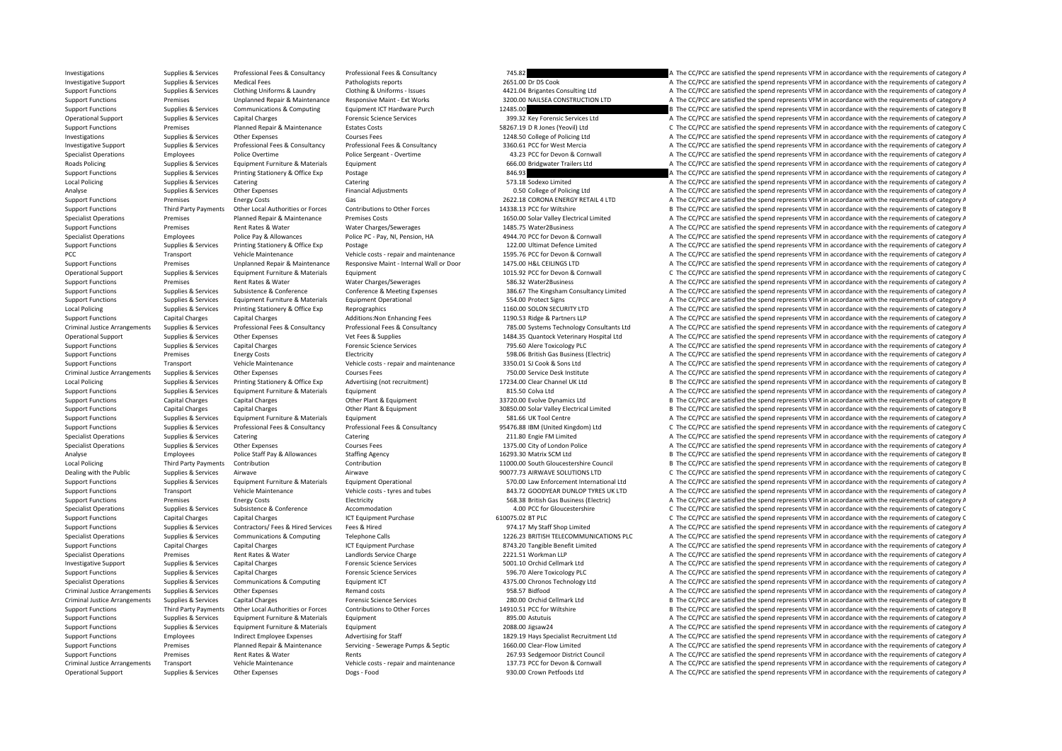Investigations Supplies & Services Professional Fees & Consultancy Professional Fees & Consultancy Professional Fees & Consultancy 745.82 745.82 A The CC/PCC are satisfied the spend represents VFM in accordance with the re Investigative Support Supplies & Services Medical Fees Medical Fees Pathologists reports Pathologists reports 2651.00 Dr DS Cook A The CC/PCC are satisfied the spend represents VFM in accordance with the requirements of ca Support Functions Supplies & Services Clothing Uniforms & Laundry Clothing & Uniforms - Issues Clothing Antions - Issues and the Mathemate Consulting Ltd and the CC/PCC are satisfied the spend represents VFM in accordance Support Functions Premises Unplanned Repair & Maintenance Responsive Maint ‐ Ext Works 3200.00 NAILSEA CONSTRUCTION LTD A The CC/PCC are satisfied the spend represents VFM in accordance with the requirements of category A Support Functions Supplies & Services Communications & Computing Equipment ICT Hardware Purch 12485.00 B The CC/PCC are satisfied the spend represents VFM in accordance with the requirements of category B Operational Support Supplies & Services Capital Charges Forensic Science Services Forensic Science Services 399.32 Key Forensic Services Ltd A The CC/PCC are satisfied the spend represents VFM in accordance with the requir Support Functions Premises Planned Repair & Maintenance Estates Costs 58267.19 D R Jones (Yeovil) Ltd C The CC/PCC are satisfied the spend represents VFM in accordance with the requirements of category C Investigations Supplies & Services Other Expenses Courses Fees Courses Fees 2001698 Fees 1248.50 College of Policing Ltd A The CC/PCC are satisfied the spend represents VFM in accordance with the requirements of category A Investigative Supplies & Services Professional Fees & Consultancy Professional Fees & Consultancy Professional Fees & Consultancy Professional Fees & Consultancy 2003 and 2006 and reproduced a material A The CC/PCC are sat Specialist Operations Employees Police Overtime Police Sergeant - Overtime Police Sergeant - Overtime Police Sergeant - Overtime 43.23 PCC for Devon & Cornwall A The CC/PCC are satisfied the spend represents VFM in accorda Roads Policing Supplies & Services Equipment Furniture & Materials Equipment extends Equipment 666.00 Bridgwater Trailers Ltd A The CC/PCC are satisfied the spend represents VFM in accordance with the requirements of categ Support Functions Supplies & Services Printing Stationery & Office Exp Postage 846.93 a The CC/PCC are satisfied the spend represents VFM in accordance with the requirements of category A Local Policing Supplies & Services Catering Catering Catering Catering Catering Catering Catering Catering Catering Catering States and the CC/PC are satisfied the spend represents VFM in accordance with the requirements o A The CC/PCC are satisfied the spend represents VFM in accordance with the requirements of category A Support Functions Premises Energy Costs Gas Gas Content Content Content Content Content Content Content Content Content Content Content Content Content Content Content Of category A The CC/PCC are satisfied the spend repre Support Functions Third Party Payments Other Local Authorities or Forces Contributions to Other Forces 14338.13 PCC for Wiltshire Burde and the CC/PCC are satisfied the spend represents VFM in accordance with the requireme A The CC/PCC are satisfied the spend represents VFM in accordance with the requirements of category A Support Functions Premises Rent Rates & Water Water Charges/Sewerages 1485.75 Water2Business A The CC/PCC are satisfied the spend represents VFM in accordance with the requirements of category A Specialist Operations Employees Police Pay & Allowances Police PC - Pay, NI, Pension, HA 4944.70 PCC for Devon & Cornwall A The CC/PCC are satisfied the spend represents VFM in accordance with the requirements of category Support Functions Supplies & Services Printing Stationery & Office Exp Postage 122.00 Ultimat Defence Limited A The CC/PCC are satisfied the spend represents VFM in accordance with the requirements of category A PCC Transport Vehicle Maintenance Vehicle costs ‐ repair and maintenance 1595.76 PCC for Devon & Cornwall A The CC/PCC are satisfied the spend represents VFM in accordance with the requirements of category A The Criterial A The CC/PCC are satisfied the spend represents VFM in accordance with the requirements of category A Operational Support Supplies & Services Equipment Furniture & Materials Equipment Equipment Equipment and the Services Cornwall C The CC/PCC are satisfied the spend represents VFM in accordance with the requirements of cat Support Functions Premises Rent Rates & Water Water Charges/Sewerages 586.32 Water2Business A The CC/PCC are satisfied the spend represents VFM in accordance with the requirements of category A Suppliers & Services Subsistence & Conference Conference Conference Conference Conference Conference Conference Conference Conference and Detection Consultance and a The CC/PCC are satisfied the spend represents VFM in acc Support Functions Supplies & Services Equipment Furniture & Materials Equipment Operational Equipment Operational 554.00 Protect Signs A The CC/PCC are satisfied the spend represents VFM in accordance with the requirements Roperation Supplies A The CC/PCC are satisfied the spend represents VFM in accordance with the requirements of category A The CC/PCC are satisfied the spend represents VFM in accordance with the requirements of category A Support Functions Capital Charges Capital Charges Additions:Non Enhancing Fees 1190.53 Ridge & Partners LLP A The CC/PCC are satisfied the spend represents VFM in accordance with the requirements of category A Criminal Justice Arrangements Supplies & Services Professional Fees & Consultancy Professional Fees & Consultancy Professional Fees & Consultancy Professional Fees & Consultancy Professional Fees & Consultancy 785.00 Syste Operational Support Supplies & Services Other Expenses Vet Fees & Supplies Vet Free & Supplies 1484.35 Quantock Veterinary Hospital Ltd A The CC/PCC are astisfied the spend represents VFM in accordance with the requirement Support Functions Supplies & Services Capital Charges Forensic Science Services Forensic Science Services 795.60 Alere Toxicology PLC A The CC/PCC are satisfied the spend represents VFM in accordance with the requirements Support Functions Premises Premises Energy Costs Electricity Electricity Samples and the CC/PCC are satisfied the spend represents VFM in accordance with the requirements of category A Support Functions Transport Vehicle Maintenance Vehicle costs ‐ repair and maintenance 3350.01 SJ Cook & Sons Ltd A The CC/PCC are satisfied the spend represents VFM in accordance with the requirements of category A Criminal Justice Arrangements Supplies & Services Other Expenses Courses Fees Courses Fees 750.00 Service Desk Institute A The CC/PCC are satisfied the spend represents VFM in accordance with the requirements of category A Local Policing Contract the Supplies & Services Printing Stationery & Office Exp Advertising (not recruitment) 17234.00 Clear Channel LIK Itd B The CC/PCC are satisfied the spend represents VEM in accordance with the requi Support Functions Supplies & Services Equipment Furniture & Materials Equipment Buitoment 815.50 Colva Ltd A The CC/PCC are satisfied the spend represents VFM in accordance with the requirements of category A Support Functions Capital Charges Capital Charges Other Plant & Equipment 33720.00 Evolve Dynamics Ltd B The CC/PCC are satisfied the spend represents VFM in accordance with the requirements of category B Support Functions Capital Charges Capital Charges Other Plant & Equipment 30850.00 Solar Valley Electrical Limited B The CC/PCC are satisfied the spend represents VFM in accordance with the requirements of category B Support Functions Supplies & Services Equipment Furniture & Materials Equipment Equipment Supplies and Centre Supplies and Centre A The CC/PCC are satisfied the spend represents VFM in accordance with the requirements of c Supplies & Services Professional Fees & Consultancy Professional Fees & Consultancy Professional Fees & Consultancy Professional Fees & Consultancy Professional Fees & Consultancy Professional Fees & Consultancy 95476.88 I Specialist Operations Supplies & Services Catering Catering Catering Catering Catering Catering Catering Category A The CC/PCC are satisfied the spend represents VFM in accordance with the requirements of category A Specialist Operations Supplies & Services Other Expenses Courses Fees Courses Fees 1375.00 City of London Police A The CC/PCC are satisfied the spend represents VFM in accordance with the requirements of category A Analyse Employees Police Staff Pay & Allowances Staffing Agency 16293.30 Matrix SCM Ltd B The CC/PCC are satisfied the spend represents VFM in accordance with the requirements of category B Local Policing Third Party Payments Contribution Contribution Contribution Contribution Contribution 11000.00 South Gloucestershire Council B The CC/PCC are satisfied the spend represents VFM in accordance with the require Dealing with the Public Supplies & Services Airwave Airwave Airwave Airwave Airwave Airwave Airwave Airwave Airwave Airwave Airwave Airwave Airwave Airwave Airwave Airwave Airwave Airwave Airwave Airwave Airwave Airwave Ai Support Functions Supplies & Services Equipment Furniture & Materials Equipment Operational example to the STO.00 Law Enforcement International Ltd A The CC/PCC are satisfied the spend represents VFM in accordance with the Support Functions Transport Vehicle Maintenance Vehicle costs - tyres and tubes 843.72 GOODYEAR DUNLOP TYRES UK LTD A The CC/PCC are satisfied the spend represents VFM in accordance with the requirements of category A Support Functions Premises Energy Costs Electricity Electricity Electricity 568.38 British Gas Business (Electric) A The CC/PCC are satisfied the spend represents VFM in accordance with the requirements of category A Specialist Operations Supplies & Services Subsistence Subsistence Accommodation Accommodation Accommodation Accommodation Accommodation 4.00 PCC for Gloucestershire C The CC/PCC are satisfied the spend represents VFM in ac C The CC/PCC are satisfied the spend represents VFM in accordance with the requirements of category C Support Functions Supplies & Services Contractors/ Fees & Hired Services Fees & Hired Services Fees & Hired 974.17 My Staff Shop Limited A The CC/PCC are satisfied the spend represents VFM in accordance with the requiremen Specialist Operations Supplies & Services Communications & Computing Telephone Calls The COLOGO 1226.23 BRITISH TELECOMMUNICATIONS PLC A The CC/PCC are satisfied the spend represents VFM in accordance with the requirements Support Functions Capital Charges Capital Charges Capital Charges ICT Equipment Purchase 8743.20 Tangible Benefit Limited A The CC/PCC are satisfied the spend represents VFM in accordance with the requirements of category Specialist Operations Premises Premises Rent Rates & Water Landlords Service Charge 2221.51 Workman LLP A The CC/PCC are satisfied the spend represents VFM in accordance with the requirements of category A The Creative Ser Investigative Support Supplies & Services Capital Charges Forensic Science Services Forensic Science Services 5001.10 Orchid Cellmark Ltd A The CC/PCC are satisfied the spend represents VFM in accordance with the requireme Support Functions Supplies & Services Capital Charges Forensic Science Services Forensic Science Services 596.70 Alere Toxicology PLC A The CC/PCC are satisfied the spend represents VFM in accordance with the requirements Specialist Operations Supplies & Services Communications & Computing Equipment ICT 4375.00 Chronos Technology Ltd A The CC/PCC are satisfied the spend represents VFM in accordance with the requirements of category A Criminal Justice Arrangements Supplies & Services Other Expenses Remand costs 8 and costs 958.57 Bidfood A The CC/PCC are satisfied the spend represents VFM in accordance with the requirements of category A Criminal Justice Arrangements Supplies & Services Capital Charges Procensic Science Services Procensic Science Services Procens 280.00 Orchid Cellmark Ltd B The CC/PCC are satisfied the spend represents VFM in accordance w B The CC/PCC are satisfied the spend represents VFM in accordance with the requirements of category B Support Functions Supplies & Services Equipment Furniture & Materials Equipment Butifure Equipment a Equipment Butifure and the CO/PCC are satisfied the spend represents VFM in accordance with the requirements of category Support Functions Supplies & Services Equipment Furniture & Materials Equipment Equipment Equipment Equipment Equipment Equipment and the Services and the Services Advertising for Staff and the Services and the Service and A The CC/PCC are satisfied the spend represents VFM in accordance with the requirements of category A Support Functions Premises Planned Repair & Maintenance Servicing - Sewerage Pumps & Septic 1660.00 Clear-Flow Limited A The CC/PCC are satisfied the spend represents VFM in accordance with the requirements of category A T Support Functions Premises Rent Rates & Water Rents Rents Rents Rents 267.93 Sedgemoor District Council A The CC/PCC are satisfied the spend represents VFM in accordance with the requirements of category A Criminal Justice Arrangements Transport Vehicle Maintenance Vehicle Costs - repair and maintenance Service of the COVEC are satisfied the spend represents VFM in accordance with the requirements of category A Operational Support Supplies & Services Other Expenses Dogs - Food Dogs - Food 930.00 Crown Petfoods Ltd A The CC/PCC are satisfied the spend represents VFM in accordance with the requirements of category A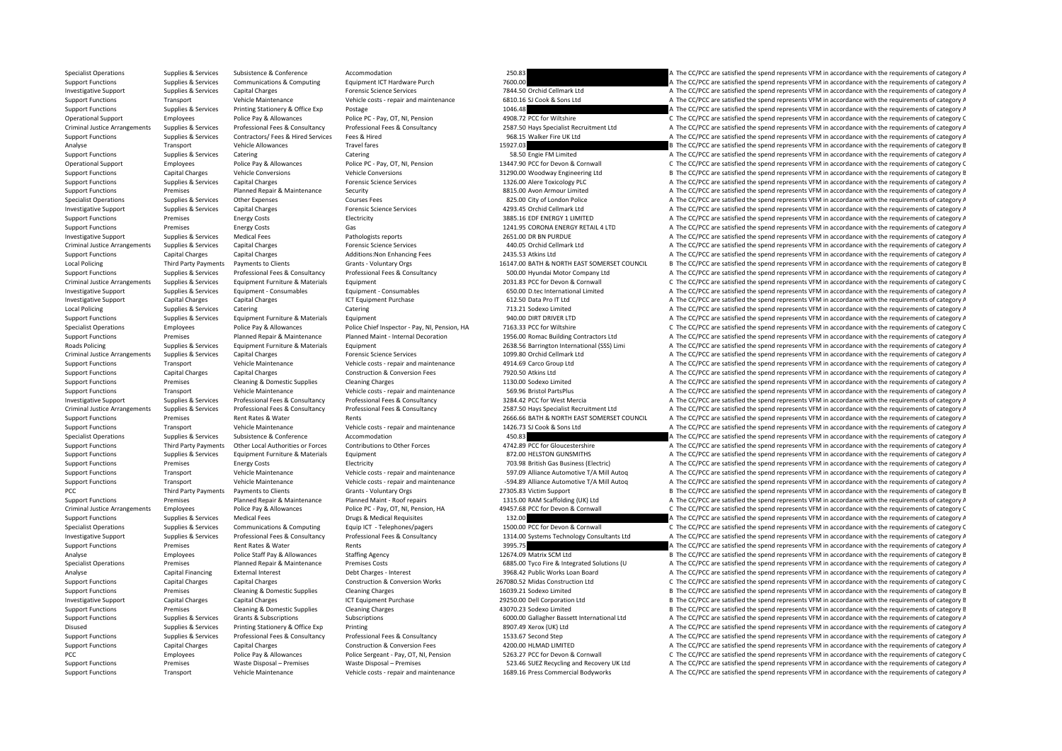Specialist Operations Supplies & Services Subsistence & Conference Accommodation Accommodation 250.83 A The CC/PCC are satisfied the spend represents VFM in accordance with the requirements of category A Support Functions Supplies & Services Communications & Computing Equipment ICT Hardware Purch 7600.00 7844.50 Orchid Cellmark Ltd A The CC/PCC are satisfied the spend represents VFM in accordance with the requirements of c Investigative Support Supplies & Services Capital Charges Forensic Science Services Forensic Science Services Forensic Science Services 7844.50 Orchid Cellmark Ltd A The CC/PCC are satisfied the spend represents VFM in acc Support Functions Transport Vehicle Maintenance Vehicle costs ‐ repair and maintenance 6810.16 SJ Cook & Sons Ltd A The CC/PCC are satisfied the spend represents VFM in accordance with the requirements of category A Support Functions Supplies & Services Printing Stationery & Office Exp Postage 1046.48 1046.48 A The CC/PCC are satisfied the spend represents VFM in accordance with the requirements of category A Operational Support Employees Police Pay & Allowances Police PC - Pay, OT, NI, Pension 4908.72 PCC for Wiltshire C The CC/PCC are satisfied the spend represents VFM in accordance with the requirements of category C Criminal Justice Arrangements Supplies & Services Professional Fees & Consultancy Professional Fees & Consultancy Professional Fees & Consultancy Professional Fees & Consultancy Professional Fees & Consultancy 2587.50 Hays Support Functions Supplies & Services Contractors/ Fees & Hired Services Fees & Hired 968.15 Walker Fire UK Ltd A The CC/PCC are satisfied the spend represents VFM in accordance with the requirements of category A Thanks a Analyse Transport Vehicle Allowances Travel fares Travel fares 15927.03 B The CC/PCC are satisfied the spend represents VFM in accordance with the requirements of category B Support Functions Supplies & Services Catering Catering Catering Catering Catering Catering Catering Catering Category A The CC/PCC are satisfied the spend represents VFM in accordance with the requirements of category A Operational Support Employees Police Pay & Allowances Police PC · Pay, OT, NI, Pension 13447.90 PCC for Devon & Cornwall C The CC/PCC are satisfied the spend represents VFM in accordance with the requirements of category C Support Functions Capital Charges Vehicle Conversions Vehicle Conversions Vehicle Conversions and a structure and the spend represents very a satisfied the spend represents VFM in accordance with the requirements of catego Support Functions Supplies & Services Capital Charges Forensic Science Services Forensic Science Services Forensic Science Services 1326.00 Alere Toxicology PLC A The CC/PCC are satisfied the spend represents VFM in accord Security **A The CC/PCC are satisfied the spend represents VFM** in accordance with the requirements of category A Specialist Operations Supplies & Services Other Expenses Courses Fees Courses Fees 825.00 City of London Police A The CC/PCC are satisfied the spend represents VFM in accordance with the requirements of category A Investigative Support Supplies & Services Capital Charges A Capital Charges Forensic Science Services Forensic Science Services A The CC/PCC are satisfied the spend represents VFM in accordance with the requirements of cat A The CC/PCC are satisfied the spend represents VFM in accordance with the requirements of category A Support Functions Premises Energy Costs Gas Gas 1241.95 CORONA ENERGY RETAIL 4 LTD A The CC/PCC are satisfied the spend represents VFM in accordance with the requirements of category A Investigative Support Supplies & Services Medical Fees Pathologists reports Pathologists reports 2651.00 DR BN PURDUE A The CC/PCC are satisfied the spend represents VFM in accordance with the requirements of category A Criminal Justice Arrangements Supplies & Services Capital Charges Forensic Science Services Forensic Science Services A The CC/PCC are satisfied the spend represents VFM in accordance with the requirements of category A Support Functions Capital Charges Capital Charges Capital Charges Additions:Non Enhancing Fees 2435.53 Atkins Ltd A The CC/PCC are satisfied the spend represents VFM in accordance with the requirements of category A The Cr Third Party Payments to Clients Care Grants - Voluntary Orgs 6147.00 BATH & NORTH FAST SOMERSET COUNCIL B. The CC/PCC are satisfied the spend represents VEM in accordance with the requirements of category B Supplies & Services Professional Fees & Consultancy Professional Fees & Consultancy Professional Fees & Consultancy Professional Fees & Consultancy 500.00 Hyundai Motor Company Ltd A The CC/PCC are satisfied the spend repr Criminal Justice Arrangements Supplies & Services Equipment Furniture & Materials Equipment Euripment Equipment Euripment Equipment Euripment 2031.83 PCC for Devon & Cornwall C The CC/PCC are satisfied the spend represents Investigative Supplies & Services Fourinment - Consumables Fourinment - Consumables Fourinment - Consumables Fourinment - Consumables Fourinment - Consumables Fourinment - Consumables Fourinment - Consumables Fourinment - Investigative Support Capital Charges Capital Charges Capital Charges ICT Equipment Purchase **612.50 Data Pro IT Ltd** A The CC/PCC are satisfied the spend represents VFM in accordance with the requirements of category A Th Catering Catering Catering Catering Catering Catering Catering T13.21 Sodexo Limited A The CC/PCC are satisfied the spend represents VFM in accordance with the requirements of category A Support Functions Supplies & Services Equipment Furniture & Materials Equipment external Equipment 940.00 DIRT DRIVER LTD A The CC/PCC are satisfied the spend represents VFM in accordance with the requirements of category Specialist Operations Employees Police Pay & Allowances Police Chief Inspector - Pay, NI, Pension, HA 7163.33 PCC for Wiltshire C The CC/PCC are satisfied the spend represents VFM in accordance with the requirements of cat Support Functions Premises Planned Repair & Maintenance Planned Maint - Internal Decoration 1956.00 Romac Building Contractors I td A The CC/PCC are satisfied the spend represents VFM in accordance with the requirements of Roads Policing Supplies & Services Equipment Furniture & Materials Equipment Equipment 2638.56 Barrington International (SSS) Limi A The CC/PCC are satisfied the spend represents VFM in accordance with the requirements of Criminal Justice Arrangements Supplies & Services Capital Charges Forensic Science Services Forensic Science Services 1099.80 Orchid Cellmark Ltd A The CC/PCC are satisfied the spend represents VFM in accordance with the r Support Functions Transport Vehicle Maintenance Vehicle costs ‐ repair and maintenance 4914.69 Carco Group Ltd A The CC/PCC are satisfied the spend represents VFM in accordance with the requirements of category A Support Functions Capital Charges Capital Charges Construction & Conversion Fees 7920.50 Atkins Ltd A The CC/PCC are satisfied the spend represents VFM in accordance with the requirements of category A Support Functions Premises Cleaning & Domestic Supplies Cleaning Charges 1130.00 Sodexo Limited A The CC/PCC are satisfied the spend represents VFM in accordance with the requirements of category A Support Functions Transport Vehicle Maintenance Vehicle costs ‐ repair and maintenance 569.96 Bristol PartsPlus A The CC/PCC are satisfied the spend represents VFM in accordance with the requirements of category A Investigative Support Supplies & Services Professional Fees & Consultancy Professional Fees & Consultancy Professional Fees & Consultancy Professional Fees & Consultancy Professional Fees & Consultancy 3284.42 PCC for West Criminal Justice Arrangements Supplies & Services Professional Fees & Consultancy Professional Fees & Consultancy Professional Fees & Consultancy Professional Fees & Consultancy Professional Fees & Consultancy 2587.50 Hays Support Functions Premises Rent Rates & Water Rents Rents Rents Rent Rates Rent Rates & Water Rents Rent Rents Rent Rents 2666.66 BATH & NORTH EAST SOMERSET COUNCIL A The CC/PCC are satisfied the spend represents VFM in ac Support Functions Transport Vehicle Maintenance Vehicle costs ‐ repair and maintenance 1426.73 SJ Cook & Sons Ltd A The CC/PCC are satisfied the spend represents VFM in accordance with the requirements of category A Specialist Operations Supplies & Services Subsistence Subsistence Accommodation 450.83 A The CC/PC are satisfied the spend represents VFM in accordance with the requirements of category A Support Functions Third Party Payments Other Local Authorities or Forces Contributions to Other Forces +4742.89 PCC for Gloucestershire + A The CC/PCC are satisfied the spend represents VFM in accordance with the requireme Support Functions Supplies & Services Equipment Furniture & Materials Equipment A The CZ/DCONSMITHS A The CC/PCC are satisfied the spend represents VFM in accordance with the requirements of category A Support Functions Premises Energy Costs Electricity Electricity 703.98 British Gas Business (Electricity A The CC/PCC are satisfied the spend represents VFM in accordance with the requirements of category A Support Functions Transport Vehicle Maintenance Vehicle Costs - repair and maintenance S97.09 Alliance Automotive T/A Mill Autoq A The CC/PCC are satisfied the spend represents VFM in accordance with the requirements of ca Support Functions Transport Vehicle Maintenance Vehicle costs - repair and maintenance - 594.89 Alliance Automotive T/A Mill Autog A The CC/PCC are satisfied the spend represents VFM in accordance with the requirements of PCC Third Party Payments Payments to Clients Grants - Voluntary Orgs 27305.83 Victim Support B The CC/PCC are satisfied the spend represents VFM in accordance with the requirements of category B Support Functions Premises Planned Repair & Maintenance Planned Maint - Roof repairs 1315.00 RAM Scaffolding (UK) Ltd A The CC/PCC are satisfied the spend represents VFM in accordance with the requirements of category C<br>Cr Criminal Justice Arrangements Employees Police Pay & Allowances Police Pay, OT, NI, Pension, HA and a 49457.68 PCC for Devon & Cornwall CThe CC/PCC are satisfied the spend represents VFM in accordance with the requirements Support Functions Supplies & Services Medical Fees Drugs & Medical Requisites Drugs & Medical Requisites Drugs & Medical Requisites 132.00 A The CC/PCC are satisfied the spend represents VFM in accordance with the requirem Specialist Operations Supplies & Services Communications & Computing Equip ICT - Telephones/pagers 1500.00 PCC for Devon & Cornwall C The CC/PCC are satisfied the spend represents VFM in accordance with the requirements of Investigative Support Supplies & Services Professional Fees & Consultancy Professional Fees & Consultancy Professional Fees & Consultancy Professional Fees & Consultancy Professional Fees & Consultancy 1314.00 Systems Tech Support Functions Premises Rent Rates & Water Rents Rents Rents and the Support Function A The CC/PCC are satisfied the spend represents VFM in accordance with the requirements of category A Analyse Employees Police Staff Pay & Allowances Staffing Agency 12674.09 Matrix SCM Ltd B The CC/PCC are satisfied the spend represents VFM in accordance with the requirements of category B Specialist Operations Premises P Specialist Operations Premises Planned Repair & Maintenance Premises Costs 6885.00 Tyco Fire & Integrated Solutions (U A The CC/PCC are satisfied the spend represents VFM in accordance with the requirements of category A Analyse Capital Financing External Interest Debt Charges - Interest Debt Charges and September 2016 2016 2016 2017 A The CC/PCC are satisfied the spend represents VFM in accordance with the requirements of category A Support Functions Capital Charges Capital Charges Construction & Conversion Works 267080.52 Midas Construction Ltd C The CC/PCC are satisfied the spend represents VFM in accordance with the requirements of category C Support Functions Premises Cleaning & Domestic Supplies Cleaning Charges Cleaning Charges 16039.21 Sodexo Limited B The CC/PCC are satisfied the spend represents VFM in accordance with the requirements of category B Investigative Support Capital Charges Capital Charges Capital Charges ICT Equipment Purchase 29250.00 Dell Corporation Ltd B The CC/PCC are satisfied the spend represents VFM in accordance with the requirements of category B The CC/PCC are satisfied the spend represents VFM in accordance with the requirements of category B Support Functions Supplies & Services Grants & Subscriptions Subscriptions Subscriptions Subscriptions Subscriptions Subscriptions and the Subscriptions of the Subscriptions of the Subscriptions of the Subscriptions of the Disused Supplies & Services Printing Stationery & Office Exp Printing Printing Printing Printing and the Service Stategory A The CC/PCC are satisfied the spend represents VFM in accordance with the requirements of category A The CC/PCC are satisfied the spend represents VFM in accordance with the requirements of category A Support Functions Capital Charges Capital Charges Construction & Conversion Fees 4200.00 HLMAD LIMITED A The CC/PCC are satisfied the spend represents VFM in accordance with the requirements of category A PCC Employees Police Pay & Allowances Police Sergeant - Pay, OT, NI, Pension 5263.27 PCC for Devon & Cornwall C The CC/PCC are satisfied the spend represents VFM in accordance with the requirements of category C Support Functions Premises Waste Disposal – Premises Waste Disposal – Premises Waste Disposal – Premises Waste Disposal – Premises Waste Disposal – Premises Stategory A The CC/PCC are satisfied the spend represents VFM in Support Transport Vehicle Maintenance Vehicle costs ‐ repair and maintenance 1689.16 Press Commercial Bodyworks A The CC/PCC are satisfied the spend represents VFM in accordance with the requirements of category A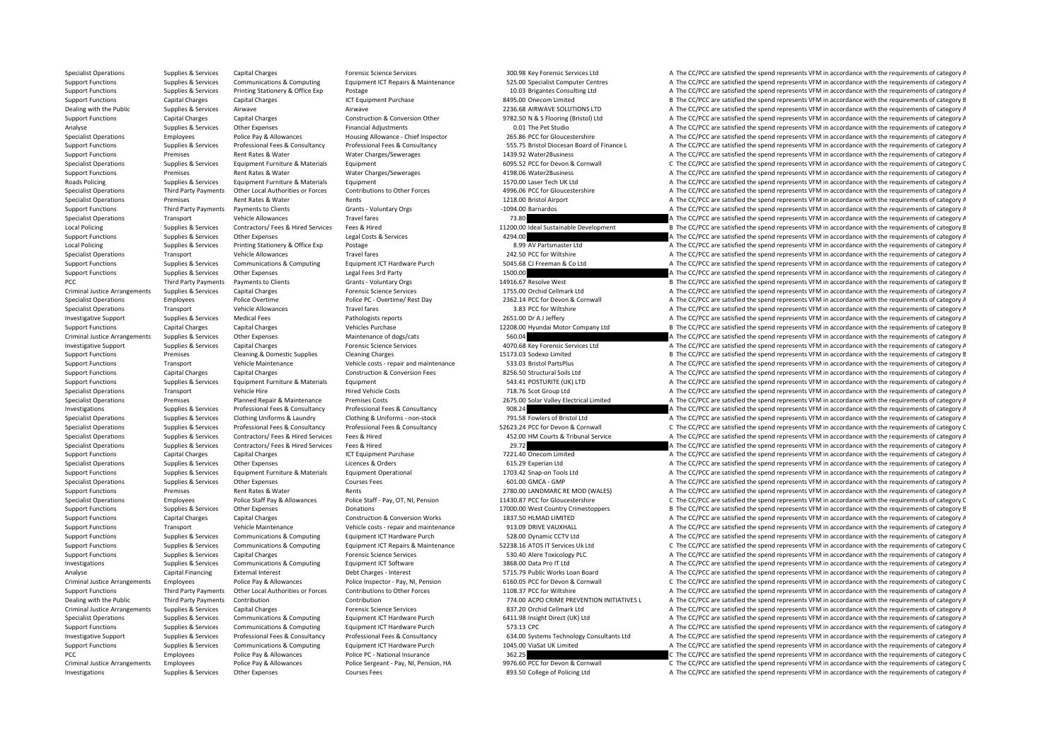Specialist Operations Supplies & Services Capital Charges Forensic Science Services 300.98 Key Forensic Services Ltd A The CC/PCC are satisfied the spend represents VFM in accordance with the requirements of category A

Supplies & Services Communications & Computing Equipment ICT Repairs & Maintenance 525.00 Specialist Computer Centres A The CC/PCC are satisfied the spend represents VFM in accordance with the requirements of category A Support Functions Supplies & Services Printing Stationery & Office Exp Postage Postage 10.03 Brigantes Consulting Ltd A The CC/PCC are satisfied the spend represents VFM in accordance with the requirements of category A Th Dealing with the Public Supplies & Services Airwave Airwave Airwave Airwave Airwave Airwave Airwave Airwave Airwave Airwave Airwave Airwave Airwave Airwave Airwave Airwave Airwave Airwave Airwave Airwave Airwave Airwave Ai Support Functions Capital Charges Capital Charges Construction & Conversion Other 9782.50 N & S Flooring (Bristol) Ltd A The CC/PCC are satisfied the spend represents VFM in accordance with the requirements of category A Analyse Supplies & Services Other Expenses Financial Adjustments Financial Adjustments and the Pet Studio A The CC/PCC are satisfied the spend represents VFM in accordance with the requirements of category A Specialist Operations Employees Police Pay & Allowances Housing Allowance - Chief Inspector 265.86 PCC for Gloucestershire A The CC/PCC are satisfied the spend represents VFM in accordance with the requirements of category Supplies & Services Professional Fees & Consultancy Professional Fees & Consultancy Professional Fees & Consultancy Professional Fees & Consultancy Professional Fees & Consultancy Professional Fees & Consultancy States and Support Functions Premises Rent Rates & Water Water Charges/Sewerages 1439.92 Water2Business A The CC/PCC are satisfied the spend represents VFM in accordance with the requirements of category A Specialist Operations Supplies & Services Equipment Furniture & Materials Equipment equipment Equipment Equipment Equipment Equipment equipment equipment experations of category C The CC/PCC are satisfied the spend represe Support Functions Premises Rent Rates & Water Water Charges/Sewerages 4198.06 Water2Business A The CC/PCC are satisfied the spend represents VFM in accordance with the requirements of category A Roads Policing Supplies & Services Equipment Furniture & Materials Equipment Equipment Equipment and the Equipment Equipment and the COLOGIE and A The CC/PCC are satisfied the spend represents VFM in accordance with the re Specialist Operations Premises Rent Rates & Water Rents Rents Rents Rents 1218.00 Bristol Airport A The CC/PCC are satisfied the spend represents VFM in accordance with the requirements of category A Support Functions Third Party Payments to Clients Grants Voluntary Orgs and the Support Crants Crants Crants Crants Grants Crants Crants Crants Crants Crants of category A The CC/PCC are satisfied the spend represents VFM Local Policing Supplies & Services Contractors/ Fees & Hired Services Fees & Hired 11200.00 Ideal Sustainable Development B The CC/PCC are satisfied the spend represents VFM in accordance with the requirements of category Support Functions Supplies & Services Other Expenses Legal Costs & Services A The COPCC are satisfied the spend represents VFM in accordance with the requirements of category A Local Policing Supplies & Services Printing Stationery & Office Exp Postage 8.99 AV Partsmaster Ltd A The CC/PCC are satisfied the spend represents VFM in accordance with the requirements of category A Specialist Operations Transport Wehicle Allowances Travel fares Travel fares 242.50 PCC for Wiltshire 242.50 PCC for Wiltshire A The CC/PCC are satisfied the spend represents VFM in accordance with the requirements of cate Support Functions Supplies & Services Communications & Computing Faultoment ICT Hardware Purch 5045.68 CJ Freeman & Co Ltd A The CC/PCC are satisfied the spend represents VFM in accordance with the requirements of category

Support Functions Supplies & Services Other Expenses Legal Fees 3rd Party Legal Fees 3rd Party 1500.00 1500.00 A The CC/PCC are satisfied the spend represents VFM in accordance with the requirements of category A PCC Third Party Payments Payments to Clients Grants - Voluntary Orgs 14916.67 Resolve West B The CC/PCC are satisfied the spend represents VFM in accordance with the requirements of category B Criminal Justice Arrangements Supplies & Services Capital Charges Forensic Science Services Forensic Science Services 1755.00 Orchid Cellmark Ltd A The CC/PCC are satisfied the spend represents VFM in accordance with the r Specialist Operations Employees Police Overtime Police PC-Overtime/ Rest Day 2362.14 PCC for Devon & Cornwall A The CC/PCC are satisfied the spend represents VFM in accordance with the requirements of category A The Criter Transport Vehicle Allowances Travel fares Travel fares and the specialist Operations of category A The CC/PCC are satisfied the spend represents VFM in accordance with the requirements of category A Investigative Support Supplies & Services Medical Fees Pathologists reports Pathologists reports 2651.00 Dr A J Jeffery A The CC/PCC are satisfied the spend represents VFM in accordance with the requirements of category A Support Functions Capital Charges Capital Charges Vehicles Purchase Vehicles Purchase 12208.00 Hyundai Motor Company Ltd B The CC/PCC are satisfied the spend represents VFM in accordance with the requirements of category B Criminal Justice Arrangements Supplies Services Other Expenses Maintenance of dogs/cats Service of dogs/cats 560.04 A The CC/PCC are satisfied the spend represents VFM in accordance with the requirements of category A The Investigative Support Supplies & Services Capital Charges Forensic Science Services Forensic Science Services Forensic Science Services 4070.68 Key Forensic Services Ltd A The CC/PCC are satisfied the spend represents VFM Support Functions Premises Cleaning & Domestic Supplies Cleaning Charges 15173.03 Sodexo Limited B The CC/PCC are satisfied the spend represents VFM in accordance with the requirements of category B Support Functions Transport Vehicle Maintenance Vehicle costs ‐ repair and maintenance 533.03 Bristol PartsPlus A The CC/PCC are satisfied the spend represents VFM in accordance with the requirements of category A Support Functions Capital Charges Capital Charges Construction & Conversion Fees 8256.50 Structural Soils Ltd A The CC/PCC are satisfied the spend represents VFM in accordance with the requirements of category A Support Functions Supplies & Services Faulyment Furniture & Materials Faulyment 543.41 POSTURITE (UK) LTD A The CC/PCC are satisfied the spend represents VFM in accordance with the requirements of category A Specialist Operations Transport Vehicle Hire Hired Vehicle Costs Hired Vehicle Costs 718.76 Scot Group Ltd A The CC/PCC are satisfied the spend represents VFM in accordance with the requirements of category A The Criteria Specialist Operations Premises Planned Repair & Maintenance Premises Costs 2675.00 Solar Valley Electrical Limited A The CC/PCC are satisfied the spend represents VFM in accordance with the requirements of category A Investigations Supplies & Services Professional Fees & Consultancy Professional Fees & Consultancy Professional Fees & Consultancy 908.24 A The CC/PCC are satisfied the spend represents VFM in accordance with the requireme Specialist Operations Supplies & Services Clothing Uniforms & Laundry Clothing & Uniforms - non-stock 791.58 Fowlers of Bristol Ltd A The CC/PCC are satisfied the spend represents VFM in accordance with the requirements of Specialist Operations Supplies & Services Professional Fees & Consultancy Professional Fees & Consultancy Professional Fees & Consultancy Professional Fees & Consultancy Professional Fees & Consultancy Professional Fees & Specialist Operations Supplies & Services Contractors/ Fees & Hired Services Fees & Hired The CES And AS2.00 HM Courts & Tribunal Service A The CC/PCC are satisfied the spend represents VFM in accordance with the requireme Specialist Operations Supplies & Services Contractors/ Fees & Hired Services Fees & Hired Services Fees & Hired Services Fees & Hired 29.72 29.72 A The CC/PCC are satisfied the spend represents VFM in accordance with the r Support Functions Capital Charges Capital Charges Capital Charges ICT Equipment Purchase 7221.40 Onecom Limited A The CC/PCC are satisfied the spend represents VFM in accordance with the requirements of category A Specialist Operations Supplies & Services Other Expenses Licences & Orders A The CLISQ Experian Ltd A The CC/PCC are satisfied the spend represents VFM in accordance with the requirements of category A Support Functions Supplies & Services Equipment Furniture & Materials Equipment Operational Equipment Operational 1703.42 Snap-on Tools Ltd A The CC/PCC are satisfied the spend represents VFM in accordance with the require Specialist Operations Supplies & Services Other Expenses Courses Fees Courses Fees 601.00 GMCA - GMP A The CC/PCC are satisfied the spend represents VFM in accordance with the requirements of category A Support Functions Premises Rent Rates & Water Rents Rents Rents 2780.00 LANDMARC RE MOD (WALES) A The CC/PCC are satisfied the spend represents VFM in accordance with the requirements of category A Specialist Operations Employees Police Staff Pay & Allowances Police Staff - Pay, OT, NI, Pension 11430.87 PCC for Gloucestershire C The CC/PCC are satisfied the spend represents VFM in accordance with the requirements of Support Functions Supplies & Services Other Expenses Donations Donations Donations Donations Donations Donations Donations Conversion Works 17000.00 West Country Crimestoppers B The CC/PCC are satisfied the spend represent A The CC/PCC are satisfied the spend represents VFM in accordance with the requirements of category A Support Functions Transport Vehicle Maintenance Vehicle costs ‐ repair and maintenance 913.09 DRIVE VAUXHALL A The CC/PCC are satisfied the spend represents VFM in accordance with the requirements of category A Support Functions Supplies & Services Communications & Computing Equipment ICT Hardware Purch 528.00 Dynamic CCTV Ltd A The CC/PCC are satisfied the spend represents VFM in accordance with the requirements of category A Supplies & Services Communications & Computing Equipment ICT Repairs & Maintenance 52238.16 ATOS IT Services Uk Ltd C/PCC are satisfied the spend represents VFM in accordance with the requirements of category C Support Functions Supplies & Services Capital Charges Forensic Science Services Forensic Science Services Forensic Science Services 530.40 Alere Toxicology PLC A The CC/PCC are satisfied the spend represents VFM in accorda Investigations Supplies & Services Communications & Computing Equipment ICT Software 3868.00 Data Pro IT Ltd A The CC/PCC are satisfied the spend represents VFM in accordance with the requirements of category A Analyse Capital Financing External Interest Debt Charges - Interest Debt Charges - Interest 5715.79 Public Works Loan Board A The CC/PCC are satisfied the spend represents VFM in accordance with the requirements of categor Criminal Justice Arrangements Employees Police Pay & Allowances Police Inspector - Pay, NI, Pension 6160.05 PCC for Devon & Cornwall Criminal Justice Arrangements VFM in accordance with the requirements of category C Support Functions Third Party Payments Other Local Authorities or Forces Contributions to Other Forces 1008.37 PCC for Wiltshire a The CC/PCC are satisfied the spend represents VFM in accordance with the requirements of ca Dealing with the Public Third Party Payments Contribution Contribution Contribution Contribution Contribution Contribution Contribution Contribution Contribution Contribution 774.00 ACPO CRIME PREVENTION INITIATIVES L A Th A The CC/PCC are satisfied the spend represents VFM in accordance with the requirements of category A Specialist Operations Supplies & Services Communications & Computing Equipment ICT Hardware Purch 6411.98 Insight Direct (UK) Ltd A The CC/PCC are satisfied the spend represents VFM in accordance with the requirements of c Support Functions Supplies & Services Communications & Computing Equipment ICT Hardware Purch 573.13 CPC 573.13 CPC A The CC/PCC are satisfied the spend represents VFM in accordance with the requirements of category A The A The CC/PCC are satisfied the spend represents VFM in accordance with the requirements of category A Support Functions Supplies & Services Communications & Computing Equipment ICT Hardware Purch 1045.00 ViaSat UK Limited A The CC/PCC are satisfied the spend represents VFM in accordance with the requirements of category A PCC Employees Police Pay & Allowances Police PC - National Insurance 362.25 362.25 C The CC/PCC are satisfied the spend represents VFM in accordance with the requirements of category C Criminal Justice Arrangements Employees Police Pay & Allowances Police Sergeant - Pay, NI, Pension, HA 9976.60 PCC for Devon & Cornwall C The CC/PCC are satisfied the spend represents VFM in accordance with the requirement Investigations Supplies & Services Other Expenses Courses Fees Courses Fees 893.50 College of Policing Ltd A The CC/PCC are satisfied the spend represents VFM in accordance with the requirements of category A

B The CC/PCC are satisfied the spend represents VFM in accordance with the requirements of category B

A The CC/PCC are satisfied the spend represents VFM in accordance with the requirements of category A

Specialist Operations Transport Transport Vehicle Allysing Transport Transport Transport - Transport - Transport<br>A The CC/PCC are satisfied the spend represents VFM in accordance with the requirements of category A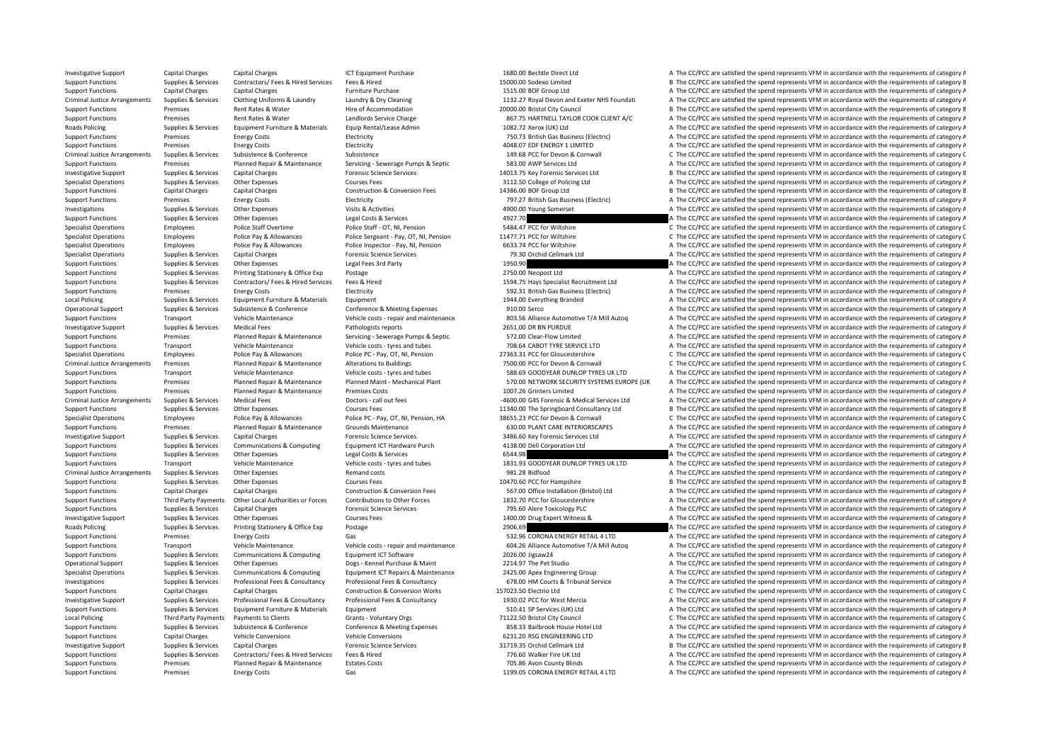Investigative Support Capital Charges Capital Charges ICT Equipment Purchase 1680.00 Bechtle Direct Ltd A The CC/PCC are satisfied the spend represents VFM in accordance with the requirements of category A Support Functions Supplies & Services Contractors/ Fees & Hired Services Fees & Hired The Limited 15000.00 Sodexo Limited B The CC/PCC are satisfied the spend represents VFM in accordance with the requirements of category Support Functions Capital Charges Capital Charges Capital Charges Capital Charges Furniture Purchase Furniture Purchase 1515.00 BOF Group Ltd A The CC/PCC are satisfied the spend represents VFM in accordance with the requi A The CC/PCC are satisfied the spend represents VFM in accordance with the requirements of category A Support Functions Premises Rent Rates & Water Hire of Accommodation Hire of Accommodation 20000.00 Bristol City Council B The CC/PCC are satisfied the spend represents VFM in accordance with the requirements of category B Support Functions Premises Rent Rates & Water Landlords Service Charge 867.75 HARTNELL TAYLOR COOK CLIENT A/C A The CC/PCC are satisfied the spend represents VFM in accordance with the requirements of category A Roads Policing Supplies & Services Equipment Furniture & Materials Equip Rental/Lease Admin 1082.72 Xerox (UK) Ltd A The CC/PCC are satisfied the spend represents VFM in accordance with the requirements of category A Support Functions Premises Energy Costs Electricity Electricity 750.73 British Gas Business (Electricity 750.73 British Gas Business (Electricity A The CC/PCC are satisfied the spend represents VFM in accordance with the r Support Functions Premises Energy Costs Electricity Electricity and the Support of the COSTS of the CC/PCC are satisfied the spend represents VFM in accordance with the requirements of category A Criminal Justice Arrangements Supplies & Services Subsistence Subsistence Subsistence Subsistence Subsistence Subsistence Subsistence Subsistence Subsistence Subsistence Subsistence Subsistence Subsistence Subsistence Subs Support Functions Premises Planned Repair & Maintenance Servicing - Sewerage Pumps & Septic 583.00 AWP Services Ltd A The CC/PCC are satisfied the spend represents VFM in accordance with the requirements of category A The Investigative Support Supplies & Services Capital Charges Forensic Science Services Forensic Science Services 14013.75 Key Forensic Services Ltd B The CC/PCC are satisfied the spend represents VFM in accordance with the re Specialist Operations Supplies & Services Other Expenses Courses Fees Courses Fees 3112.50 College of Policing Ltd A The CC/PCC are satisfied the spend represents VFM in accordance with the requirements of category A The C B The CC/PCC are satisfied the spend represents VFM in accordance with the requirements of category B Support Functions Premises Energy Costs Electricity Electricity **Electricity** 797.27 British Gas Business (Electric) A The CC/PCC are satisfied the spend represents VFM in accordance with the requirements of category A Investigations Supplies Services Other Expenses Visits & Activities Visits & Activities Activities 4900.00 Young Somerset A The CC/PCC are satisfied the spend represents VFM in accordance with the requirements of category Support Functions Supplies a Supplies Concernications A The Costs & Services 4.70 A The CC/PCC are satisfied the spend represents VFM in accordance with the requirements of category A Specialist Operations Employees Police Staff Overtime Police Staff - OT, NI, Pension 5484.47 PCC for Wiltshire C The CC/PCC are satisfied the spend represents VFM in accordance with the requirements of category C Specialist Operations Employees Police Pay & Allowances Police Sergeant - Pay, OT, NI, Pension 11477.71 PCC for Wiltshire C The CC/PCC are satisfied the spend represents VFM in accordance with the requirements of category Specialist Operations Employees Police Pay & Allowances Police Inspector - Pay, NI, Pension 6633.74 PCC for Wiltshire A The CC/PCC are satisfied the spend represents VFM in accordance with the requirements of category A Specialist Operations Supplies & Services Capital Charges Forensic Science Services Forensic Science Services Forensic Science Services 79.30 Orchid Cellmark Ltd A The CC/PCC are satisfied the spend represents VFM in accor Support Functions Supplies & Services Other Expenses Legal Fees 3rd Party 1950.90 A The CC/PCC are satisfied the spend represents VFM in accordance with the requirements of category A Support Functions Supplies & Services Printing Stationery & Office Exp Postage 2750.00 Neopost Ltd A The CC/PCC are satisfied the spend represents VFM in accordance with the requirements of category A Support Functions Supplies & Services Contractors/ Fees & Hired Services Fees & Hired Services Fees & Hired Services Fees & Hired Services Fees & Hired Services Fees & Hired Services Fees & Hired Services Services Services Support Functions Premises Fuergy Costs Functions Electricity Electricity 592.31 British Gas Business (Flectric) A The CC/PCC are satisfied the spend represents VFM in accordance with the requirements of category A Local Policing Supplies & Services Equipment Furniture & Materials Equipment Equipment Equipment Equipment Equipment Equipment Equipment A The CC/PCC are satisfied the spend represents VFM in accordance with the requiremen Operational Support Supplies & Services Subsistence & Conference A Conference & Conference Conference & Conference & Conference A The CC/PCC are satisfied the spend represents VFM in accordance with the requirements of cat Support Functions Transport Vehicle Maintenance Vehicle costs - repair and maintenance SO3.56 Alliance Automotive T/A Mill Autoq A The CC/PCC are satisfied the spend represents VFM in accordance with the requirements of ca Investigative Support Supplies & Services Medical Fees Pathologists reports Pathologists reports 2651.00 DR BN PURDUE A The CC/PCC are satisfied the spend represents VFM in accordance with the requirements of category A Support Functions Premises Planned Repair & Maintenance Servicing ‐ Sewerage Pumps & Septic 572.00 Clear‐Flow Limited A The CC/PCC are satisfied the spend represents VFM in accordance with the requirements of category A Support Functions Transport Vehicle Maintenance Vehicle costs – tyres and tubes 708.64 CABOT TYRE SERVICE LTD A The CC/PCC are satisfied the spend represents VFM in accordance with the requirements of category A The Crip i Specialist Operations Employees Police Pay & Allowances Police PC ‐ Pay, OT, NI, Pension 27363.31 PCC for Gloucestershire C The CC/PCC are satisfied the spend represents VFM in accordance with the requirements of category Criminal Justice Arrangements Premises Planned Repair & Maintenance Alterations to Buildings and TSOO.00 PCC for Devon & Cornwall C. The CC/PCC are satisfied the spend represents VEM in accordance with the requirements of Support Functions Transport Vehicle Maintenance Vehicle costs - tyres and tubes 588.69 GOODYEAR DUNLOP TYRES UK LTD A The CC/PCC are satisfied the spend represents VFM in accordance with the requirements of category A Support Functions Premises Planned Benair & Maintenance Planned Maint - Mechanical Plant 570.00 NFTWORK SECURITY SYSTEMS FUROPE (UK A The CC/PCC are satisfied the spend represents VEM in accordance with the requirements of Support Functions Premises Planned Repair & Maintenance Premises Costs 1007.26 Grinters Limited A The CC/PCC are satisfied the spend represents VFM in accordance with the requirements of category A Criminal Justice Arrangements Supplies & Services Medical Fees Doctors - call out fees Nedical Services and put fees Doctors - call out fees Arrangements of category A The CC/PCC are satisfied the spend represents VFM in a Support Functions Supplies & Services Other Expenses Courses Fees Courses Fees 11340.00 The Springboard Consultancy Ltd B The CC/PCC are satisfied the spend represents VFM in accordance with the requirements of category B Specialist Operations Employees Police Pay & Allowances Police PC-Pay, OT, NI, Pension, HA 38655.23 PCC for Devon & Cornwall C The CC/PCC are satisfied the spend represents VFM in accordance with the requirements of catego Support Functions Premises Planned Repair & Maintenance Grounds Maintenance Communisments of category A The CC/PCC are satisfied the spend represents VFM in accordance with the requirements of category A Investigative Support Supplies & Services Capital Charges Forensic Science Services Capital Charges Forensic Science Services and a The CC/PCC are satisfied the spend represents VFM in accordance with the requirements of c Support Functions Supplies & Services Communications & Computing Equipment ICT Hardware Purch 4138.00 Dell Corporation Ltd A The CC/PCC are satisfied the spend represents VFM in accordance with the requirements of category Support Functions Supplies & Services Other Expenses Legal Costs & Services A The COST A The CC/PCC are satisfied the spend represents VFM in accordance with the requirements of category A Support Functions Transport Vehicle Maintenance Vehicle costs – tyres and tubes 1831.93 GOODYEAR DUNLOP TYRES UK LTD A The CC/PCC are satisfied the spend represents VFM in accordance with the requirements of category A Criminal Justice Arrangements Supplies & Services Other Expenses Remand costs Remand costs 981.28 Bidfood 981.28 Bidfood A The CC/PCC are satisfied the spend represents VFM in accordance with the requirements of category A Support Functions Supplies & Services Other Expenses Courses Fees Courses Fees 10470.60 PCC for Hampshire B The CC/PCC are satisfied the spend represents VFM in accordance with the requirements of category B Support Functions Capital Charges Capital Charges Construction & Conversion Fees 567.00 Office Installation (Bristol) Ltd A The CC/PCC are satisfied the spend represents VFM in accordance with the requirements of category Support Functions Third Party Payments Other Local Authorities or Forces Contributions to Other Forces 1832.70 PCC for Gloucestershire A The CC/PCC are satisfied the spend represents VFM in accordance with the requirements Support Functions Supplies & Services Capital Charges Forensic Science Services Forensic Science Services Forensic Science Services 795.60 Alere Toxicology PLC A The CC/PCC are satisfied the spend represents VFM in accorda Courses Fees **Services A The CONTACT A THE CONTACT A THE CONTACT A** The CC/PCC are satisfied the spend represents VFM in accordance with the requirements of category A Roads Policing Supplies & Services Printing Stationery & Office Exp Postage 2906.69 2906.69 A The CC/PCC are satisfied the spend represents VFM in accordance with the requirements of category A Support Functions Premises Energy Costs Gas Gas Gas Server A The CC/PCC are satisfied the spend represents VFM in accordance with the requirements of category A Support Functions Transport Vehicle Maintenance Vehicle Costs - repair and maintenance Support TA Mill Autog A The CC/PCC are satisfied the spend represents VFM in accordance with the requirements of category A Support Functions Supplies & Services Communications & Computing Equipment ICT Software 2026.00 Jigsaw24 2026.00 Jigsaw24 A The CC/PCC are satisfied the spend represents VFM in accordance with the requirements of category Operational Support Supplies & Services Other Expenses Dogs - Kennel Purchase & Maint 2214.97 The Pet Studio A The CC/PCC are satisfied the spend represents VFM in accordance with the requirements of category A Specialist Operations Supplies & Services Communications & Computing Equipment ICT Repairs & Maintenance 2425.00 Apex Engineering Group<br>
Investigations The CC/PCC are satisfied the spend represents VFM in accordance with t Investigations and represents VEM in accordance with the requirements of category Aristophe Professional Fees & Consultancy Professional Fees & Consultancy Professional Fees & Consultancy Consultancy 678.00 HM Courts & Tri Support Functions Capital Charges Capital Charges Construction & Conversion Works 157023.50 Electrio Ltd C The CC/PCC are satisfied the spend represents VFM in accordance with the requirements of category C Investigative Support Supplies & Services Professional Fees & Consultancy Professional Fees & Consultancy Professional Fees & Consultancy Professional Fees & Consultancy 1930.02 PCC for West Mercia A The CC/PCC are satisfi A The CC/PCC are satisfied the spend represents VFM in accordance with the requirements of category A Local Policing Third Party Payments Payments to Clients Grants - Voluntary Orgs 71122.50 Bristol City Council C The CC/PCC are satisfied the spend represents VFM in accordance with the requirements of category C Support Functions Supplies & Services Subsistence & Conference Conference Conference Conference & Conference Conference & Conference & Conference & Conference & Conference & Conference & Conference & Conference & Conferenc A The CC/PCC are satisfied the spend represents VFM in accordance with the requirements of category A Investigative Support Supplies & Services Capital Charges Forensic Science Services Forensic Science Services Forensic Science Services 31719.35 Orchid Cellmark Ltd B The CC/PCC are satisfied the spend represents VFM in ac Support Functions Supplies & Services Contractors/ Fees & Hired Services Fees & Hired The CONTER 1976.60 Walker Fire UK Ltd A The CC/PCC are satisfied the spend represents VFM in accordance with the requirements of categor Support Functions Premises Planned Repair & Maintenance Estates Costs 705.86 Avon County Blinds A The CC/PCC are satisfied the spend represents VFM in accordance with the requirements of category A Support Functions Premises Energy Costs Gas Gas Server A The CC/PCC are satisfied the spend represents VFM in accordance with the requirements of category A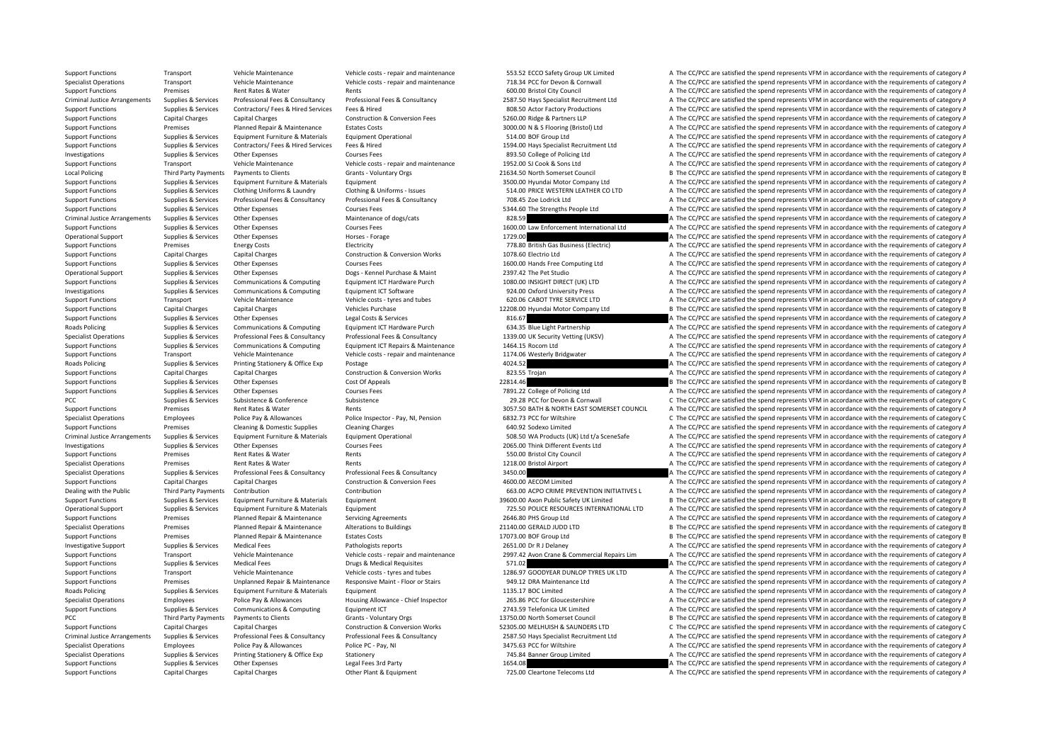Support Transport Vehicle Maintenance Vehicle costs ‐ repair and maintenance 553.52 ECCO Safety Group UK Limited A The CC/PCC are satisfied the spend represents VFM in accordance with the requirements of category A

Specialist Operations Transport Vehicle Maintenance Vehicle costs ‐ repair and maintenance 718.34 PCC for Devon & Cornwall A The CC/PCC are satisfied the spend represents VFM in accordance with the requirements of category Support Functions Premises Premises Anticlas Rent Rates & Water Rents Rents Rents Rents Rents Rents A The COUNC are satisfied the spend represents VFM in accordance with the requirements of category A The COUNC are satisfi A The CC/PCC are satisfied the spend represents VFM in accordance with the requirements of category A Support Functions Supplies & Services Contractors/ Fees & Hired Services Fees & Hired 808.50 Actor Factory Productions A The CC/PCC are satisfied the spend represents VFM in accordance with the requirements of category A Support Functions Capital Charges Capital Charges Construction & Construction & Conversion Fees 5260.00 Ridge & Partners LLP A The CC/PCC are satisfied the spend represents VFM in accordance with the requirements of catego Support Functions Premises Planned Repair & Maintenance Estates Costs 3000.00 N & S Flooring (Bristol) Ltd A The CC/PCC are satisfied the spend represents VFM in accordance with the requirements of category A Support Functions Supplies & Services Equipment Furniture & Materials Equipment Operational Equipment Operational 514.00 BOF Group Ltd A The CC/PCC are satisfied the spend represents VFM in accordance with the requirements out of the control of the Supplies & Services Contractors/ Fees & Hired Services Fees & Hired Contractors and the Services Fees & Hired Contractors and the CONSTREET CONCLUSTER A The CC/PCC are satisfied the spend represen Investigations Supplies & Services Other Expenses Courses Fees Courses Fees 893.50 College of Policing Ltd A The CC/PCC are satisfied the spend represents VFM in accordance with the requirements of category A Support Functions Transport Vehicle Maintenance Vehicle costs ‐ repair and maintenance 1952.00 SJ Cook & Sons Ltd A The CC/PCC are satisfied the spend represents VFM in accordance with the requirements of category A The Cr Local Policing Third Party Payments Payments to Clients Grants - Voluntary Orgs 21634.50 North Somerset Council B The CC/PCC are satisfied the spend represents VFM in accordance with the requirements of category B Support Functions Supplies & Services Equipment Furniture & Materials Equipment Equipment and Equipment and Equipment Equipment A The CC/PCC are satisfied the spend represents VFM in accordance with the requirements of cat A The CC/PCC are satisfied the spend represents VFM in accordance with the requirements of category A Supplies & Services Professional Fees & Consultancy Professional Fees & Consultancy Professional Fees & Consultancy Professional Fees & Consultancy 708.45 Zoe Lodrick Ltd A The CC/PCC are satisfied the spend represents VFM Support Functions Supplies & Services Other Expenses Courses Fees Courses Fees Courses Fees Services Courses Fees Services Courses Fees Services Courses Fees Services Other Expenses Courses Fees Maintenance of dogs/cats an A The CC/PCC are satisfied the spend represents VFM in accordance with the requirements of category A Support Functions Supplies & Services Other Expenses Courses Fees Courses Fees 1600.00 Law Enforcement International Ltd A The CC/PCC are satisfied the spend represents VFM in accordance with the requirements of category A Operational Support Supplies & Services Other Expenses Horses Forage Horses Forage 1729.00 A The CC/PCC are satisfied the spend represents VFM in accordance with the requirements of category A Support Functions Premises Energy Costs Electricity Electricity **Electricity Electricity Electricity Premises Energy Costs** Energy Costs Electricity **Electricity Electricity 278.80 British Gas Business (Electrici** Support Functions Capital Charges Capital Charges Capital Charges Construction & Construction & Conversion Works 1078.60 Electrio Ltd A The CC/PCC are satisfied the spend represents VFM in accordance with the requirements Support Functions Supplies & Services Other Expenses Courses Fees Courses Fees 1600.00 Hands Free Computing Ltd A The CC/PCC are satisfied the spend represents VFM in accordance with the requirements of category A Operational Support Supplies & Services Other Expenses Dogs - Kennel Purchase & Maint 2397.42 The Pet Studio A The CC/PCC are satisfied the spend represents VFM in accordance with the requirements of category A Support Functions Supplies & Services Communications & Computing Equipment ICT Hardware Purch 1080.00 INSIGHT DIRECT (UK) LTD A The CC/PCC are satisfied the spend represents VFM in accordance with the requirements of categ Investigations Supplies & Services Communications & Computing Fquipment ICT Software 924.00 Oxford University Press A The CC/PCC are satisfied the spend represents VFM in accordance with the requirements of category A Support Functions Transport Vehicle Maintenance Vehicle costs – tyres and tubes 620.06 CABOT TYRE SERVICE LTD A The CC/PCC are satisfied the spend represents VFM in accordance with the requirements of category A The Costs Support Functions Capital Charges Capital Charges Vehicles Purchase Vehicles Purchase 12208.00 Hyundai Motor Company Ltd B The CC/PCC are satisfied the spend represents VFM in accordance with the requirements of category B Support Functions Supplies & Services Other Expenses Legal Costs & Services A The CC/PCC are satisfied the spend represents VFM in accordance with the requirements of category A Roads Policing Supplies & Services Communications & Computing Equipment ICT Hardware Purch 634.35 Blue Light Partnership A The CC/PCC are satisfied the spend represents VFM in accordance with the requirements of category A Specialist Operations Supplies & Services Professional Fees & Consultancy Professional Fees & Consultancy Professional Fees & Consultancy Professional Fees & Consultancy 20139.00 UK Security Vetting (UKSV) A The CC/PCC are Support Functions Supplies & Services Communications & Computing Equipment ICT Repairs & Maintenance 1464.15 Rocom Ltd A The CC/PCC are satisfied the spend represents VFM in accordance with the requirements of category A T Support Functions Transport Vehicle Maintenance Vehicle costs ‐ repair and maintenance 1174.06 Westerly Bridgwater A The CC/PCC are satisfied the spend represents VFM in accordance with the requirements of category A Roads Policing Supplies & Services Printing Stationery & Office Exp Postage Postage 4024.52 A The CC/PCC are satisfied the spend represents VFM in accordance with the requirements of category A The CC/PCC are satisfied the Support Functions Capital Charges Capital Charges Construction & Conversion Works 823.55 Trojan A The CC/PCC are satisfied the spend represents VFM in accordance with the requirements of category A Support Functions Supplies & Services Other Expenses Cost Of Appeals Cost Of Appeals 22814.46 B The CC/PCC are satisfied the spend represents VFM in accordance with the requirements of category B Support Functions Supplies & Services Other Expenses Courses Fees Courses Fees 7891.22 College of Policing Ltd A The CC/PCC are satisfied the spend represents VFM in accordance with the requirements of category A PCC The CC/PCC are satisfied the spend represents VFM in accordance with the requirements of category C The CC/PCC are satisfied the spend represents VFM in accordance with the requirements of category C Support Functions Premises Rent Rates & Water Rents Rents Rents Rents and Support Rent RATISOMERSET COUNCIL A The CC/PCC are satisfied the spend represents VFM in accordance with the requirements of category A Specialist Operations Employees Police Pay & Allowances Police Inspector - Pay, NI, Pension 6832.73 PCC for Wiltshire C The CC/PCC are satisfied the spend represents VFM in accordance with the requirements of category C Support Functions Premises Cleaning & Domestic Supplies Cleaning Charges Cleaning Charges Cleaning Charges Cleaning Charges Cleaning Charges Cleaning Charges Cleaning Charges Cleaning Charges Cleaning Charges 640.92 Sodexo Criminal Justice Arrangements Supplies & Services Equipment Furniture & Materials Equipment Operational Equipment Operational 508.50 WA Products (UK) Ltd t/a SceneSafe A The CC/PCC are satisfied the spend represents VFM in Investigations Supplies & Services Other Expenses Courses Fees Courses Fees 2065.00 Think Different Events Ltd A The CC/PCC are satisfied the spend represents VFM in accordance with the requirements of category A Support Functions Premises Rent Rates & Water Rents Rents Rents Support A The CC/PCC are satisfied the spend represents VFM in accordance with the requirements of category A Specialist Operations Premises Rent Rates & Water Rents 1218.00 Bristol Airport A The CC/PCC are satisfied the spend represents VFM in accordance with the requirements of category A Specialist Operations Supplies & Services Professional Fees & Consultancy Professional Fees & Consultancy Professional Fees & Consultancy Professional Fees & Consultancy 3450.00 A The CC/PCC are satisfied the spend represe Support Functions Capital Charges Capital Charges Construction & Conversion Fees 4600.00 AECOM Limited A The CC/PCC are satisfied the spend represents VFM in accordance with the requirements of category A Dealing with the Public Third Party Payments Contribution Contribution Contribution Contribution Contribution Contribution Contribution Contribution and the COLOC RIME PREVENTION INITIATIVES L A The CC/PCC are satisfied th Support Functions Supplies & Services Equipment Furniture & Materials Equipment Equipment 39600.00 Axon Public Safety UK Limited B The CC/PCC are satisfied the spend represents VFM in accordance with the requirements of ca Operational Support Supplies & Services Equipment Furniture & Materials Equipment Equipment Equipment Equipment<br>
Support Functions Premises Planned Repair & Maintenance Servicing Agreements 2646.80 PHS Group Ltd A The CC/P A The CC/PCC are satisfied the spend represents VFM in accordance with the requirements of category A Specialist Operations Premises Planned Repair & Maintenance Alterations to Buildings 21140.00 GERALD JUDD LTD B The CC/PCC are satisfied the spend represents VFM in accordance with the requirements of category B Support Functions Premises Planned Repair & Maintenance Estates Costs 17073.00 BOF Group Ltd B The CC/PCC are satisfied the spend represents VFM in accordance with the requirements of category B Investigative Support Supplies & Services Medical Fees Pathologists reports Pathologists reports 2651.00 Dr R J Delaney A The CC/PCC are satisfied the spend represents VFM in accordance with the requirements of category A Support Functions Transport Vehicle Maintenance Vehicle costs - repair and maintenance 2997.42 Avon Crane & Commercial Repairs Lim A The CC/PCC are satisfied the spend represents VFM in accordance with the requirements of Support Functions Supplies & Services Medical Fees Medical Fees Drugs & Medical Requisites Drugs & Medical Requisites 571.02 A The CC/PCC are satisfied the spend represents VFM in accordance with the requirements of catego Support Functions Transport Vehicle Maintenance Vehicle costs ‐ tyres and tubes 1286.97 GOODYEAR DUNLOP TYRES UK LTD A The CC/PCC are satisfied the spend represents VFM in accordance with the requirements of category A Support Functions Premises Unplanned Repair & Maintenance Responsive Maint ‐ Floor or Stairs 949.12 DRA Maintenance Ltd A The CC/PCC are satisfied the spend represents VFM in accordance with the requirements of category A Roads Policing Supplies & Services Equipment Furniture & Materials Equipment 1135.17 BOC Limited A The CC/PCC are satisfied the spend represents VFM in accordance with the requirements of category A Specialist Operations Employees Police Pay & Allowances Housing Allowance - Chief Inspector 265.86 PCC for Gloucestershire A The CC/PCC are satisfied the spend represents VFM in accordance with the requirements of category A The CC/PCC are satisfied the spend represents VFM in accordance with the requirements of category A PCC Third Party Payments Payments to Clients Grants - Voluntary Orgs 13750.00 North Somerset Council B The CC/PCC are satisfied the spend represents VFM in accordance with the requirements of category B Support Functions Capital Charges Capital Charges Capital Charges Capital Charges Construction & Conversion Works 52305.00 MELHUISH & SAUNDERS LTD C The CC/PCC are satisfied the spend represents VFM in accordance with the A The CC/PCC are satisfied the spend represents VFM in accordance with the requirements of category A Specialist Operations Employees Police Pay & Allowances Police PC - Pay, NI 3475.63 PCC for Wiltshire A The CC/PCC are satisfied the spend represents VFM in accordance with the requirements of category A Specialist Operations Supplies & Services Printing Stationery & Office Exp Stationery 36 Office Exp Stationery 145.84 Banner Group Limited A The CC/PCC are satisfied the spend represents VFM in accordance with the requirem Support Functions Supplies & Services Other Expenses Legal Fees 3rd Party Legal Fees 3rd Party 1654.08 A The CC/PCC are satisfied the spend represents VFM in accordance with the requirements of category A Support Functions Capital Charges Capital Charges Other Plant & Equipment 725.00 Cleartone Telecoms Ltd A The CC/PCC are satisfied the spend represents VFM in accordance with the requirements of category A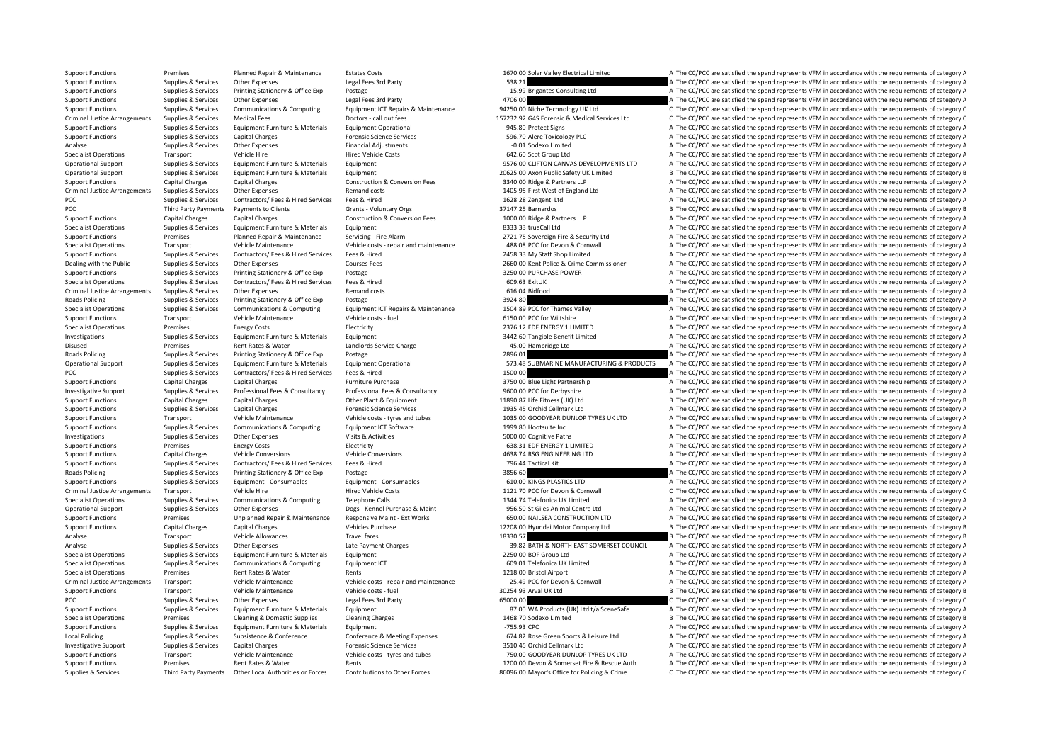Support Functions Premises Planned Repair & Maintenance Estates Costs 1670.00 Solar Valley Electrical Limited A The CC/PCC are satisfied the spend represents VFM in accordance with the requirements of category A Support Functions Supplies & Services Other Expenses Legal Fees 3rd Party Legal Fees 3rd Party 538.21 Support Functions A The CC/PCC are satisfied the spend represents VFM in accordance with the requirements of category A Support Functions Supplies & Services Printing Stationery & Office Exp Postage Postage 15.99 Brigantes Consulting Ltd A The CC/PCC are satisfied the spend represents VFM in accordance with the requirements of category A Th Support Functions Supplies & Services Other Expenses Legal Fees 3rd Party Legal Fees 3rd Party 4706.00 A The CC/PCC are satisfied the spend represents VFM in accordance with the requirements of category A Supplies & Services Communications & Computing Equipment ICT Repairs & Maintenance 94250.00 Niche Technology UK Ltd C/PCC are satisfied the spend represents VFM in accordance with the requirements of category C Criminal Justice Arrangements Supplies & Services Medical Fees Medical Proctors - call out fees Proctors - call out fees Doctors - call out fees 157232.92 G4S Forensic & Medical Services Ltd C The CC/PCC are satisfied the Support Functions Supplies & Services Equipment Furniture & Materials Equipment Operational 945.80 Protect Signs A The CC/PCC are satisfied the spend represents VFM in accordance with the requirements of category A Support Functions Supplies & Services Capital Charges Support Forensic Science Services Forensic Science Services Forensic Science Services Services Services Services Services Services Services Services Services Capital Ch Analyse Supplies & Services Other Expenses Financial Adjustments Financial Adjustments **Financial Adjustments A The CC/PCC are satisfied the spend represents VFM in accordance with the requirements of category A** The CC/ Specialist Operations Transport Vehicle Hire Vehicle Hire Hired Vehicle Costs Hired Vehicle Costs 642.60 Scot Group Ltd A The CC/PCC are satisfied the spend represents VFM in accordance with the requirements of category A Operational Support Supplies & Services Equipment Furniture & Materials Equipment Equipment 9576.00 CLIFTON CANVAS DEVELOPMENTS LTD A The CC/PCC are satisfied the spend represents VFM in accordance with the requirements of Operational Support Supplies & Services Equipment Furniture & Materials Equipment 20625.00 Axon Public Safety UK Limited B The CC/PCC are satisfied the spend represents VFM in accordance with the requirements of category B Support Functions Capital Charges Capital Charges Capital Charges Capital Charges Construction & Construction & Conversion Fees 3340.00 Ridge & Partners LLP A The CC/PCC are satisfied the spend represents VFM in accordance A The CC/PCC are satisfied the spend represents VFM in accordance with the requirements of category A PCC Supplies & Services Contractors/ Fees & Hired Services Fees & Hired Services Fees & Hired 1628.28 Zengenti Ltd A The CC/PCC are satisfied the spend represents VFM in accordance with the requirements of category A PCC Third Party Payments Payments to Clients Grants - Voluntary Orgs 37147.25 Barnardos B The CC/PCC are satisfied the spend represents VFM in accordance with the requirements of category B Construction & Construction & Co A The CC/PCC are satisfied the spend represents VFM in accordance with the requirements of category A Specialist Operations Supplies & Services Equipment Furniture & Materials Equipment A The CONS and Equipment A The CC/PCC are satisfied the spend represents VFM in accordance with the requirements of category A Support Functions Premises Planned Repair & Maintenance Servicing - Fire Alarm 2721.75 Sovereign Fire & Security Ltd A The CC/PCC are satisfied the spend represents VFM in accordance with the requirements of category A Specialist Operations Transport Vehicle Maintenance Vehicle costs - repair and maintenance 488.08 PCC for Devon & Cornwall A The CC/PCC are satisfied the spend represents VFM in accordance with the requirements of category Support Functions Supplies & Services Contractors/ Fees & Hired Services Fees & Hired 2458.33 My Staff Shop Limited A The CC/PCC are satisfied the spend represents VFM in accordance with the requirements of category A The Other Expenses Courses Fees 2660.00 Kent Police & Crime Commissioner A The CC/PCC are satisfied the spend represents VFM in accordance with the requirements of category A Support Functions Supplies & Services Printing Stationery & Office Exp Postage 2012 Postage 3250.00 PURCHASE POWER A The CC/PCC are satisfied the spend represents VFM in accordance with the requirements of category A Specialist Operations Supplies & Services Contractors/ Fees & Hired Services Fees & Hired Services Fees & Hired 609.63 ExitUK 609.63 ExitUK A The CC/PCC are satisfied the spend represents VFM in accordance with the require Criminal Justice Arrangements Supplies & Services Other Expenses Remand costs 616.04 Bidfood 616.04 Bidfood A The CC/PCC are satisfied the spend represents VFM in accordance with the requirements of category A Roads Policing Supplies & Services Printing Stationery & Office Exp Postage Prostage 3924.80 a The CC/PCC are satisfied the spend represents VFM in accordance with the requirements of category A The CC/PCC are satisfied th Specialist Operations Supplies & Services Communications & Communications Communications Communications Communications Fruitoment (CT Require & Maintenance 1504.89 PCC for Thames Valley A The CC/PCC are catisfied the speci Support Transport Vehicle Maintenance Vehicle costs – fuel 6150.00 PCC for Wiltshire A The CC/PCC are satisfied the spend represents VFM in accordance with the requirements of category A Specialist Operations Premises Energy Costs Electricity Electricity A The COSTS 2376.12 EDF ENERGY 1 LIMITED A The CC/PCC are satisfied the spend represents VFM in accordance with the requirements of category A Investigations Supplies & Services Equipment Furniture & Materials Equipment Equipment and Equipment and the Service Charge a Satisfied A The CC/PCC are satisfied the spend represents VFM in accordance with the requirement Disused Premises Premises And Rates & Water Landlords Service Charge 45.00 Hambridge Ltd A The CC/PCC are satisfied the spend represents VFM in accordance with the requirements of category A Thanks are satisfied the spend Roads Policing Supplies & Services Printing Stationery & Office Exp Postage Prostage Printing Statione Printing Statione Printing Statione Printing Roads Properational and the CC/PCC are satisfied the spend represents VFM Operational Support Supplies & Services Foulument Furniture & Materials Foulument Operational 573.48 SUBMARINF MANIJFACTURING & PRODUCTS A The CC/PCC are satisfied the spend represents VFM in accordance with the requiremen PCC The CC/PCC are satisfied the spend represents VFM in accordance with the requirements of category A The CC/PCC are satisfied the spend represents VFM in accordance with the requirements of category A Support Functions Capital Charges Capital Charges Furniture Purchase Furniture Purchase 3750.00 Blue Light Partnership A The CC/PCC are satisfied the spend represents VFM in accordance with the requirements of category A Investigative Support Supplies & Services Professional Fees & Consultancy Professional Fees & Consultancy Professional Fees & Consultancy Professional Fees & Consultancy Professional Fees & Consultancy Professional Fees & Support Functions Capital Charges Capital Charges Other Plant & Equipment 11890.87 Life Fitness (UK) Ltd B The CC/PCC are satisfied the spend represents VFM in accordance with the requirements of category B Support Functions Supplies & Services Capital Charges Forensic Science Services Forensic Science Services 1935.45 Orchid Cellmark Ltd A The CC/PCC are satisfied the spend represents VFM in accordance with the requirements Support Functions Transport Vehicle Maintenance Vehicle costs – tyres and tubes 1035.00 GOODYEAR DUNLOP TYRES UK LTD A The CC/PCC are satisfied the spend represents VFM in accordance with the requirements of category A The Support Functions Supplies & Services Communications & Computing Equipment ICT Software 1999.80 Hootsuite Inc A The CC/PCC are satisfied the spend represents VFM in accordance with the requirements of category A Investigations Supplies & Services Other Expenses Visits & Activities Visits Activities 5000.00 Cognitive Paths A The CC/PCC are satisfied the spend represents VFM in accordance with the requirements of category A The CC/P Support Functions Premises Energy Costs Electricity Electricity entity and the COSTS. The CC/PCC are satisfied the spend represents VFM in accordance with the requirements of category A Support Functions Capital Charges Vehicle Conversions Vehicle Conversions Vehicle Conversions and a The CONSTANG LTD A The CC/PCC are satisfied the spend represents VFM in accordance with the requirements of category A Support Functions Supplies & Services Contractors/ Fees & Hired Services Fees & Hired The Microsoft A The CC/PCC are satisfied the spend represents VFM in accordance with the requirements of category A Roads Policing Supplies & Services Printing Stationery & Office Exp Postage 2012 2856.60 A The CC/PCC are satisfied the spend represents VFM in accordance with the requirements of category A Support Functions Supplies & Services Equipment - Consumables Equipment - Consumables Equipment - Consumables Equipment - Consumables Equipment - Consumables 610.00 KINGS PLASTICS LTD A The CC/PCC are satisfied the spend r Criminal Justice Arrangements Transport Vehicle Hire Vehicle Hire Hired Vehicle Costs Hired Vehicle Costs 1121.70 PCC for Devon & Cornwall C The CC/PCC are satisfied the spend represents VFM in accordance with the requirem Specialist Operations Supplies & Services Communications & Computing Telephone Calls Telephone Calls 1344.74 Telefonica UK Limited A The CC/PCC are satisfied the spend represents VFM in accordance with the requirements of Operational Support Supplies & Services Other Expenses Dogs - Kennel Purchase & Maint 956.50 St Giles Animal Centre Ltd A The CC/PCC are satisfied the spend represents VFM in accordance with the requirements of category A A The CC/PCC are satisfied the spend represents VFM in accordance with the requirements of category A Support Functions Capital Charges Capital Charges Vehicles Purchase Vehicles Purchase 12208.00 Hyundai Motor Company Ltd B The CC/PCC are satisfied the spend represents VFM in accordance with the requirements of category B Analyse Transport Vehicle Allowances Travel fares Travel fares 18330.57 B The CC/PCC are satisfied the spend represents VFM in accordance with the requirements of category B Analyse Supplies & Services Other Expenses Late Payment Charges Late Payment Charges 39.82 BATH & NORTH EAST SOMERSET COUNCIL A The CC/PCC are satisfied the spend represents VFM in accordance with the requirements of categ Specialist Operations Supplies & Services Equipment Furniture & Materials Equipment Equipment Equipment Equipment 2250.00 BOF Group Ltd A The CC/PCC are satisfied the spend represents VFM in accordance with the requirement Specialist Operations Supplies & Services Communications & Computing Equipment ICT 609.01 Telefonica UK Limited A The CC/PCC are satisfied the spend represents VFM in accordance with the requirements of category A Specialist Operations Premises Rent Rates & Water Rents Rents Rents Rents Rent Rates and The CC/PCC are satisfied the spend represents VFM in accordance with the requirements of category A Criminal Justice Arrangements Transport Vehicle Maintenance Vehicle costs repair and maintenance 25.49 PCC for Devon & Cornwall Criminal Use and The CC/PCC are satisfied the spend represents VEM in accordance with the requ Support Transport Vehicle Maintenance Vehicle costs – fuel 30254.93 Arval UK I td B The CC/PCC are satisfied the spend represents VFM in accordance with the requirements of category B PCC PEC/PCC are satisfied the spend represents VFM in accordance with the requirements of category C The CC/PCC are satisfied the spend represents VFM in accordance with the requirements of category C Supplies & Services E Support Functions Supplies & Services Equipment Furniture & Materials Equipment 87.00 WA Products (UK) Ltd t/a SceneSafe A The CC/PCC are satisfied the spend represents VFM in accordance with the requirements of category A Specialist Operations Premises Cleaning & Domestic Supplies Cleaning Charges Cleaning Charges 1468.70 Sodexo Limited B The CC/PCC are satisfied the spend represents VFM in accordance with the requirements of category B Support Functions Supplies & Services Equipment Furniture & Materials Equipment Equipment Equipment Equipment<br>
1991 Local Policing A The CC/PCC are satisfied the spend represents VFM in accordance with the requirements of A The CC/PCC are satisfied the spend represents VFM in accordance with the requirements of category A Investigative Support Supplies & Services Capital Charges Forensic Science Services Forensic Science Services 3510.45 Orchid Cellmark Ltd A The CC/PCC are satisfied the spend represents VFM in accordance with the requireme Support Functions Transport Vehicle Maintenance Vehicle costs - tyres and tubes 750.00 GOODYEAR DUNLOP TYRES UK LTD A The CC/PCC are satisfied the spend represents VFM in accordance with the requirements of category A Support Functions Premises Rent Rates & Water Rents Rents Rents Rents 1200.00 Devon & Somerset Fire & Rescue Auth A The CC/PCC are satisfied the spend represents VFM in accordance with the requirements of category A Supplies & Services Third Party Payments Other Local Authorities or Forces Contributions to Other Forces 86096.00 Mayor's Office for Policing & Crime C The CC/PCC are satisfied the spend represents VFM in accordance with t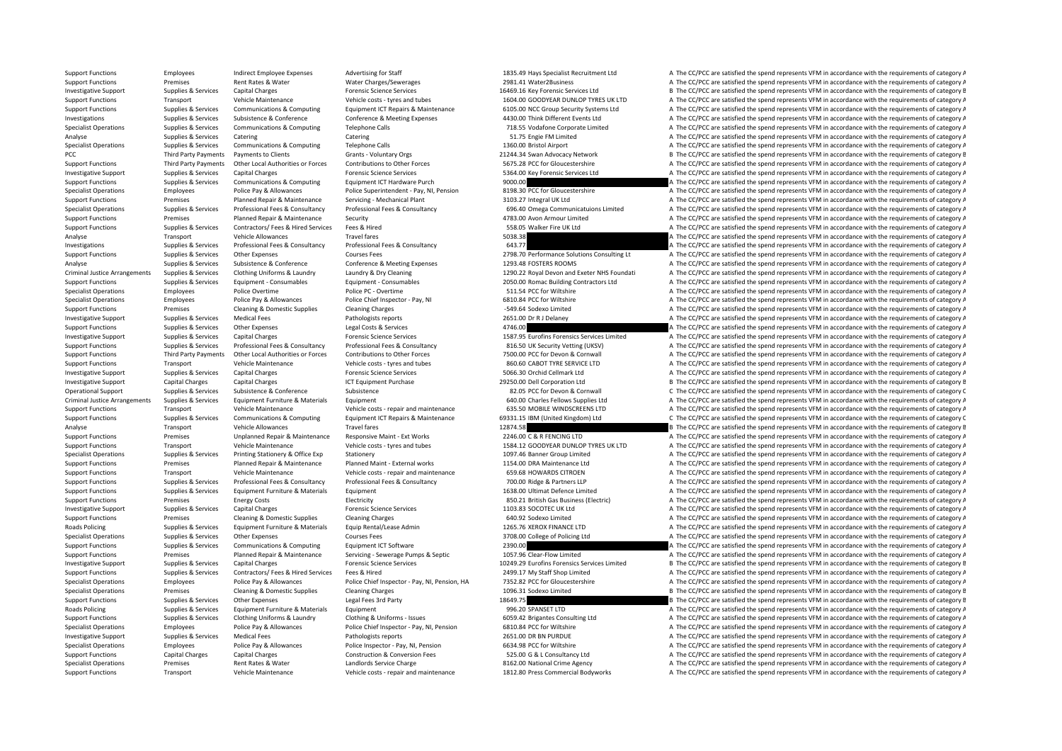Support Functions Employees Indirect Employee Expenses Advertising for Staff 1835.49 Hays Specialist Recruitment Ltd A The CC/PCC are satisfied the spend represents VFM in accordance with the requirements of category A Support Functions Premises Rent Rates & Water Water Charges/Sewerages 2981.41 Water2Business A The CC/PCC are satisfied the spend represents VFM in accordance with the requirements of category A Investigative Support Supplies & Services Capital Charges Forensic Science Services Forensic Science Services 16469.16 Key Forensic Services Ltd B The CC/PCC are satisfied the spend represents VFM in accordance with the re Support Functions Transport Transport Vehicle Maintenance Costs in the team tubes 1604.<br>
The CC/PCC are satisfied the spend represents VFM in accordance with the requirements of category A Support Functions Supplies & Services Communications & Computing Equipment ICT Repairs & Maintenance 6105.00 NCC Group Security Systems Ltd A The CC/PCC are satisfied the spend represents VFM in accordance with the require Investigations Supplies & Services Subsistence & Conference Conference Conference Conference Conference Conference Conference Conference Conference Conference Conference Conference Conference Conference Conference Conferen Specialist Operations Supplies & Services Communications & Computing Telephone Calls 718.55 Vodafone Corporate Limited A The CC/PCC are satisfied the spend represents VFM in accordance with the requirements of category A Analyse Supplies Services Catering Catering Catering Catering Catering Catering Catering Catering Catering Catering S1.75 Engie FM Limited A The CC/PCC are satisfied the spend represents VFM in accordance with the requirem Supplies & Services Communications & Computing Telephone Calls 1360.00 Bristol Airport A The CC/PCC are satisfied the spend represents VFM in accordance with the requirements of category A PCC Third Party Payments Payments to Clients Grants - Voluntary Orgs 21244.34 Swan Advocacy Network B The CC/PCC are satisfied the spend represents VFM in accordance with the requirements of category B Support Functions Third Party Payments Other Local Authorities or Forces Contributions to Other Forces Contributions to Other Forces 5675.28 PCC for Gloucestershire A The CC/PCC are satisfied the spend represents VFM in ac Investigative Support Supplies & Services Capital Charges Forensic Science Services Forensic Science Services Forensic Services Capital Charges Forensic Science Services Services 5364.00 Key Forensic Services Ltd A The CC/ Support Functions Supplies & Services Communications & Computing Equipment ICT Hardware Purch 9000.00 9000.00 A The CC/PCC are satisfied the spend represents VFM in accordance with the requirements of category A The CC/PCC A The CC/PCC are satisfied the spend represents VFM in accordance with the requirements of category A Support Functions Premises Planned Repair & Maintenance Servicing - Mechanical Plant 3103.27 Integral UK Ltd A The CC/PCC are satisfied the spend represents VFM in accordance with the requirements of category A Specialist Operations Supplies & Services Professional Fees & Consultancy Professional Fees & Consultancy Professional Fees & Consultancy Professional Fees & Consultancy 696.40 Omega Communicatuions Limited A The CC/PCC ar Security **A The CC/PCC** are satisfied the spend represents VFM in accordance with the requirements of category A Support Functions Supplies & Services Contractors/ Fees & Hired Services Fees & Hired Services Fees & Hired Services Fees & Hired A The CON External A The CC/PCC are satisfied the spend represents VFM in accordance with th Analyse Transport Vehicle Allowances Travel fares Travel fares 5038.38 A The CC/PCC are satisfied the spend represents VFM in accordance with the requirements of category A Investigations Supplies & Services Professional Fees & Consultancy Professional Fees & Consultancy **Professional Fees & Consultancy A The CC/PCC are satisfied the spend represents VFM in accordance with the requirements** Support Functions Supplies & Services Other Expenses Courses Fees Courses Fees 2798.70 Performance Solutions Consulting Lt A The CC/PCC are satisfied the spend represents VFM in accordance with the requirements of category Analyse Supplies & Services Subsistence & Conference Conference & Meeting Expenses 1293.48 FOSTERS ROOMS A The CC/PCC are satisfied the spend represents VFM in accordance with the requirements of category A Criminal Justice Arrangements Supplies & Services Clothing Uniforms & Laundry Laundry & Dry Cleaning May Cleaning 1990.22 Royal Devon and Exeter NHS Foundati A The CC/PCC are satisfied the spend represents VFM in accordanc Support Functions Supplies & Services Equipment - Consumables Equipment - Consumables Equipment - Consumables Equipment - Consumables Consumables 2050.00 Romac Building Contractors Ltd A The CC/PCC are satisfied the spend Specialist Operations Frontive Police Overtime Police PC - Overtime Police PC - Overtime 511.54 PCC for Wiltshire A The CC/PCC are satisfied the spend represents VFM in accordance with the requirements of category A Specialist Operations Employees Police Pay & Allowances Police Chief Inspector - Pay, NI 6810.84 PCC for Wiltshire A The CC/PCC are satisfied the spend represents VFM in accordance with the requirements of category A The C Support Functions Premises Cleaning & Domestic Supplies Cleaning Charges Cleaning Charges Cleaning Charges Cleaning Charges Cleaning Charges Cleaning Charges Cleaning Charges Cleaning Charges Cleaning Charges -549.64 Sodex Investigative Support Supplies & Services Medical Fees Pathologists reports Pathologists reports 2651.00 Dr R J Delaney A The CC/PCC are satisfied the spend represents VFM in accordance with the requirements of category A Support Functions Supplies & Services Other Expenses Legal Costs & Services A The COST A The CC/PCC are satisfied the spend represents VFM in accordance with the requirements of category A Invastigative Sunnort Sunnias & Senvices Capital Charges School Capital Charges Capital Charges Capital Charges Capital Charges Capital Charges Capital Charges (Capital Charges only a The CC/DCC are astisting the coand rep Suppies & Services Professional Fees & Consultancy Professional Fees & Consultancy Professional Fees & Consultancy Professional Fees & Consultancy 816.50 UK Security Vetting (UKSV) A The CC/PCC are satisfied the spend repr Support Functions Third Party Payments Other I oral Authorities or Forces Contributions to Other Forces Contributions of Contributions of Other Forces Contributions of Other Forces 7500.00 PCC for Devon & Connwall A The CC Support Functions Transport Vehicle Maintenance Vehicle costs – tyres and tubes 860.60 CABOT TYRE SERVICE LTD A The CC/PCC are satisfied the spend represents VFM in accordance with the requirements of category A Investigative Support Supplies & Services Capital Charges Forensic Science Services Forensic Science Services 5066.30 Orchid Cellmark Ltd A The CC/PCC are satisfied the spend represents VFM in accordance with the requireme Investigative Support Capital Charges Capital Charges Capital Charges ICT Equipment Purchase 29250.00 Dell Corporation Ltd B The CC/PCC are satisfied the spend represents VFM in accordance with the requirements of category Operational Support Supplies & Services Subsistence Subsistence Subsistence Subsistence Subsistence Subsistence Subsistence Subsistence Subsistence Subsistence Subsistence Subsistence Subsistence Subsistence Subsistence Su Criminal Justice Arrangements Supplies & Services Equipment Furniture & Materials Equipment Equipment Equipment Equipment Equipment Equipment Criminal Dustice Allows Supplies Ltd Allo A The CC/PCC are satisfied the spend r Support Functions Transport Vehicle Maintenance Vehicle costs - repair and maintenance 635.50 MOBILE WINDSCREENS LTD A The CC/PCC are satisfied the spend represents VFM in accordance with the requirements of category A Supplies & Services Communications & Computing Equipment ICT Repairs & Maintenance 69331.15 IBM (United Kingdom) Ltd C The CC/PCC are satisfied the spend represents VFM in accordance with the requirements of category C Analyse Transport Vehicle Allowances Travel fares Travel fares 12874.58 B The CC/PCC are satisfied the spend represents VFM in accordance with the requirements of category B Support Functions Premises Unplanned Repair & Maintenance Responsive Maint - Ext Works 2246.00 C & R FENCING LTD A The CC/PCC are satisfied the spend represents VFM in accordance with the requirements of category A Support Functions Transport Vehicle Maintenance Vehicle costs ‐ tyres and tubes 1584.12 GOODYEAR DUNLOP TYRES UK LTD A The CC/PCC are satisfied the spend represents VFM in accordance with the requirements of category A Specialist Operations Supplies & Services Printing Stationery & Office Exp Stationery 1097.46 Banner Group Limited A The CC/PCC are satisfied the spend represents VFM in accordance with the requirements of category A Support Functions Premises Planned Repair & Maintenance Planned Maint - External works 1154.00 DRA Maintenance Ltd A The CC/PCC are satisfied the spend represents VFM in accordance with the requirements of category A Support Functions Transport Vehicle Maintenance Vehicle costs ‐ repair and maintenance 659.68 HOWARDS CITROEN A The CC/PCC are satisfied the spend represents VFM in accordance with the requirements of category A Supplies & Services Professional Fees & Consultancy Professional Fees & Consultancy Professional Fees & Consultancy Professional Fees & Consultancy Professional Fees & Consultancy Professional Fees & Consultancy 700.00 Rid Support Functions Supplies & Services Equipment Furniture & Materials Equipment 1638.00 Ultimat Defence Limited A The CC/PCC are satisfied the spend represents VFM in accordance with the requirements of category A Support Functions Premises Energy Costs Electricity Electricity and Business (Electricity 850.21 British Gas Business (Electricity A The CC/PCC are satisfied the spend represents VFM in accordance with the requirements of Investigative Support Supplies & Services Capital Charges A The Services Forensic Science Services Forensic Science Services and the Services 1103.83 SOCOTEC UK Ltd A The CC/PCC are satisfied the spend represents VFM in ac A The CC/PCC are satisfied the spend represents VFM in accordance with the requirements of category A Roads Policing Supplies & Services Equipment Furniture & Materials Equip Rental/Lease Admin 1265.76 XEROX FINANCE LTD A The CC/PCC are satisfied the spend represents VFM in accordance with the requirements of category A Specialist Operations Supplies & Services Other Expenses Courses Fees Courses Fees 3708.00 College of Policing Ltd A The CC/PCC are satisfied the spend represents VFM in accordance with the requirements of category A Support Functions Supplies & Services Communications & Computing Equipment ICT Software Equipment CT Software 2390.00 A The CC/PCC are satisfied the spend represents VFM in accordance with the requirements of category A Support Functions Premises Planned Repair & Maintenance Servicing - Servicing Septic 1057.96 Clear-Flow Limited A The CC/PCC are satisfied the spend represents VFM in accordance with the requirements of category A The Crea Investigative Support Supplies & Services Capital Charges Forensic Science Services (Services of the Support Support Support Support Support Support Support Support Support Support Support Support Support Support Support S Support Functions Supplies & Services Contractors/ Fees & Hired Services Fees & Hired 2499.17 My Staff Shop Limited A The CC/PCC are satisfied the spend represents VFM in accordance with the requirements of category A Specialist Operations Employees Police Pay & Allowances Police Chief Inspector - Pay, NJ, Pension, HA 7352.82 PCC for Gloucestershire A The CC/PCC are satisfied the spend represents VFM in accordance with the requirements Specialist Operations Premises Cleaning & Domestic Supplies Cleaning Charges 1096.31 Sodexo Limited B The CC/PCC are satisfied the spend represents VFM in accordance with the requirements of category B Support Functions Supplies & Services Other Expenses Legal Fees 3rd Party Legal Fees 3rd Party 18649.75 B The CC/PCC are satisfied the spend represents VFM in accordance with the requirements of category B The CC/PCC are s A The CC/PCC are satisfied the spend represents VFM in accordance with the requirements of category A Support Functions Supplies & Services Clothing Uniforms & Laundry Clothing & Uniforms - Issues 6059.42 Brigantes Consulting Ltd A The CC/PCC are satisfied the spend represents VFM in accordance with the requirements of cat Specialist Operations Employees Police Pay & Allowances Police Chief Inspector - Pay, NJ, Pension 6810.84 PCC for Wiltshire and A The CC/PCC are satisfied the spend represents VFM in accordance with the requirements of cat A The CC/PCC are satisfied the spend represents VFM in accordance with the requirements of category A Specialist Operations Employees Police Pay & Allowances Police Inspector - Pay, NI, Pension 6634.98 PCC for Wiltshire A The CC/PCC are satisfied the spend represents VFM in accordance with the requirements of category A Support Functions Capital Charges Capital Charges Construction & Conversion Fees 525.00 G & L Consultancy Ltd A The CC/PCC are satisfied the spend represents VFM in accordance with the requirements of category A Specialist Operations Premises Rent Rates & Water Landlords Service Charge 8162.00 National Crime Agency A The CC/PCC are satisfied the spend represents VFM in accordance with the requirements of category A Support Transport Vehicle Maintenance Vehicle costs ‐ repair and maintenance 1812.80 Press Commercial Bodyworks A The CC/PCC are satisfied the spend represents VFM in accordance with the requirements of category A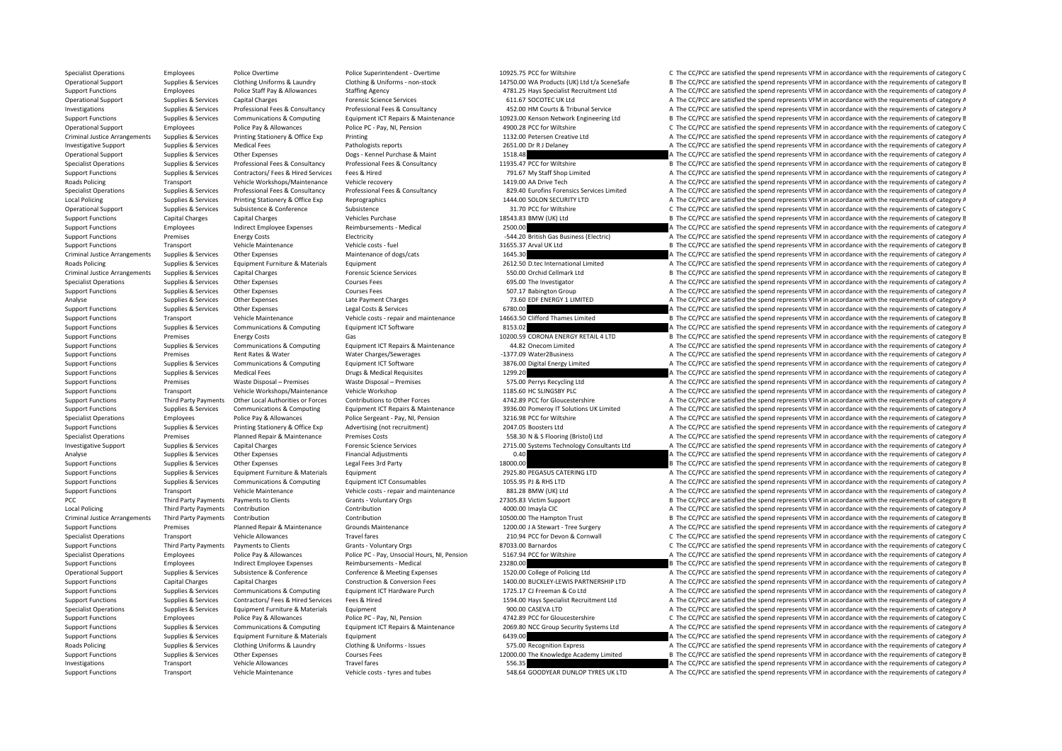Support Functions Transport Vehicle Maintenance Vehicle costs - tyres and tubes 548.64 GOODYEAR DUNLOP TYRES UK LTD A The CC/PCC are satisfied the spend represents VFM in accordance with the requirements of category A

Specialist Operations Employees Police Overtime Police Superintendent - Overtime 10925.75 PCC for Wiltshire C The CC/PCC are satisfied the spend represents VFM in accordance with the requirements of category C Operational Support Supplies & Services Clothing Uniforms & Laundry Clothing & Uniforms - non-stock 14750.00 WA Products (UK) Ltd t/a SceneSafe B The CC/PCC are satisfied the spend represents VFM in accordance with the req Support Functions Employees Police Staff Pay & Allowances Staffing Agency Support A That Comment Ltd A The CC/PCC are satisfied the spend represents VFM in accordance with the requirements of category A The Creational Supp A The CC/PCC are satisfied the spend represents VFM in accordance with the requirements of category A Supplies & Services Professional Fees & Consultancy Professional Fees & Consultancy Professional Fees & Consultancy Professional Fees & Consultancy and the CONSULTAN A The CC/PCC are satisfied the spend represents VFM in a Supplies & Services Communications & Computing Equipment ICT Repairs & Maintenance 10923.00 Kenson Network Engineering Ltd B The CC/PCC are satisfied the spend represents VFM in accordance with the requirements of category Operational Support Employees Police Pay & Allowances Police PC - Pay, NI, Pension 4900.28 PCC for Wiltshire 4900.28 PCC for Wiltshire C The CC/PCC are satisfied the spend represents VFM in accordance with the requirements Criminal Justice Arrangements Supplies & Services Printing Stationery & Office Exp Printing A The Criminal Justice Arrangements Supplies & Services Printing Stationery & Office Exp Printing 1132.00 Petersen Creative Ltd A Investigative Supplies Services Medical Fees Pathologists reports Pathologists reports 2651.00 Dr R J Delaney A The CC/PCC are satisfied the spend represents VFM in accordance with the requirements of category A Operational Support Supplies & Services Other Expenses Dogs - Kennel Purchase & Maint Dogs - Kennel Purchase & Maint 1518.48 A The CC/PCC are satisfied the spend represents VFM in accordance with the requirements of catego Specialist Operations Supplies & Services Professional Fees & Consultancy Professional Fees & Consultancy Professional Fees & Consultancy Professional Fees & Consultancy 11935.47 PCC for Wiltshire B The CC/PCC are satisfie A The CC/PCC are satisfied the spend represents VFM in accordance with the requirements of category A Roads Policing Transport Stategory A Transport Vehicle Workshops/Maintenance Vehicle recovery Vehicle recovery 1419.00 AA Drive Tech A The CC/PCC are satisfied the spend represents VFM in accordance with the requirements o A The CC/PCC are satisfied the spend represents VFM in accordance with the requirements of category A Local Policing Supplies & Services Printing Stationery & Office Exp Reprographics Reprographics 1444.00 SOLON SECURITY LTD A The CC/PCC are satisfied the spend represents VFM in accordance with the requirements of category Operational Support Supplies & Services Subsistence Subsistence Subsistence Subsistence Subsistence Subsistence<br>
Support Functions Capital Charges Capital Charges Capital Charges Vehicles Purchase Vehicles Purchase VEM in B The CC/PCC are satisfied the spend represents VFM in accordance with the requirements of category B Support Functions Employees Indirect Employee Expenses Reimbursements - Medical 2500.00 2500.00 A The CC/PCC are satisfied the spend represents VFM in accordance with the requirements of category A Support Functions Premises Energy Costs Energy Costs Electricity Electricity Electricity – Function – Support Electric Electricity – Functions Premises Premises Electricity – Support Functions Premises Transport Vehicle Ma Support Functions Transport Vehicle Maintenance Vehicle costs ‐ fuel 31655.37 Arval UK Ltd B The CC/PCC are satisfied the spend represents VFM in accordance with the requirements of category B Criminal Justice Arrangements Supplies & Services Other Expenses Maintenance of dogs/cats Maintenance of dogs/cats 1645.30 A The CC/PCC are satisfied the spend represents VFM in accordance with the requirements of category Roads Policing Supplies & Services Equipment Furniture & Materials Equipment 2612.50 D.tec International Limited A The CC/PCC are satisfied the spend represents VFM in accordance with the requirements of category A Criminal Justice Arrangements Supplies & Services Capital Charges Forensic Science Services Forensic Science Services Forensic Science Services 550.00 Orchid Cellmark Ltd B The CC/PCC are satisfied the spend represents VFM Specialist Operations Supplies & Services Other Expenses Courses Fees Courses Fees 695.00 The Investigator 695.00 The Investigator A The CC/PCC are satisfied the spend represents VFM in accordance with the requirements of Support Functions Supplies & Services Other Expenses Courses Fees Support and the Services Courses Fees 507.17 Babington Group A The CC/PCC are satisfied the spend represents VFM in accordance with the requirements of cate Analyse Supplies Services Other Expenses Late Payment Charges 23.60 EDF ENERGY 1 LIMITED A The CC/PCC are satisfied the spend represents VFM in accordance with the requirements of category A The Criterian and the requireme Support Functions Supplies A Supplies Concrete Other Constants Concrete Concrete Functions and Concrete Concret<br>A The CC/PCC are satisfied the spend represents VFM in accordance with the requirements of category A Support Functions Transport Vehicle Maintenance Vehicle costs - repair and maintenance 14663.50 Clifford Thames Limited B The CC/PCC are satisfied the spend represents VFM in accordance with the requirements of category B Support Functions Supplies & Services Communications & Computing Equipment ICT Software 8153.02 8153.02 A The CC/PCC are satisfied the spend represents VFM in accordance with the requirements of category A Support Functions Premises Premises Energy Costs Gas Gas Gas Contact Contact Gas 10200.59 CORONA ENERGY RETAIL 4 LTD B The CC/PCC are satisfied the spend represents VFM in accordance with the requirements of category Equip Support Functions Supplies & Services Communications & Computing Equipment ICT Repairs & Maintenance 44.82 Onecom Limited A The CC/PCC are satisfied the spend represents VFM in accordance with the requirements of category Support Functions Premises Premises Antive Rent Rates & Water Water Water Charges/Sewerages –1377.09 Water2Business A The CC/PCC are satisfied the spend represents VFM in accordance with the requirements of category A The Support Functions Supplies & Services Communications & Computing Foutionent ICT Software 3876.00 Digital Energy Limited A The CC/PCC are satisfied the spend represents VFM in accordance with the requirements of category A Support Functions Supplies & Services Medical Fees Drugs & Medical Requisites Drugs & Medical Requisites Drugs & Medical Requisites 1299.20 A The CC/PCC are satisfied the spend represents VFM in accordance with the require Support Functions Premises Waste Disposal – Premises Waste Disposal – Premises Waste Disposal – Premises Waste Disposal – Premises Waste Disposal – Premises Waste Disposal – Premises Waste Disposal – Premises STS.00 Perrys Support Functions Transport Vehicle Workshops/Maintenance Vehicle Workshop Vehicle Workshop Vehicle Workshop Vehicle Workshop Vehicle Workshop Vehicle Workshop and the Support Changes and the CC/PCC are satisfied the spend Support Functions Third Party Payments Other Local Authorities or Forces Contributions to Other Forces 4742.89 PCC for Gloucestershire A The CC/PCC are satisfied the spend represents VFM in accordance with the requirements Supplies & Services Communications & Computing Equipment ICT Repairs & Maintenance 3936.00 Pomeroy IT Solutions UK Limited A The CC/PCC are satisfied the spend represents VFM in accordance with the requirements of category Specialist Operations Employees Police Pay & Allowances Police Sergeant - Pay, NI, Pension 3216.98 PCC for Wiltshire A The CC/PCC are satisfied the spend represents VFM in accordance with the requirements of category A The Support Functions Supplies & Services Printing Stationery & Office Exp Advertising (not recruitment) 2047.05 Boosters Ltd A The CC/PCC are satisfied the spend represents VFM in accordance with the requirements of category Specialist Operations Premises Planned Repair & Maintenance Premises Costs 558.30 N & S Flooring (Bristol) Ltd A The CC/PCC are satisfied the spend represents VFM in accordance with the requirements of category A Investigative Support Supplies & Services Capital Charges Forensic Science Services Forensic Science Services Computer Services (Services Provides Services Provides Services Provides Services Provides Services Provides Ser Analyse Supplies & Services Other Expenses Financial Adjustments Financial Adjustments and the COMPOS are satisfied the spend represents VFM in accordance with the requirements of category A Support Functions Supplies & Services Other Expenses Legal Fees 3rd Party Legal Fees 3rd Party 18000.00 and the Services Category B The CC/PCC are satisfied the spend represents VFM in accordance with the requirements of c Support Functions Supplies & Services Equipment Furniture & Materials Equipment Equipment Equipment Equipment Equipment Equipment Equipment Consumables and the Seconda Consument and the CC/PCC are satisfied the spend repre Support Functions Supplies & Services Communications & Computing Equipment ICT Consumables 1055.95 PJ & RHS LTD A The CC/PCC are satisfied the spend represents VFM in accordance with the requirements of category A Support Functions Transport Vehicle Maintenance Vehicle costs ‐ repair and maintenance 881.28 BMW (UK) Ltd A The CC/PCC are satisfied the spend represents VFM in accordance with the requirements of category A PCC Third Party Payments Payments to Clients Grants - Voluntary Orgs 27305.83 Victim Support B The CC/PCC are satisfied the spend represents VFM in accordance with the requirements of category B Local Policing Third Party Payments Contribution Contribution Contribution Contribution Contribution Contribution Contribution Contribution and the CONCO Imayla CIC A The CC/PCC are satisfied the spend represents VFM in ac B The CC/PCC are satisfied the spend represents VFM in accordance with the requirements of category B Support Functions Premises Planned Repair & Maintenance Grounds Maintenance 1200.00 J A Stewart - Tree Surgery A The CC/PCC are satisfied the spend represents VFM in accordance with the requirements of category A Specialist Operations Transport Vehicle Allowances Travel fares Travel fares 210.94 PCC for Devon & Cornwall C The CC/PCC are satisfied the spend represents VFM in accordance with the requirements of category C Support Functions Third Party Payments to Clients Category C Grants - Voluntary Orgs 87033.00 Barnardos C The CC/PCC are satisfied the spend represents VFM in accordance with the requirements of category C Specialist Operations Employees Police Pay & Allowances Police PC-Pay, Unsocial Hours, NJ, Pension 5167.94 PCC for Wiltshire A The CC/PCC are satisfied the spend represents VFM in accordance with the requirements of catego Support Functions Employees Indirect Employee Expenses Reimbursements - Medical 23280.00 23280.00 B The CC/PCC are satisfied the spend represents VFM in accordance with the requirements of category B Operational Support Supplies & Services Subsistence & Conference Conference Conference Conference & Conference Conference & Conference & Conference & Conference & Conference & Conference & Conference & Conference & Confere Support Functions Capital Charges Capital Charges Construction & Conversion Fees 1400.00 BUCKLEY-LEWIS PARTNERSHIP LTD A The CC/PCC are satisfied the spend represents VFM in accordance with the requirements of category A Support Functions Supplies & Services Communications & Computing Faultoment ICT Hardware Purch 1725.17 CJ Freeman & Co Ltd A The CC/PCC are satisfied the spend represents VFM in accordance with the requirements of category Support Functions Supplies & Services Contractors/Fees & Hired Energy Fees & Hired Contractors and the special technology of the CC/PCC are satisfied the spend represents VFM in accordance with the requirements of category A The CC/PCC are satisfied the spend represents VFM in accordance with the requirements of category A Support Functions Employees Police Pay & Allowances Police PC - Pay, NI, Pension 4742.89 PCC for Gloucestershire C The CC/PCC are satisfied the spend represents VFM in accordance with the requirements of category C Support Functions Supplies & Services Communications & Computing Equipment ICT Repairs & Maintenance 2069.80 NCC Group Security Systems Ltd A The CC/PCC are satisfied the spend represents VFM in accordance with the require Support Functions Supplies a Supplies Equipment Functions Supplies A The CC/PCC are satisfied the spend represents of category A Roads Policing Supplies & Services Clothing Uniforms & Laundry Clothing & Uniforms - Issues 575.00 Recognition Express A The CC/PCC are satisfied the spend represents VFM in accordance with the requirements of category A Support Functions Supplies & Services Other Expenses Courses Fees Courses Fees 12000.00 The Knowledge Academy Limited B The CC/PCC are satisfied the spend represents VFM in accordance with the requirements of category B Investigations Transport Schements of category A Travel fares Travel fares Travel fares and tubes and the SCODYEAR DUNLOP TYRES UK LTD A The CC/PCC are satisfied the spend represents VFM in accordance with the requirements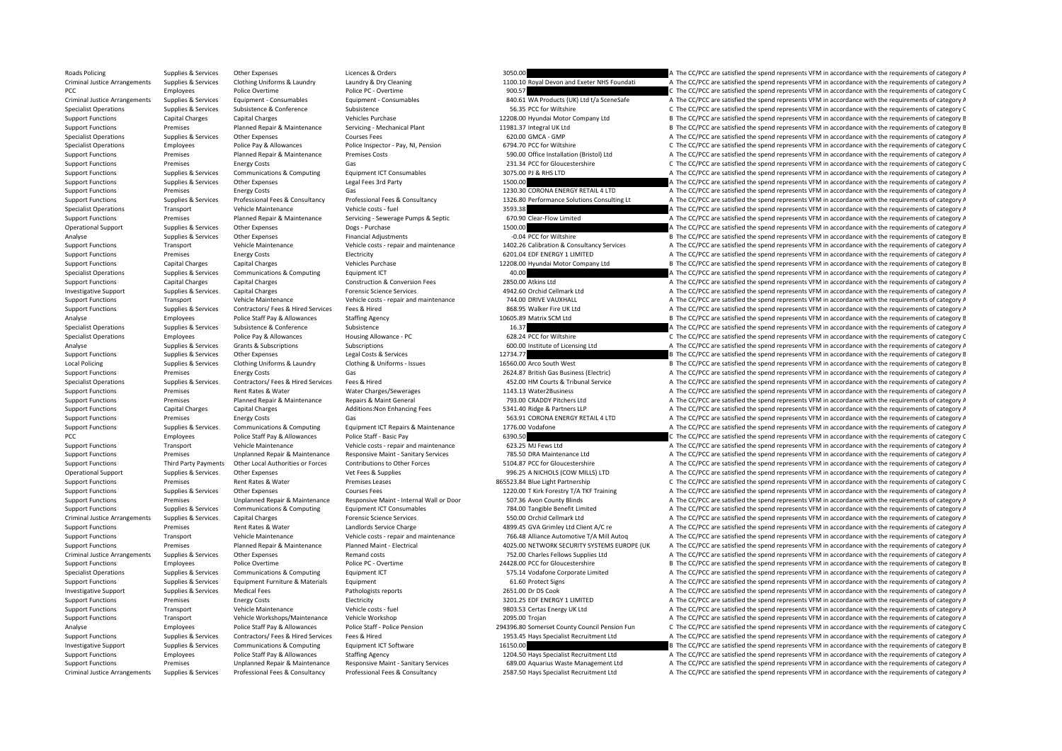Criminal Justice Arrangements Supplies & Services Professional Fees & Consultancy Professional Fees & Consultancy Professional Fees & Consultancy Professional Fees & Consultancy Professional Fees & Consultancy 2587.50 Hays

Roads Policing Supplies Services Other Expenses Licences & Orders 20050.00 3050.00 A The CC/PCC are satisfied the spend represents VFM in accordance with the requirements of category A Criminal Justice Arrangements Supplies & Services Clothing Uniforms & Laundry Laundry & Laundry & Dry Cleaning 100.10 Royal Devon and Exeter NHS Foundati A The CC/PCC are satisfied the spend represents VFM in accordance wi PCC POLICE Employees Police Overtime Police PC - Overtime Police PC - Overtime 900.57 900.57 POLICE ATHE CC/PCC are satisfied the spend represents VFM in accordance with the requirements of category C<br>Criminal Justice Arr A The CC/PCC are satisfied the spend represents VFM in accordance with the requirements of category A Specialist Operations Supplies & Services Subsistence Subsistence Subsistence Subsistence Subsistence Subsistence Subsistence C Subsistence C The CC/PCC are satisfied the spend represents VFM in accordance with the require Support Functions Capital Charges Capital Charges Vehicles Purchase Vehicles Purchase 12208.00 Hyundai Motor Company Ltd B The CC/PCC are satisfied the spend represents VFM in accordance with the requirements of category B Support Functions Premises Planned Repair & Maintenance Servicing - Mechanical Plant 11981.37 Integral UK Ltd B The CC/PCC are satisfied the spend represents VFM in accordance with the requirements of category B Specialist Operations Supplies & Services Other Expenses Courses Fees Courses Fees 620.00 GMCA - GMP A The CC/PCC are satisfied the spend represents VFM in accordance with the requirements of category A The Criteria and th Specialist Operations Employees Police Pay & Allowances Police Inspector - Pay, NI, Pension 6794.70 PCC for Wiltshire C The CC/PCC are satisfied the spend represents VFM in accordance with the requirements of category C Support Functions Premises Planned Repair & Maintenance Premises Costs 590.00 Office Installation (Bristol) Ltd A The CC/PCC are satisfied the spend represents VFM in accordance with the requirements of category A Support Functions Premises Premises Energy Costs Gas Gas Category C Consume Consumer Consumer Consumer Consumer COSTS CONSULTER CONSULTER CONSULTER CONSULTER CONSULTER CONSULTER CONSULTER SATISFIED C THE CC/PCC are satisfi Support Functions Supplies & Services Communications & Computing Equipment ICT Consumables 3075.00 PJ & RHS LTD A The CC/PCC are satisfied the spend represents VFM in accordance with the requirements of category A Support Functions Supplies & Services Other Expenses Legal Fees 3rd Party Legal Fees 3rd Party 1500.00 A The CC/PCC are satisfied the spend represents VFM in accordance with the requirements of category A The CC/PCC are sa Support Functions Premises Coronal ENERGY RETAIL 4 LTD A The CC/PCC are satisfied the spend represents VFM in accordance with the requirements of category A Supplies & Services Professional Fees & Consultancy Professional Fees & Consultancy Professional Fees & Consultancy Professional Fees & Consultancy 1326.80 Performance Solutions Consulting Lt A The CC/PCC are satisfied the Specialist Operations Transport Vehicle Maintenance Vehicle costs - fuel vehicle costs - fuel vehicle costs - fuel 3593.38 A The CC/PCC are satisfied the spend represents VFM in accordance with the requirements of category A The CC/PCC are satisfied the spend represents VFM in accordance with the requirements of category A Operational Support Supplies & Services Other Expenses Dogs - Purchase Dogs Purchase 1500.00 A The CC/PCC are satisfied the spend represents VFM in accordance with the requirements of category A Analyse Supplies & Services Other Expenses Financial Adjustments Financial Adjustments **Financial Adjustments Financial Adjustments B** The CC/PCC are satisfied the spend represents VFM in accordance with the requiremen Support Functions Transport Vehicle Maintenance Vehicle costs - repair and maintenance Vehicle costs - repair and maintenance 1402.26 Calibration & Consultancy Services A The CC/PCC are satisfied the spend represents VFM i Support Functions Premises Energy Costs Electricity Electricity Electricity Electricity Electricity entergy and the COLOMATED A The CC/PCC are satisfied the spend represents VFM in accordance with the requirements of categ Support Functions Capital Charges Capital Charges Vehicles Purchase Vehicles Purchase 12208.00 Hyundai Motor Company Ltd B The CC/PCC are satisfied the spend represents VFM in accordance with the requirements of category B Specialist Operations Supplies & Services Communications & Computing Equipment ICT 40.00 40.00 A The CC/PCC are satisfied the spend represents VFM in accordance with the requirements of category A Support Functions Capital Charges Capital Charges Construction & Conversion Fees 2850.00 Atkins Ltd A The CC/PCC are satisfied the spend represents VFM in accordance with the requirements of category A Investigative Support Supplies & Services Capital Charges Forensic Science Services 4942.60 Orchid Cellmark Ltd A The CC/PCC are satisfied the spend represents VFM in accordance with the requirements of category A Support Functions Transport Vehicle Maintenance Vehicle costs - repair and maintenance 744.00 DRIVE VAUXHALL A The CC/PCC are satisfied the spend represents VFM in accordance with the requirements of category A The Crime o Support Functions Supplies & Services Contractors/ Fees & Hired Services Fees & Hired Services Fees & Hired Services Fees & Hired A The CC/PCC are satisfied the spend represents VFM in accordance with the requirements of c Analyse Employees Police Staff Pay & Allowances Staffing Agency 10605.89 Matrix SCM Ltd B The CC/PCC are satisfied the spend represents VFM in accordance with the requirements of category B Specialist Operations Supplies & Services Subsistence Subsistence Subsistence Subsistence Subsistence Subsistence Subsistence Subsistence Subsistence Subsistence Subsistence Subsistence Subsistence Subsistence Subsistence Specialist Operations Employees Police Pay & Allowances Housing Allowance PC 628.24 PCC for Wiltshire C. The CC/PCC are satisfied the spend represents VFM in accordance with the requirements of category C Analyse Supplies & Services Grants & Subscriptions Subscriptions Subscriptions Subscriptions Subscriptions and the COLO Institute of Licensing Ltd A The CC/PCC are satisfied the spend represents VFM in accordance with the Support Functions Supplies & Services Other Expenses Legal Costs & Services 12734.77 1992 1284.77 B The CC/PCC are satisfied the spend represents VFM in accordance with the requirements of category B Local Policing Supplies & Services Clothing Uniforms & Laundry Clothing & Uniforms - Issues 16560.00 Arco South West B The CC/PCC are satisfied the spend represents VFM in accordance with the requirements of category B Sup Support Functions Premises Energy Costs Gas Gas Support Premises Energy Costs Gas Category A The CC/PCC are satisfied the spend represents VFM in accordance with the requirements of category A Specialist Operations Supplies & Services Contractors/ Fees & Hired Services Fees & Hired Fees & Hired Manual Service 452.00 HM Courts & Tribunal Service A The CC/PCC are satisfied the spend represents VFM in accordance wi Support Functions Premises Rent Rates & Water Water Charges/Sewerages 1143.13 Water2Business A The CC/PCC are satisfied the spend represents VFM in accordance with the requirements of category A Support Functions Premises Planned Repair & Maintenance Repairs & Maint General 793.00 CRADDY Pitchers Ltd A The CC/PCC are satisfied the spend represents VFM in accordance with the requirements of category A Support Functions Capital Charges Capital Charges Additions:Non Enhancing Fees 5341.40 Ridge & Partners LLP A The CC/PCC are satisfied the spend represents VFM in accordance with the requirements of category A Support Functions Premises Premises Energy Costs Gas Gas 563.91 CORONA ENERGY RETAIL 4 LTD A The CC/PCC are satisfied the spend represents VFM in accordance with the requirements of category A Support Functions Supplies & Support Functions Supplies & Services Communications & Computing Equipment ICT Repairs & Maintenance 1776.00 Vodafone A The CC/PCC are satisfied the spend represents VFM in accordance with the requirements of category A PCC Employees Police Staff Pay & Allowances Police Staff - Basic Pay 6390.50 C C Decay 6390.50 C The CC/PCC are satisfied the spend represents VFM in accordance with the requirements of category C Support Functions Transport Vehicle Maintenance Vehicle costs ‐ repair and maintenance 623.25 MJ Fews Ltd A The CC/PCC are satisfied the spend represents VFM in accordance with the requirements of category A Support Functions Premises Unplanned Repair & Maintenance Responsive Maint ‐ Sanitary Services 785.50 DRA Maintenance Ltd A The CC/PCC are satisfied the spend represents VFM in accordance with the requirements of category Contributions of the COPCC or Gloucestershire and COPCC are satisfied the spend represents VFM in accordance with the requirements of category A The COPCC are satisfied the spend represents VFM in accordance with the requi Operational Support Supplies & Services Other Expenses Vet Fees & Supplies Vet Fees & Supplies 996.25 A NICHOLS (COW MILLS) LTD A The CC/PCC are satisfied the spend represents VFM in accordance with the requirements of cat Support Functions Premises Rent Rates & Water Premises Leases 865523.84 Blue Light Partnership C The CC/PCC are satisfied the spend represents VFM in accordance with the requirements of category C Support Functions Supplies & Services Other Expenses Courses Fees Courses Fees 1220.00 T Kirk Forestry T/A TKF Training A The CC/PCC are satisfied the spend represents VFM in accordance with the requirements of category A Support Functions Premises Premises Unplanned Repair & Maintenance Responsive Maint-Internal Wall or Door 507.36 Avon County Blinds A The CC/PCC are satisfied the spend represents VFM in accordance with the requirements of Support Functions Supplies & Services Communications & Computing Equipment ICT Consumables 784.00 Tangible Benefit Limited A The CC/PCC are satisfied the spend represents VFM in accordance with the requirements of category Criminal Justice Arrangements Supplies & Services Capital Charges Forensic Science Services Forensic Science Services Forensic Science Services 550.00 Orchid Cellmark Ltd A The CC/PCC are satisfied the spend represents VFM Support Functions Premises Rent Rates & Water Landlords Service Charge 4899.45 GVA Grimley Ltd Client A/C re A The CC/PCC are satisfied the spend represents VFM in accordance with the requirements of category A Support Functions Transport Vehicle Maintenance Vehicle Costs - repair and maintenance 766.48 Alliance Automotive T/A Mill Autoq A The CC/PCC are satisfied the spend represents VFM in accordance with the requirements of ca Support Functions Premises Planned Repair & Maintenance Planned Maint - Electrical 4025.00 NETWORK SECURITY SYSTEMS EUROPE (UK A The CC/PCC are satisfied the spend represents VFM in accordance with the requirements of cate Criminal Justice Arrangements Supplies & Services Other Expenses Remand costs Remand costs Remand costs 752.00 Charles Fellows Supplies Ltd A The CC/PCC are satisfied the spend represents VFM in accordance with the require Support Functions Employees Police Overtime Police PC - Overtime Police PC - Overtime 24428.00 PCC for Gloucestershire B The CC/PCC are satisfied the spend represents VFM in accordance with the requirements of category B Specialist Operations Supplies & Services Communications & Computing Equipment ICT 575.14 Vodafone Corporate Limited A The CC/PCC are satisfied the spend represents VFM in accordance with the requirements of category A Support Functions Supplies & Services Foujoment Furniture & Materials Foujoment 61.60 Protect Signs 61.60 Protect Signs A The CC/PCC are satisfied the spend represents VFM in accordance with the requirements of category A Investigative Support Supplies & Services Medical Fees Pathologists reports Pathologists reports 2651.00 Dr DS Cook A The CC/PCC are satisfied the spend represents VFM in accordance with the requirements of category A Support Functions Premises Energy Costs Energy Costs Electricity Electricity A The COLOGITY A The CC/PCC are satisfied the spend represents VFM in accordance with the requirements of category A The COLOGITY A The CC/PCC ar A The CC/PCC are satisfied the spend represents VFM in accordance with the requirements of category A Support Transport Vehicle Workshops/Maintenance Vehicle Workshop 2095.00 Trojan A The CC/PCC are satisfied the spend represents VFM in accordance with the requirements of category A Employees Police Staff Pay & Allowances Police Staff - Police Pension Police Staff - Police Staff - Police Staff - Police Staff - Police Staff - Police Staff - Police Staff - Police Pension 294396.80 Somerset County Counci A The CC/PCC are satisfied the spend represents VFM in accordance with the requirements of category A Investigative Support Supplies & Services Communications & Computing Equipment ICT Software 16150.00 16150.00 B The CC/PCC are satisfied the spend represents VFM in accordance with the requirements of category B Support Functions Employees Police Staff Pay & Allowances Staffing Agency 1204.50 Hays Specialist Recruitment Ltd A The CC/PCC are satisfied the spend represents VFM in accordance with the requirements of category A Support Functions Premises Unplanned Repair & Maintenance Responsive Maint - Sanitary Services 689.00 Aquarius Waste Management Ltd A The CC/PCC are satisfied the spend represents VFM in accordance with the requirements of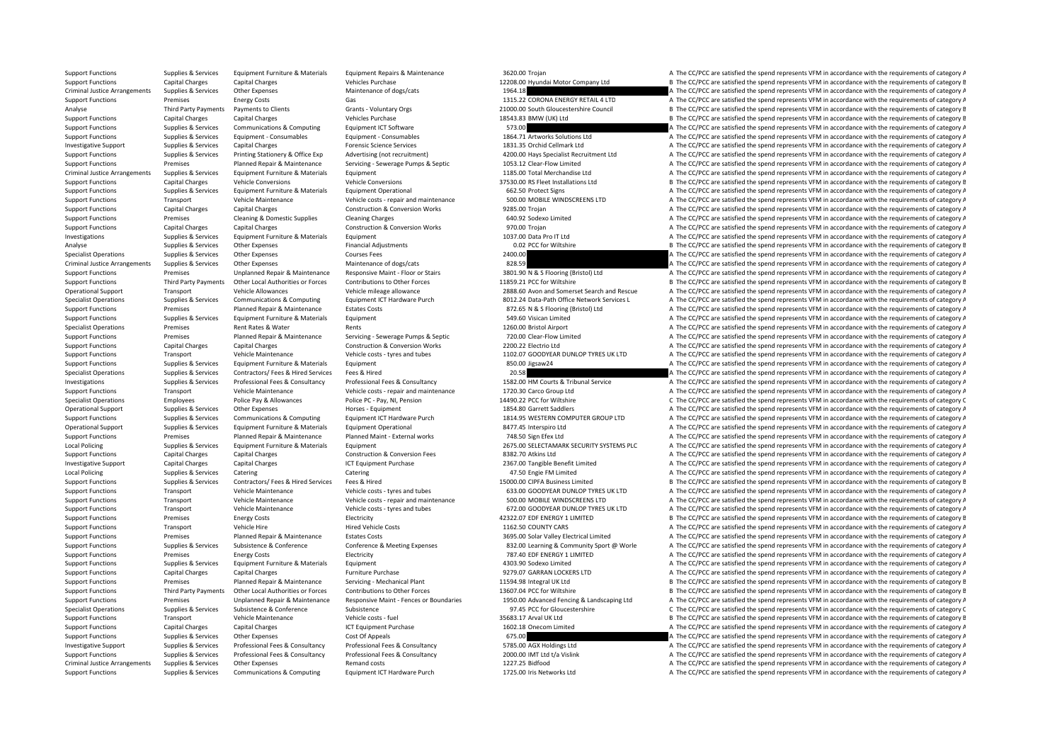Support Functions Supplies & Services Equipment Furniture & Materials Equipment Repairs & Maintenance 3620.00 Trojan A The CC/PCC are satisfied the spend represents VFM in accordance with the requirements of category A Support Functions Capital Charges Capital Charges Vehicles Purchase Vehicles Purchase 12208.00 Hyundai Motor Company Ltd B The CC/PCC are satisfied the spend represents VFM in accordance with the requirements of category B Criminal Justice Arrangements Supplies & Services Other Expenses Maintenance of dogs/cats Maintenance of dogs/cats 1964.18 A The CC/PCC are satisfied the spend represents VFM in accordance with the requirements of category Support Functions Premises Energy Costs Gas Gas Gas 1315.22 CORONA ENERGY RETAIL 4 LTD A The CC/PCC are satisfied the spend represents VFM in accordance with the requirements of category A Analyse Third Party Payments Payments to Clients Grants - Voluntary Orgs 21000.00 South Gloucestershire Council B The CC/PCC are satisfied the spend represents VFM in accordance with the requirements of category B Support Functions Capital Charges Capital Charges Vehicles Purchase Vehicles Purchase 18543.83 BMW (UK) Ltd B The CC/PCC are satisfied the spend represents VFM in accordance with the requirements of category B Support Functions Supplies & Services Communications & Computing Equipment ICT Software Equipment CT Software 573.00 A The CC/PCC are satisfied the spend represents VFM in accordance with the requirements of category A Support Functions Supplies & Services Equipment - Consumables Equipment - Consumables Equipment - Consumables Equipment - Consumables and the COLUT A The CC/PCC are satisfied the spend represents VFM in accordance with the Investigative Support Supplies & Services Capital Charges Forensic Science Services Forensic Science Services 1831.35 Orchid Cellmark Ltd A The CC/PCC are satisfied the spend represents VFM in accordance with the requireme Supplies & Services Printing Stationery & Office Exp Advertising (not recruitment) 4200.00 Hays Specialist Recruitment Ltd A The CC/PCC are satisfied the spend represents VFM in accordance with the requirements of category Support Functions Premises Premises Planned Repair & Maintenance Servicing - Servicing - Serverage Pumps & Septic 1053.12 Clear-Flow Limited A The CC/PCC are satisfied the spend represents VFM in accordance with the requir Criminal Justice Arrangements Supplies & Services Equipment Furniture & Materials Equipment 1185.00 Total Merchandise Ltd A The CC/PCC are satisfied the spend represents VFM in accordance with the requirements of category Support Functions Capital Charges Vehicle Conversions Vehicle Conversions Vehicle Conversions Vehicle Conversions Vehicle Conversions and a state and a state and the spend represents VFM in accordance with the requirements Support Functions Supplies A The CC/PCC are satisfied the spend represents VFM in accordance with the requirements of category A Support Functions Transport Vehicle Maintenance Vehicle costs - repair and maintenance 500.00 MOBILE WINDSCREENS LTD A The CC/PCC are satisfied the spend represents VFM in accordance with the requirements of category A Support Functions Capital Charges Capital Charges Capital Charges Construction & Construction & Conversion Works 9285.00 Trojan A The CC/PCC are satisfied the spend represents VFM in accordance with the requirements of cat A The CC/PCC are satisfied the spend represents VFM in accordance with the requirements of category A Support Functions Capital Charges Capital Charges Construction & Conversion Works 970.00 Trojan A The CC/PCC are satisfied the spend represents VFM in accordance with the requirements of category A Investigations Supplies & Services Equipment Furniture & Materials Equipment 1037.00 Data Pro IT Ltd A The CC/PCC are satisfied the spend represents VFM in accordance with the requirements of category A Analyse Supplies & Services Other Expenses Financial Adjustments Financial Adjustments and the COLO PCC for Wiltshire B The CC/PCC are satisfied the spend represents VFM in accordance with the requirements of category B Th Specialist Operations Supplies & Services Other Expenses Courses Fees Courses Fees 2400.00 A The CC/PCC are satisfied the spend represents VFM in accordance with the requirements of category A The Critical List of the Crit Criminal Justice Arrangements Supplies & Services Other Expenses Maintenance of dogs/cats 828.59 8 A The CC/PCC are satisfied the spend represents VFM in accordance with the requirements of category A Support Functions Premises Unplanned Repair & Maintenance Responsive Maint - Floor or Stairs 3801.90 N & S Flooring (Bristol) Ltd A The CC/PCC are satisfied the spend represents VFM in accordance with the requirements of c Third Party Payments Other Local Authorities or Forces Contributions to Other Forces 11859.21 PCC for Wiltshire B The CC/PCC are satisfied the spend represents VFM in accordance with the requirements of category E Operational Support Transport Vehicle Allowances Vehicle mileage allowance Vehicle mileage allowance Vehicle mileage allowance 2888.60 Avon and Somerset Search and Rescue A The CC/PCC are satisfied the spend represents VFM Specialist Operations Supplies & Services Communications & Computing Equipment ICT Hardware Purch 2012.24 Data-Path Office Network Services L A The CC/PCC are satisfied the spend represents VFM in accordance with the requi Support Functions Premises Planned Repair & Maintenance Estates Costs 872.65 N & S Flooring (Bristol) Ltd A The CC/PCC are satisfied the spend represents VFM in accordance with the requirements of category A Support Functions Supplies & Services Equipment Furniture & Materials Equipment Suppliers Equipment Supplies & Services Equipment Functions (A The CC/PCC are satisfied the spend represents VFM in accordance with the requir Specialist Operations Premises Rent Rates & Water Rents Rents Rents Rents A The CC/PCC are satisfied the spend represents VFM in accordance with the requirements of category A Support Functions Premises Planned Repair & Maintenance Servicing ‐ Servicing Septic 720.00 Clear‐Flow Limited A The CC/PCC are satisfied the spend represents VFM in accordance with the requirements of category A Support Functions Capital Charges Capital Charges Capital Charges Capital Charges Construction & Conversion Works 2200.22 Electrio Ltd A The CC/PCC are satisfied the spend represents VFM in accordance with the requirements Support Functions Transport Vehicle Maintenance Vehicle costs - tyres and tubes 1102.07 GOODYEAR DUNLOP TYRES UK LTD A The CC/PCC are satisfied the spend represents VEM in accordance with the requirements of category A Support Functions Supplies & Services Faujoment Furniture & Materials Faujoment 850.00 Jigsaw24 850.00 Jigsaw24 A The CC/PCC are satisfied the spend represents VFM in accordance with the requirements of category A Specialist Operations Supplies & Services Contractors/ Fees & Hired Services Fees & Hired Services Fees & Hired Services Fees & Hired 20.58 20.58 A The CC/PCC are satisfied the spend represents VFM in accordance with the r Supplies & Services Professional Fees & Consultancy Professional Fees & Consultancy Professional Fees & Consultancy Professional Fees & Consultancy 1582.00 HM Courts & Tribunal Service A The CC/PCC are satisfied the spend Support Transport Vehicle Maintenance Vehicle costs ‐ repair and maintenance 1720.30 Carco Group Ltd A The CC/PCC are satisfied the spend represents VFM in accordance with the requirements of category A Specialist Operations Employees Police Pay & Allowances Police PC - Pay, NI, Pension 14490.22 PCC for Wiltshire C The CC/PCC are satisfied the spend represents VFM in accordance with the requirements of category C Operational Support Supplies & Services Other Expenses Horses Equipment Horses - Equipment 1854.80 Garrett Saddlers A The CC/PCC are satisfied the spend represents VFM in accordance with the requirements of category A Support Functions Supplies & Services Communications & Computing Equipment ICT Hardware Purch 1814.95 WESTERN COMPUTER GROUP LTD A The CC/PCC are satisfied the spend represents VFM in accordance with the requirements of ca Operational Support Supplies & Services Equipment Furniture & Materials Equipment Operational 8477.45 Interspiro Ltd A The CC/PCC are satisfied the spend represents VFM in accordance with the requirements of category A Support Functions Premises Planned Repair & Maintenance Planned Maint - External works 748.50 Sign Efex Ltd A The CC/PCC are satisfied the spend represents VFM in accordance with the requirements of category A Local Policing Supplies & Services Equipment Furniture & Materials Equipment 2675.00 SELECTAMARK SECURITY SYSTEMS PLC A The CC/PCC are satisfied the spend represents VFM in accordance with the requirements of category A Support Functions Capital Charges Capital Charges Construction & Conversion Fees 8382.70 Atkins Ltd A The CC/PCC are satisfied the spend represents VFM in accordance with the requirements of category A Investigative Support Capital Charges Capital Charges ICT Equipment Purchase 2367.00 Tangible Benefit Limited A The CC/PCC are satisfied the spend represents VFM in accordance with the requirements of category A Local Policing Supplies & Services Catering Catering Catering Catering Catering Catering Catering Catering Catering Catering A The CC/PCC are satisfied the spend represents VFM in accordance with the requirements of catego Support Functions Supplies & Services Contractors/ Fees & Hired Services Fees & Hired 15000.00 CIPFA Business Limited B The CC/PCC are satisfied the spend represents VFM in accordance with the requirements of category B Support Functions Transport Vehicle Maintenance Vehicle costs - tyres and tubes 633.00 GOODYEAR DUNLOP TYRES UK LTD A The CC/PCC are satisfied the spend represents VFM in accordance with the requirements of category A Support Functions Transport Vehicle Maintenance Vehicle costs ‐ repair and maintenance 500.00 MOBILE WINDSCREENS LTD A The CC/PCC are satisfied the spend represents VFM in accordance with the requirements of category A Veh Support Functions Transport Vehicle Maintenance Vehicle costs – tyres and tubes 672.00 GOODYEAR DUNLOP TYRES UK LTD A The CC/PCC are satisfied the spend represents VFM in accordance with the requirements of category A Supp Electricity **Exercicity Example 2232.07 EDF ENERGY 1 LIMITED** B The CC/PCC are satisfied the spend represents VFM in accordance with the requirements of category B Support Transport Vehicle Hire Hired Vehicle Costs Hired Vehicle Costs 1162.50 COUNTY CARS A The CC/PCC are satisfied the spend represents VFM in accordance with the requirements of category A Support Functions Premises Planned Repair & Maintenance Estates Costs 3695.00 Solar Valley Electrical Limited A The CC/PCC are satisfied the spend represents VFM in accordance with the requirements of category A Supplies & Services Subsistence & Conference Conference Conference & Meeting Expenses and and and the CONFERICE SALLER SALLER A The CC/PCC are satisfied the spend represents VFM in accordance with the requirements of categ Support Functions Premises Premises Energy Costs Electricity Electricity Electricity Functions and the COSTS Electricity and the COSTS Control of the Spend represents VFM in accordance with the requirements of category A T Support Functions Supplies & Services Equipment Furniture & Materials Equipment A The COLOGIC A The CC/PCC are satisfied the spend represents VFM in accordance with the requirements of category A Support Functions Capital Charges Capital Charges Furniture Purchase Furniture Purchase 9279.07 GARRAN LOCKERS LTD A The CC/PCC are satisfied the spend represents VFM in accordance with the requirements of category A Support Functions Premises Planned Repair & Maintenance Servicing - Mechanical Plant 11594.98 Integral UK Ltd B The CC/PCC are satisfied the spend represents VFM in accordance with the requirements of category B Support Functions Third Party Payments Other Iocal Authorities or Forces Contributions to Other Forces 13607.04 PCC for Wiltshire B The CC/PCC are satisfied the spend represents VFM in accordance with the requirements of c Support Functions Premises Premises Unplanned Repair & Maintenance Responsive Maint - Fences or Boundaries 1950.00 Advanced Fencing & Landscaping Ltd A The CC/PCC are satisfied the spend represents VFM in accordance with t C The CC/PCC are satisfied the spend represents VFM in accordance with the requirements of category C Support Functions Transport Vehicle Maintenance Vehicle costs – fuel and the Vehicle costs – fuel are vehicle costs – fuel and the CO/PC are satisfied the spend represents VFM in accordance with the requirements of categor Support Functions Capital Charges Capital Charges Capital Charges 1603.18 Onecom Limited A The CC/PCC are satisfied the spend represents VFM in accordance with the requirements of category A The CC/PCC are satisfied the sp Support Functions Supplies Appeals of Appeals Computer Constants Constanting Constants Functions Constants are<br>A The CC/PCC are satisfied the spend represents VFM in accordance with the requirements of category A Investigative Support Supplies & Services Professional Fees & Consultancy Professional Fees & Consultancy Professional Fees & Consultancy Professional Fees & Consultancy Professional Fees & Consultancy S785.00 AGX Holdings Support Functions Supplies & Services Professional Fees & Consultancy Professional Fees & Consultancy Professional Fees & Consultancy Professional Fees & Consultancy Professional Fees & Consultancy Professional Fees & Cons Criminal Justice Arrangements Supplies & Services Other Expenses Remand costs Remand costs Remand costs 1227.25 Bidfood A The CC/PCC are satisfied the spend represents VFM in accordance with the requirements of category A Support Functions Supplies & Services Communications & Computing Equipment ICT Hardware Purch 1725.00 Iris Networks Ltd A The CC/PCC are satisfied the spend represents VFM in accordance with the requirements of category A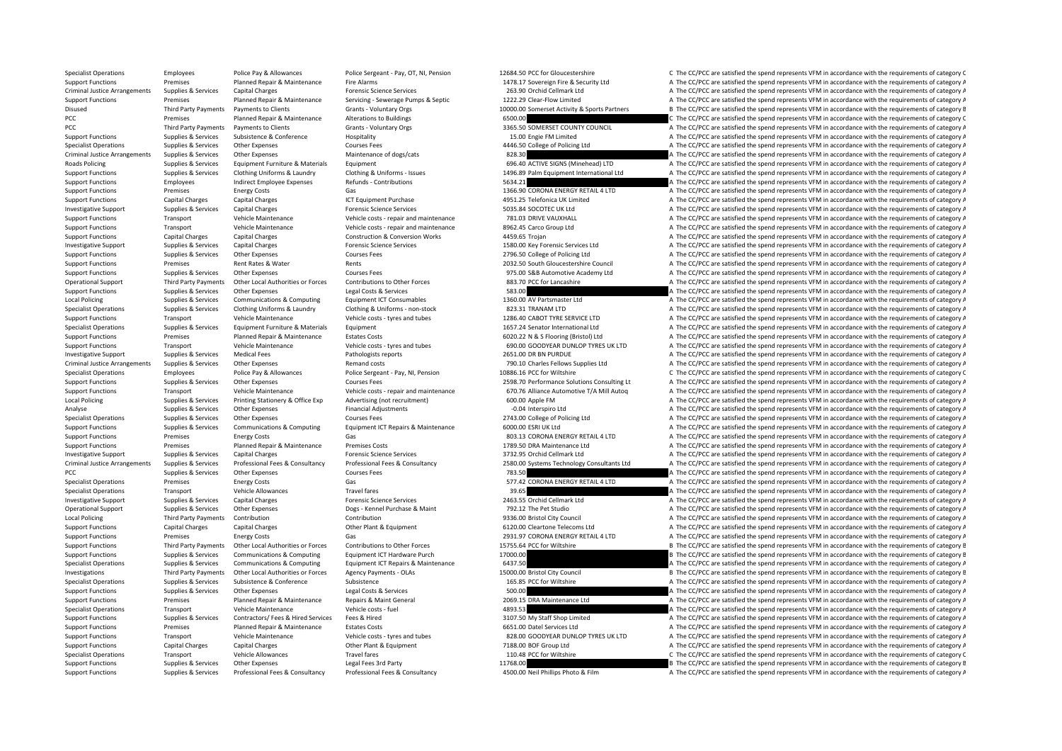Specialist Operations Employees Police Pay & Allowances Police Sergeant - Pay, OT. NI. Pension 12684.50 PCC for Gloucestershire C The CC/PCC are satisfied the spend represents VFM in accordance with the requirements of cat Support Functions Premises Planned Repair & Maintenance Fire Alarms Fire Alarms 1478.17 Sovereign Fire & Security Ltd A The CC/PCC are satisfied the spend represents VFM in accordance with the requirements of category A Th Criminal Justice Arrangements Supplies & Services Capital Charges Forensic Science Services Promaic Science Services Pumps & Septic A The CC/PCC are satisfied the spend represents VFM in accordance with the requirements of Support Functions Premises Planned Repair and The CC/PCC are satisfied the spend represents VFM in accordance with the requirements of category A Disused Third Party Payments Payments to Clients Grants Voluntary Orgs 10000.00 Somerset Activity & Sports Partners B The CC/PCC are satisfied the spend represents VFM in accordance with the requirements of category B Premises Planned Repair & Maintenance Alterations to Buildings 6500.00 6500.00 C The CC/PCC are satisfied the spend represents VFM in accordance with the requirements of category C PCC Third Party Payments Payments to Clients Samuel Counts - Voluntary Orgs 3365.50 SOMERSET COUNTY COUNCIL A The CC/PCC are satisfied the spend represents VFM in accordance with the requirements of category A Support Functions Supplies & Services Subsistence & Conference Hospitality Hospitality 15.00 Engie FM Limited A The CC/PCC are satisfied the spend represents VFM in accordance with the requirements of category A The CC/PCC Specialist Operations Supplies & Services Other Expenses Courses Fees Courses Fees 4446.50 College of Policing Ltd A The CC/PCC are satisfied the spend represents VFM in accordance with the requirements of category A Criminal Justice Arrangements Supplies & Services Other Expenses Maintenance of dogs/cats Maintenance of dogs/cats 828.30 A The CC/PCC are satisfied the spend represents VFM in accordance with the requirements of category Roads Policing Supplies & Services Equipment Furniture & Materials Equipment Equipment Equipment Equipment Equipment Equipment 696.40 ACTIVE SIGNS (Minehead) LTD A The CC/PCC are satisfied the spend represents VFM in accor Supplies & Services Clothing Uniforms & Laundry Clothing Almiforms - Issues 1496.89 Palm Equipment International Ltd A The CC/PCC are satisfied the spend represents VFM in accordance with the requirements of category A Support Functions Employees Indirect Employee Expenses Refunds - Contributions S634.21 A The CC/PCC are satisfied the spend represents VFM in accordance with the requirements of category A The Contributions of category A T A The CC/PCC are satisfied the spend represents VFM in accordance with the requirements of category A Support Functions Capital Charges Capital Charges Capital Charges ICT Equipment Purchase 4951.25 Telefonica UK Limited A The CC/PCC are satisfied the spend represents VFM in accordance with the requirements of category A Investigative Support Supplies & Services Capital Charges Support Capital Charges Forensic Science Services Forensic Science Services 5035.84 SOCOTEC UK Ltd A The CC/PCC are satisfied the spend represents VFM in accordance A The CC/PCC are satisfied the spend represents VFM in accordance with the requirements of category A Support Functions Transport Vehicle Maintenance Vehicle costs - repair and maintenance 8962.45 Carco Group Ltd A The CC/PCC are satisfied the spend represents VFM in accordance with the requirements of category A Support Functions Capital Charges Capital Charges Construction & Conversion Works 4459.65 Trojan A The CC/PCC are satisfied the spend represents VFM in accordance with the requirements of category A Investigative Support Supplies & Services Capital Charges Forensic Science Services Forensic Science Services 1580.00 Key Forensic Services Ltd A The CC/PCC are satisfied the spend represents VFM in accordance with the req Support Functions Supplies & Services Other Expenses Courses Fees Courses Fees 2796.50 College of Policing Ltd A The CC/PCC are satisfied the spend represents VFM in accordance with the requirements of category A The Cripc Support Functions Premises Rent Rates & Water Rents Rents Rents 2032.50 South Gloucestershire Council A The CC/PCC are satisfied the spend represents VFM in accordance with the requirements of category A Support Functions Supplies & Services Other Expenses Courses Fees Courses Fees 975.00 S&B Automotive Academy Ltd A The CC/PCC are satisfied the spend represents VFM in accordance with the requirements of category A Operational Support Third Party Payments Other Local Authorities or Forces Contributions to Other Forces sess.70 PCC for Lancashire and The CC/PCC are satisfied the spend represents VFM in accordance with the requirements Support Functions Supplies & Services Other Expenses Legal Costs & Services 583.00 Support of category A The CC/PCC are satisfied the spend represents VFM in accordance with the requirements of category A Local Policing Supplies & Services Communications & Computing Equipment ICT Consumables 1360.00 AV Partsmaster Ltd A The CC/PCC are satisfied the spend represents VFM in accordance with the requirements of category A The C Specialist Operations Supplies & Services Clothing Uniforms & Laundry Clothing & Laundry Clothing & Laundry Clothing & Laundry Clothing & Laundry Clothing & Uniforms A Uniforms - non-stock 823.31 TRANAM LTD A The CC/PCC ar Support Functions Transport Vehicle Maintenance Vehicle costs – tyres and tubes 1286.40 CABOT TYRE SERVICE LTD A The CC/PCC are satisfied the spend represents VFM in accordance with the requirements of category A Specialist Operations Supplies & Services Equipment Furniture & Materials Equipment 1657.24 Senator International Ltd A The CC/PCC are satisfied the spend represents VFM in accordance with the requirements of category A Support Functions Premises Planned Repair & Maintenance Estates Costs 6020.22 N & S Flooring (Bristol) Ltd A The CC/PCC are satisfied the spend represents VFM in accordance with the requirements of category A Support Functions Transport Vehicle Maintenance Vehicle costs – tyres and tubes 690.00 GOODYEAR DUNLOP TYRES UK LTD A The CC/PCC are satisfied the spend represents VFM in accordance with the requirements of category A The Investigative Support Supplies & Services Medical Fees Pathologists reports 2651.00 DR BN PURDUE A The CC/PCC are satisfied the spend represents VFM in accordance with the requirements of category A Criminal Justice Arrangements Supplies & Services Other Expenses Remand costs Remand costs Remand costs 790.10 Charles Fellows Supplies Ltd A The CC/PCC are satisfied the spend represents VFM in accordance with the require Specialist Operations Employees Police Pay & Allowances Police Sergeant - Pay, NI, Pension 10886.16 PCC for Wiltshire C The CC/PCC are satisfied the spend represents VFM in accordance with the requirements of category C Support Functions Supplies & Services Other Expenses Courses Fees Courses Fees 2598.70 Performance Solutions Consulting Lt A The CC/PCC are satisfied the spend represents VFM in accordance with the requirements of category Support Functions Transport Vehicle Maintenance Vehicle costs - repair and maintenance STO.76 Alliance Automotive T/A Mill Autog A The CC/PCC are satisfied the spend represents VFM in accordance with the requirements of ca Local Policing Supplies & Services Printing Stationery & Office Exp Advertising (not recruitment) 600.00 Apple FM A The CC/PCC are satisfied the spend represents VFM in accordance with the requirements of category A Analyse Supplies & Services Other Expenses Financial Adjustments Financial Adjustments **Financial Adjustments Financial Adjustments 1.04** Interspiro Ltd A The CC/PCC are satisfied the spend represents VFM in accordance Specialist Operations Supplies & Services Other Expenses Courses Fees Courses Fees 2743.00 College of Policing Ltd A The CC/PCC are satisfied the spend represents VFM in accordance with the requirements of category A The C Support Functions Supplies & Services Communications & Computing Equipment ICT Repairs & Maintenance 6000.00 ESRI UK Ltd A The CC/PCC are satisfied the spend represents VFM in accordance with the requirements of category A Support Functions Premises Energy Costs Gas Gas Support Retaining and the CORONA ENERGY RETAIL 4 LTD A The CC/PCC are satisfied the spend represents VFM in accordance with the requirements of category A Support Functions Premises Planned Repair & Maintenance Premises Costs and the Support Costs and the CC/PCC are satisfied the spend represents VFM in accordance with the requirements of category A Investigative Support Supplies & Services Capital Charges Forensic Science Services Forensic Science Services 3732.95 Orchid Cellmark Ltd A The CC/PCC are satisfied the spend represents VFM in accordance with the requireme Criminal Justice Arrangements Supplies & Services Professional Fees & Consultancy Professional Fees & Consultancy Professional Fees & Consultancy Professional Fees & Consultancy Professional Fees & Consultancy Professional PCC PCC are satisfied the spend represents VFM in accordance with the requirements of category A Courses Fees Courses Fees The CORONA ENERGY RETAIL 4 LTD A The CC/PCC are satisfied the spend represents VFM in accordance wi Specialist Operations Premises Energy Costs Gas Gas Stategory A The CC/PCC are satisfied the spend represents VFM in accordance with the requirements of category A Specialist Operations Transport Vehicle Allowances Travel fares Travel fares 39.65 39.65 A The CC/PCC are satisfied the spend represents VFM in accordance with the requirements of category A Investigative Support Supplies & Services Capital Charges Forensic Science Services Forensic Science Services 2463.55 Orchid Cellmark Ltd A The CC/PCC are satisfied the spend represents VFM in accordance with the requireme Operational Support Supplies & Services Other Expenses 2008-1992. Dogs - Kennel Purchase & Maint 792.12 The Pet Studio 202.12 The Pet Studio A The CC/PCC are satisfied the spend represents VFM in accordance with the requir A The CC/PCC are satisfied the spend represents VFM in accordance with the requirements of category A Support Functions Capital Charges Capital Charges Other Plant & Equipment 6120.00 Cleartone Telecoms Ltd A The CC/PCC are satisfied the spend represents VFM in accordance with the requirements of category A Support Functions Premises Energy Costs Gas Gas Casegory A The CC/PCC are satisfied the spend represents VFM in accordance with the requirements of category A Support Functions Third Party Payments Other Local Authorities or Forces Contributions to Other Forces 15755.64 PCC for Wiltshire B The CC/PCC are satisfied the spend represents VFM in accordance with the requirements of c Support Functions Supplies & Services Communications & Computing Equipment ICT Hardware Purch 17000.00 10000.00 B The CC/PCC are satisfied the spend represents VFM in accordance with the requirements of category B Speciali Specialist Operations Supplies & Services Communications & Computing Equipment ICT Repairs & Maintenance 6437.50 6437.50 A The CC/PCC are satisfied the spend represents VFM in accordance with the requirements of category A Investigations Third Party Payments Other Local Authorities or Forces Agency Payments - OLAs 15000.00 Bristol City Council B The CC/PCC are satisfied the spend represents VFM in accordance with the requirements of category Specialist Operations Supplies & Services Subsistence Subsistence Subsistence Subsistence Subsistence Subsistence Subsistence Subsistence Subsistence Subsistence Subsistence Subsistence Subsistence Subsistence Subsistence Support Functions Supplies & Services Other Expenses Legal Costs & Services Services 500.00 A The CC/PCC are satisfied the spend represents VFM in accordance with the requirements of category A Support Functions Premises Planned Repair & Maintenance Repairs & Maint General 2069.15 DRA Maintenance Ltd A The CC/PCC are satisfied the spend represents VFM in accordance with the requirements of category A The Critical A The CC/PCC are satisfied the spend represents VFM in accordance with the requirements of category A Support Functions Supplies & Services Contractors/ Fees & Hired Services Fees & Hired Services Fees & Hired 3107.50 My Staff Shop Limited A The CC/PCC are satisfied the spend represents VFM in accordance with the requireme Support Functions Premises Planned Repair & Maintenance Estates Costs Costs and tubes and the Section Datel Services Ltd A The CC/PCC are satisfied the spend represents VFM in accordance with the requirements of category A A The CC/PCC are satisfied the spend represents VFM in accordance with the requirements of category A Support Functions Capital Charges Capital Charges Other Plant & Equipment 7188.00 BOF Group Ltd A The CC/PCC are satisfied the spend represents VFM in accordance with the requirements of category A Specialist Operations Transport Vehicle Allowances Travel fares Travel fares 110.48 PCC for Wiltshire C The CC/PCC are satisfied the spend represents VFM in accordance with the requirements of category C Support Functions Supplies & Services Other Expenses Legal Fees 3rd Party Legal Fees 3rd Party 11768.00 B The CC/PCC are satisfied the spend represents VFM in accordance with the requirements of category B Supplies & Services Professional Fees & Consultancy Professional Fees & Consultancy Professional Fees & Consultancy Professional Fees & Consultancy Professional Fees & Consultancy Professional Fees & Consultancy 4500.00 Ne